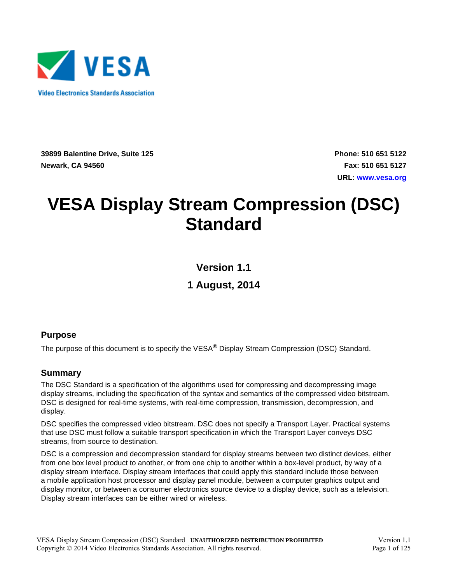

**39899 Balentine Drive, Suite 125 Newark, CA 94560**

**Phone: 510 651 5122 Fax: 510 651 5127 URL: [www.vesa.org](http://www.vesa.org/)**

# <span id="page-0-4"></span><span id="page-0-1"></span><span id="page-0-0"></span>**VESA Display Stream Compression (DSC) Standard**

<span id="page-0-5"></span>**Version 1.1**

**1 August, 2014**

#### <span id="page-0-2"></span>**Purpose**

The purpose of this document is to specify the VESA<sup>®</sup> Display Stream Compression (DSC) Standard.

#### <span id="page-0-3"></span>**Summary**

The DSC Standard is a specification of the algorithms used for compressing and decompressing image display streams, including the specification of the syntax and semantics of the compressed video bitstream. DSC is designed for real-time systems, with real-time compression, transmission, decompression, and display.

DSC specifies the compressed video bitstream. DSC does not specify a Transport Layer. Practical systems that use DSC must follow a suitable transport specification in which the Transport Layer conveys DSC streams, from source to destination.

DSC is a compression and decompression standard for display streams between two distinct devices, either from one box level product to another, or from one chip to another within a box-level product, by way of a display stream interface. Display stream interfaces that could apply this standard include those between a mobile application host processor and display panel module, between a computer graphics output and display monitor, or between a consumer electronics source device to a display device, such as a television. Display stream interfaces can be either wired or wireless.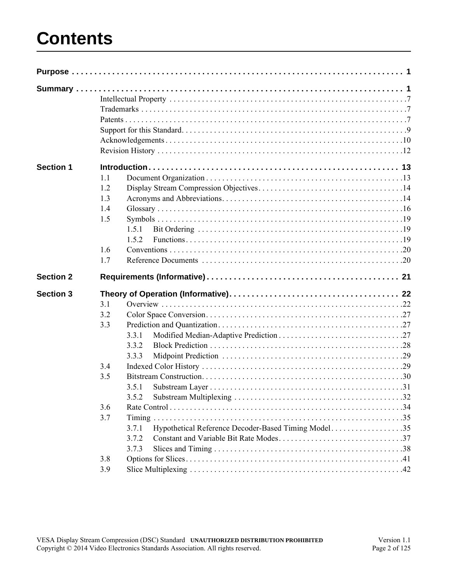# **Contents**

| <b>Section 1</b> |     |                                                                       |  |
|------------------|-----|-----------------------------------------------------------------------|--|
|                  | 1.1 |                                                                       |  |
|                  | 1.2 |                                                                       |  |
|                  | 1.3 |                                                                       |  |
|                  | 1.4 |                                                                       |  |
|                  | 1.5 |                                                                       |  |
|                  |     | 1.5.1                                                                 |  |
|                  |     | 1.5.2                                                                 |  |
|                  | 1.6 |                                                                       |  |
|                  | 1.7 |                                                                       |  |
| <b>Section 2</b> |     |                                                                       |  |
| <b>Section 3</b> |     |                                                                       |  |
|                  | 3.1 |                                                                       |  |
|                  | 3.2 |                                                                       |  |
|                  |     |                                                                       |  |
|                  | 3.3 |                                                                       |  |
|                  |     | 3.3.1                                                                 |  |
|                  |     | 3.3.2                                                                 |  |
|                  |     |                                                                       |  |
|                  | 3.4 | 3.3.3                                                                 |  |
|                  | 3.5 |                                                                       |  |
|                  |     |                                                                       |  |
|                  |     | 3.5.1                                                                 |  |
|                  |     |                                                                       |  |
|                  | 3.6 |                                                                       |  |
|                  | 3.7 |                                                                       |  |
|                  |     | Hypothetical Reference Decoder-Based Timing Model35<br>3.7.1<br>3.7.2 |  |
|                  |     |                                                                       |  |
|                  | 3.8 | 3.7.3                                                                 |  |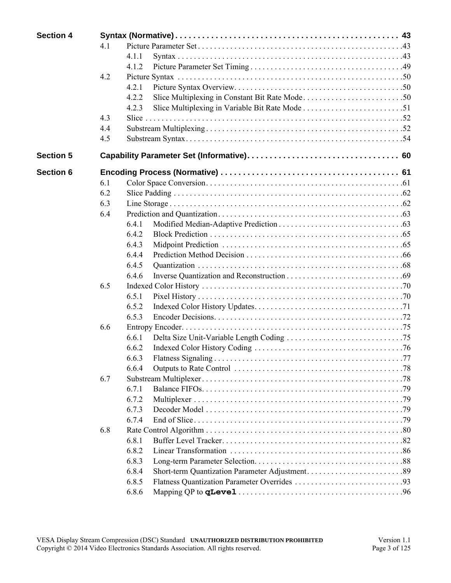| <b>Section 4</b> |     |                                  |  |
|------------------|-----|----------------------------------|--|
|                  | 41  |                                  |  |
|                  |     | 4.1.1                            |  |
|                  |     | 4.1.2                            |  |
|                  | 4.2 |                                  |  |
|                  |     | 4.2.1                            |  |
|                  |     | 4.2.2                            |  |
|                  |     | 4.2.3                            |  |
|                  | 4.3 |                                  |  |
|                  | 4.4 |                                  |  |
|                  | 4.5 |                                  |  |
| <b>Section 5</b> |     |                                  |  |
| <b>Section 6</b> |     |                                  |  |
|                  | 6.1 |                                  |  |
|                  | 6.2 |                                  |  |
|                  | 6.3 |                                  |  |
|                  | 6.4 |                                  |  |
|                  |     | 6.4.1                            |  |
|                  |     | 6.4.2                            |  |
|                  |     | 6.4.3                            |  |
|                  |     | 6.4.4                            |  |
|                  |     | 6.4.5                            |  |
|                  |     | 6.4.6                            |  |
|                  | 6.5 |                                  |  |
|                  |     | 6.5.1                            |  |
|                  |     | 6.5.2                            |  |
|                  |     | 6.5.3                            |  |
|                  | 6.6 |                                  |  |
|                  |     | 6.6.1                            |  |
|                  |     | 6.6.2                            |  |
|                  |     | <b>Flatness Signaling</b><br>663 |  |
|                  |     | 6.6.4                            |  |
|                  | 6.7 |                                  |  |
|                  |     | 6.7.1                            |  |
|                  |     | 6.7.2                            |  |
|                  |     | 6.7.3                            |  |
|                  |     | 6.7.4                            |  |
|                  | 6.8 |                                  |  |
|                  |     | 6.8.1                            |  |
|                  |     | 6.8.2                            |  |
|                  |     | 6.8.3                            |  |
|                  |     | 6.8.4                            |  |
|                  |     | 6.8.5                            |  |
|                  |     | 6.8.6                            |  |
|                  |     |                                  |  |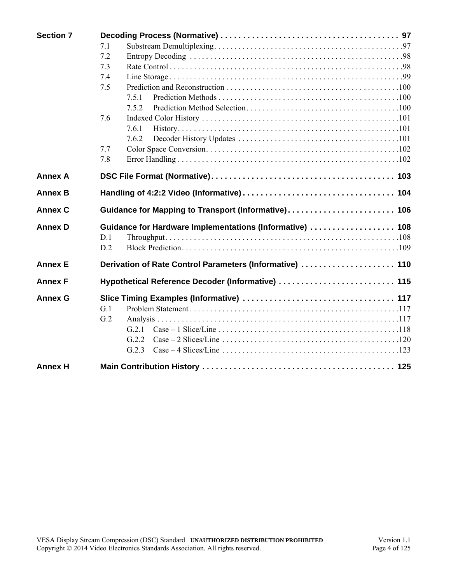| <b>Section 7</b> |                                                          |  |
|------------------|----------------------------------------------------------|--|
|                  | 7.1                                                      |  |
|                  | 7.2                                                      |  |
|                  | 7.3                                                      |  |
|                  | 7.4                                                      |  |
|                  | 7.5                                                      |  |
|                  | 7.5.1                                                    |  |
|                  | 7.5.2                                                    |  |
|                  | 7.6                                                      |  |
|                  | 7.6.1                                                    |  |
|                  | 7.6.2                                                    |  |
|                  | 7.7                                                      |  |
|                  | 7.8                                                      |  |
| <b>Annex A</b>   |                                                          |  |
| <b>Annex B</b>   |                                                          |  |
| <b>Annex C</b>   | Guidance for Mapping to Transport (Informative) 106      |  |
| <b>Annex D</b>   | Guidance for Hardware Implementations (Informative)  108 |  |
|                  | D.1                                                      |  |
|                  | D.2                                                      |  |
| <b>Annex E</b>   | Derivation of Rate Control Parameters (Informative)  110 |  |
| <b>Annex F</b>   | Hypothetical Reference Decoder (Informative)  115        |  |
| <b>Annex G</b>   |                                                          |  |
|                  | G.1                                                      |  |
|                  | G.2                                                      |  |
|                  | G.2.1                                                    |  |
|                  | G.2.2                                                    |  |
|                  | G.2.3                                                    |  |
| <b>Annex H</b>   |                                                          |  |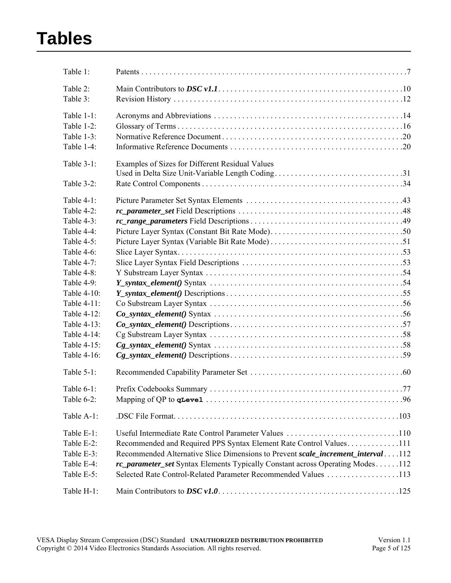# **Tables**

| Table 1:      |                                                                                      |
|---------------|--------------------------------------------------------------------------------------|
| Table 2:      |                                                                                      |
| Table 3:      |                                                                                      |
| Table 1-1:    |                                                                                      |
| Table 1-2:    |                                                                                      |
| Table 1-3:    |                                                                                      |
| Table 1-4:    |                                                                                      |
| Table 3-1:    | Examples of Sizes for Different Residual Values                                      |
|               |                                                                                      |
| Table $3-2$ : |                                                                                      |
| Table 4-1:    |                                                                                      |
| Table 4-2:    |                                                                                      |
| Table 4-3:    |                                                                                      |
| Table 4-4:    |                                                                                      |
| Table 4-5:    |                                                                                      |
| Table 4-6:    |                                                                                      |
| Table 4-7:    |                                                                                      |
| Table 4-8:    |                                                                                      |
| Table 4-9:    |                                                                                      |
| Table 4-10:   |                                                                                      |
| Table 4-11:   |                                                                                      |
| Table 4-12:   |                                                                                      |
| Table 4-13:   |                                                                                      |
| Table 4-14:   |                                                                                      |
| Table 4-15:   |                                                                                      |
| Table 4-16:   |                                                                                      |
| Table $5-1$ : |                                                                                      |
| Table $6-1$ : |                                                                                      |
| Table 6-2:    |                                                                                      |
|               |                                                                                      |
| Table A-1:    |                                                                                      |
| Table E-1:    |                                                                                      |
| Table E-2:    | Recommended and Required PPS Syntax Element Rate Control Values111                   |
| Table E-3:    | Recommended Alternative Slice Dimensions to Prevent scale increment interval112      |
| Table E-4:    | <i>rc_parameter_set</i> Syntax Elements Typically Constant across Operating Modes112 |
| Table E-5:    | Selected Rate Control-Related Parameter Recommended Values 113                       |
| Table H-1:    |                                                                                      |
|               |                                                                                      |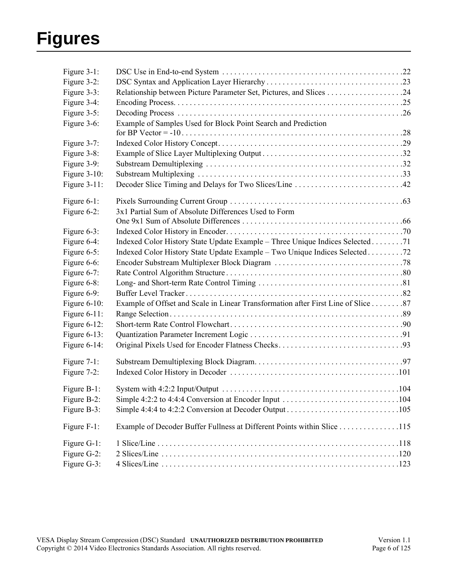# **Figures**

| Figure 3-1:     |                                                                                                             |  |
|-----------------|-------------------------------------------------------------------------------------------------------------|--|
| Figure 3-2:     |                                                                                                             |  |
| Figure 3-3:     |                                                                                                             |  |
| Figure 3-4:     |                                                                                                             |  |
| Figure 3-5:     |                                                                                                             |  |
| Figure 3-6:     | Example of Samples Used for Block Point Search and Prediction                                               |  |
|                 |                                                                                                             |  |
| Figure $3-7$ :  |                                                                                                             |  |
| Figure 3-8:     |                                                                                                             |  |
| Figure 3-9:     |                                                                                                             |  |
| Figure $3-10$ : |                                                                                                             |  |
| Figure 3-11:    |                                                                                                             |  |
| Figure 6-1:     |                                                                                                             |  |
| Figure 6-2:     | 3x1 Partial Sum of Absolute Differences Used to Form                                                        |  |
|                 |                                                                                                             |  |
| Figure 6-3:     |                                                                                                             |  |
| Figure 6-4:     | Indexed Color History State Update Example - Three Unique Indices Selected 71                               |  |
| Figure 6-5:     | Indexed Color History State Update Example – Two Unique Indices Selected 72                                 |  |
| Figure 6-6:     |                                                                                                             |  |
| Figure 6-7:     |                                                                                                             |  |
| Figure 6-8:     |                                                                                                             |  |
| Figure $6-9$ :  |                                                                                                             |  |
| Figure $6-10$ : | Example of Offset and Scale in Linear Transformation after First Line of Slice 87                           |  |
| Figure $6-11$ : |                                                                                                             |  |
| Figure $6-12$ : |                                                                                                             |  |
| Figure $6-13$ : |                                                                                                             |  |
| Figure $6-14$ : |                                                                                                             |  |
| Figure $7-1$ :  |                                                                                                             |  |
| Figure $7-2$ :  |                                                                                                             |  |
| Figure B-1:     |                                                                                                             |  |
| Figure B-2:     | Simple 4:2:2 to 4:4:4 Conversion at Encoder Input $\dots\dots\dots\dots\dots\dots\dots\dots\dots\dots\dots$ |  |
| Figure B-3:     |                                                                                                             |  |
| Figure F-1:     | Example of Decoder Buffer Fullness at Different Points within Slice 115                                     |  |
| Figure G-1:     |                                                                                                             |  |
| Figure G-2:     |                                                                                                             |  |
| Figure G-3:     |                                                                                                             |  |
|                 |                                                                                                             |  |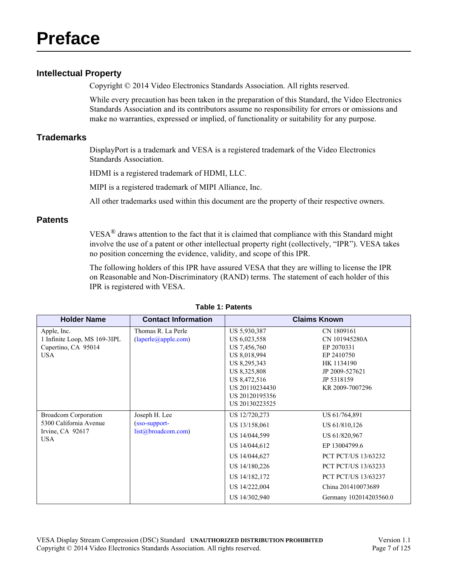### <span id="page-6-5"></span><span id="page-6-1"></span>**Intellectual Property**

<span id="page-6-0"></span>Copyright © 2014 Video Electronics Standards Association. All rights reserved.

While every precaution has been taken in the preparation of this Standard, the Video Electronics Standards Association and its contributors assume no responsibility for errors or omissions and make no warranties, expressed or implied, of functionality or suitability for any purpose.

#### <span id="page-6-2"></span>**Trademarks**

DisplayPort is a trademark and VESA is a registered trademark of the Video Electronics Standards Association.

HDMI is a registered trademark of HDMI, LLC.

MIPI is a registered trademark of MIPI Alliance, Inc.

All other trademarks used within this document are the property of their respective owners.

#### <span id="page-6-3"></span>**Patents**

 $VESA^{\circledR}$  draws attention to the fact that it is claimed that compliance with this Standard might involve the use of a patent or other intellectual property right (collectively, "IPR"). VESA takes no position concerning the evidence, validity, and scope of this IPR.

The following holders of this IPR have assured VESA that they are willing to license the IPR on Reasonable and Non-Discriminatory (RAND) terms. The statement of each holder of this IPR is registered with VESA.

<span id="page-6-4"></span>

| <b>Holder Name</b>                                                                        | <b>Contact Information</b>                           |                                                                                                                                                                    | <b>Claims Known</b>                                                                                                                                                                                        |
|-------------------------------------------------------------------------------------------|------------------------------------------------------|--------------------------------------------------------------------------------------------------------------------------------------------------------------------|------------------------------------------------------------------------------------------------------------------------------------------------------------------------------------------------------------|
| Apple, Inc.<br>1 Infinite Loop, MS 169-3IPL<br>Cupertino, CA 95014<br><b>USA</b>          | Thomas R. La Perle<br>(laperle@apple.com)            | US 5,930,387<br>US 6,023,558<br>US 7,456,760<br>US 8,018,994<br>US 8,295,343<br>US 8,325,808<br>US 8,472,516<br>US 20110234430<br>US 20120195356<br>US 20130223525 | CN 1809161<br>CN 101945280A<br>EP 2070331<br>EP 2410750<br>HK 1134190<br>JP 2009-527621<br>JP 5318159<br>KR 2009-7007296                                                                                   |
| <b>Broadcom Corporation</b><br>5300 California Avenue<br>Irvine, $CA$ 92617<br><b>USA</b> | Joseph H. Lee<br>(sso-support-<br>list@broadcom.com) | US 12/720,273<br>US 13/158,061<br>US 14/044,599<br>US 14/044,612<br>US 14/044,627<br>US 14/180,226<br>US 14/182,172<br>US 14/222,004<br>US 14/302,940              | US 61/764,891<br>US 61/810,126<br>US 61/820,967<br>EP 13004799.6<br><b>PCT PCT/US 13/63232</b><br><b>PCT PCT/US 13/63233</b><br><b>PCT PCT/US 13/63237</b><br>China 201410073689<br>Germany 102014203560.0 |

#### **Table 1: [Patents](#page-6-3)**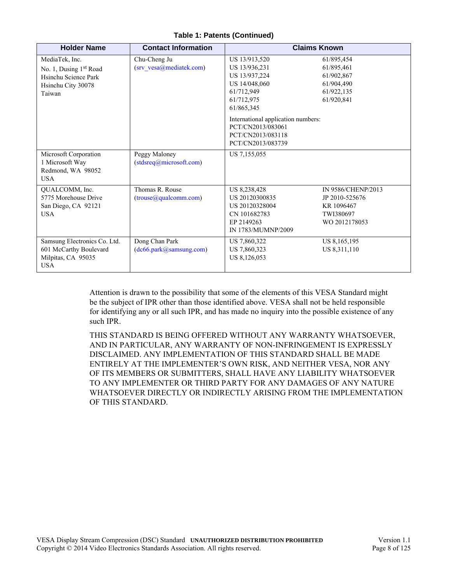#### **Table 1: Patents (Continued)**

| <b>Holder Name</b>                                                                                           | <b>Contact Information</b>                 |                                                                                                                                                                                                                 | <b>Claims Known</b>                                                              |
|--------------------------------------------------------------------------------------------------------------|--------------------------------------------|-----------------------------------------------------------------------------------------------------------------------------------------------------------------------------------------------------------------|----------------------------------------------------------------------------------|
| MediaTek, Inc.<br>No. 1, Dusing 1 <sup>st</sup> Road<br>Hsinchu Science Park<br>Hsinchu City 30078<br>Taiwan | Chu-Cheng Ju<br>(srv vesa@mediatek.com)    | US 13/913,520<br>US 13/936,231<br>US 13/937,224<br>US 14/048,060<br>61/712,949<br>61/712,975<br>61/865,345<br>International application numbers:<br>PCT/CN2013/083061<br>PCT/CN2013/083118<br>PCT/CN2013/083739 | 61/895,454<br>61/895,461<br>61/902,867<br>61/904,490<br>61/922,135<br>61/920,841 |
| Microsoft Corporation<br>1 Microsoft Way<br>Redmond, WA 98052<br><b>USA</b>                                  | Peggy Maloney<br>(stdsreq@microsoft.com)   | US 7,155,055                                                                                                                                                                                                    |                                                                                  |
| QUALCOMM, Inc.<br>5775 Morehouse Drive<br>San Diego, CA 92121<br><b>USA</b>                                  | Thomas R. Rouse<br>(trouse@qualcomm.com)   | US 8,238,428<br>US 20120300835<br>US 20120328004<br>CN 101682783<br>EP 2149263<br>IN 1783/MUMNP/2009                                                                                                            | IN 9586/CHENP/2013<br>JP 2010-525676<br>KR 1096467<br>TWI380697<br>WO 2012178053 |
| Samsung Electronics Co. Ltd.<br>601 McCarthy Boulevard<br>Milpitas, CA 95035<br><b>USA</b>                   | Dong Chan Park<br>(dcb6. park@samsung.com) | US 7,860,322<br>US 7,860,323<br>US 8,126,053                                                                                                                                                                    | US 8,165,195<br>US 8,311,110                                                     |

Attention is drawn to the possibility that some of the elements of this VESA Standard might be the subject of IPR other than those identified above. VESA shall not be held responsible for identifying any or all such IPR, and has made no inquiry into the possible existence of any such IPR.

THIS STANDARD IS BEING OFFERED WITHOUT ANY WARRANTY WHATSOEVER, AND IN PARTICULAR, ANY WARRANTY OF NON-INFRINGEMENT IS EXPRESSLY DISCLAIMED. ANY IMPLEMENTATION OF THIS STANDARD SHALL BE MADE ENTIRELY AT THE IMPLEMENTER'S OWN RISK, AND NEITHER VESA, NOR ANY OF ITS MEMBERS OR SUBMITTERS, SHALL HAVE ANY LIABILITY WHATSOEVER TO ANY IMPLEMENTER OR THIRD PARTY FOR ANY DAMAGES OF ANY NATURE WHATSOEVER DIRECTLY OR INDIRECTLY ARISING FROM THE IMPLEMENTATION OF THIS STANDARD.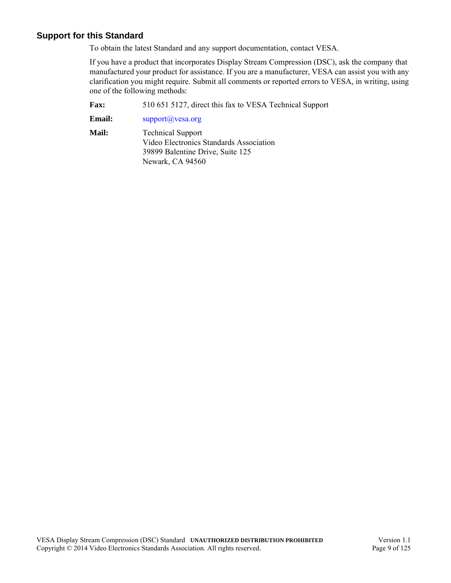#### <span id="page-8-0"></span>**Support for this Standard**

To obtain the latest Standard and any support documentation, contact VESA.

If you have a product that incorporates Display Stream Compression (DSC), ask the company that manufactured your product for assistance. If you are a manufacturer, VESA can assist you with any clarification you might require. Submit all comments or reported errors to VESA, in writing, using one of the following methods:

**Fax:** 510 651 5127, direct this fax to VESA Technical Support

**Email:** [support@vesa.org](mailto:support@vesa.org)

**Mail:** Technical Support Video Electronics Standards Association 39899 Balentine Drive, Suite 125 Newark, CA 94560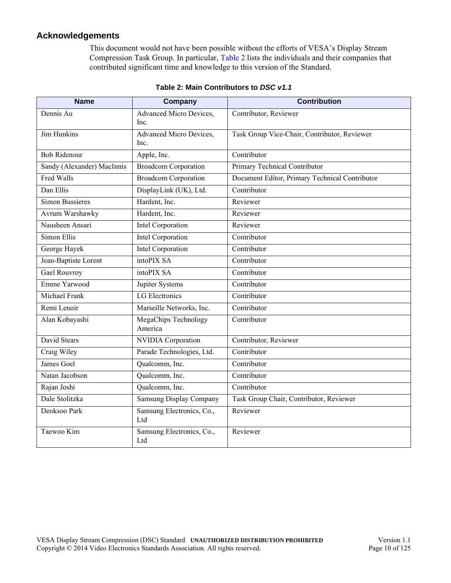#### <span id="page-9-0"></span>**Acknowledgements**

This document would not have been possible without the efforts of VESA's Display Stream Compression Task Group. In particular, [Table 2](#page-9-1) lists the individuals and their companies that contributed significant time and knowledge to this version of the Standard.

<span id="page-9-1"></span>

| <b>Name</b>                | Company                                | <b>Contribution</b>                            |
|----------------------------|----------------------------------------|------------------------------------------------|
| Dennis Au                  | <b>Advanced Micro Devices,</b><br>Inc. | Contributor, Reviewer                          |
| Jim Hunkins                | Advanced Micro Devices,<br>Inc.        | Task Group Vice-Chair, Contributor, Reviewer   |
| <b>Bob Ridenour</b>        | Apple, Inc.                            | Contributor                                    |
| Sandy (Alexander) MacInnis | <b>Broadcom Corporation</b>            | Primary Technical Contributor                  |
| Fred Walls                 | <b>Broadcom Corporation</b>            | Document Editor, Primary Technical Contributor |
| Dan Ellis                  | DisplayLink (UK), Ltd.                 | Contributor                                    |
| <b>Simon Bussieres</b>     | Hardent, Inc.                          | Reviewer                                       |
| Avrum Warshawky            | Hardent, Inc.                          | Reviewer                                       |
| Nausheen Ansari            | Intel Corporation                      | Reviewer                                       |
| Simon Ellis                | Intel Corporation                      | Contributor                                    |
| George Hayek               | <b>Intel Corporation</b>               | Contributor                                    |
| Jean-Baptiste Lorent       | intoPIX SA                             | Contributor                                    |
| <b>Gael Rouvroy</b>        | intoPIX SA                             | Contributor                                    |
| Emme Yarwood               | Jupiter Systems                        | Contributor                                    |
| Michael Frank              | LG Electronics                         | Contributor                                    |
| Remi Lenoir                | Marseille Networks, Inc.               | Contributor                                    |
| Alan Kobayashi             | <b>MegaChips Technology</b><br>America | Contributor                                    |
| David Stears               | <b>NVIDIA</b> Corporation              | Contributor, Reviewer                          |
| Craig Wiley                | Parade Technologies, Ltd.              | Contributor                                    |
| James Goel                 | Qualcomm, Inc.                         | Contributor                                    |
| Natan Jacobson             | Qualcomm, Inc.                         | Contributor                                    |
| Rajan Joshi                | Qualcomm, Inc.                         | Contributor                                    |
| Dale Stolitzka             | <b>Samsung Display Company</b>         | Task Group Chair, Contributor, Reviewer        |
| Deoksoo Park               | Samsung Electronics, Co.,<br>Ltd       | Reviewer                                       |
| Taewoo Kim                 | Samsung Electronics, Co.,<br>Ltd       | Reviewer                                       |

#### **Table 2: Main Contributors to** *DSC v1.1*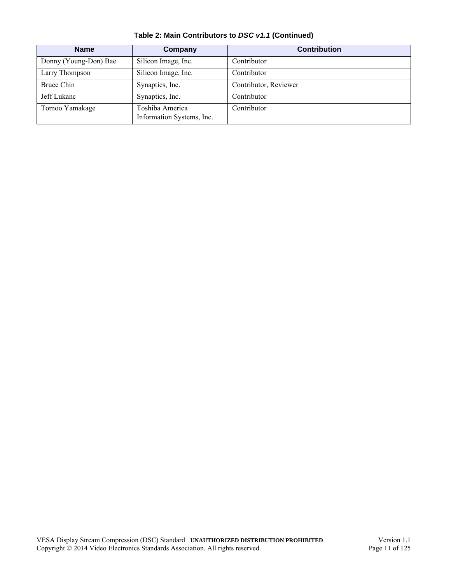| <b>Name</b>           | Company                                      | <b>Contribution</b>   |
|-----------------------|----------------------------------------------|-----------------------|
| Donny (Young-Don) Bae | Silicon Image, Inc.                          | Contributor           |
| Larry Thompson        | Silicon Image, Inc.                          | Contributor           |
| Bruce Chin            | Synaptics, Inc.                              | Contributor, Reviewer |
| Jeff Lukanc           | Synaptics, Inc.                              | Contributor           |
| Tomoo Yamakage        | Toshiba America<br>Information Systems, Inc. | Contributor           |

**Table 2: Main Contributors to** *DSC v1.1* **(Continued)**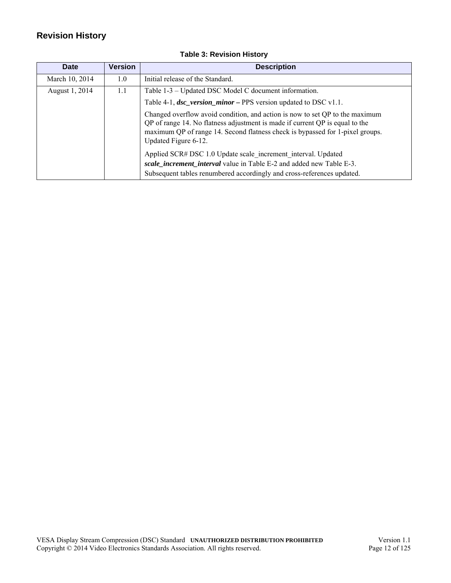## <span id="page-11-0"></span>**Revision History**

<span id="page-11-1"></span>

| Date           | <b>Version</b> | <b>Description</b>                                                                                                                                                                                                                                                    |
|----------------|----------------|-----------------------------------------------------------------------------------------------------------------------------------------------------------------------------------------------------------------------------------------------------------------------|
| March 10, 2014 | 1.0            | Initial release of the Standard.                                                                                                                                                                                                                                      |
| August 1, 2014 | 1.1            | Table 1-3 – Updated DSC Model C document information.                                                                                                                                                                                                                 |
|                |                | Table 4-1, $\text{dsc\_version\_minor}$ – PPS version updated to DSC v1.1.                                                                                                                                                                                            |
|                |                | Changed overflow avoid condition, and action is now to set QP to the maximum<br>QP of range 14. No flatness adjustment is made if current QP is equal to the<br>maximum QP of range 14. Second flatness check is bypassed for 1-pixel groups.<br>Updated Figure 6-12. |
|                |                | Applied SCR# DSC 1.0 Update scale increment interval. Updated                                                                                                                                                                                                         |
|                |                | scale_increment_interval value in Table E-2 and added new Table E-3.<br>Subsequent tables renumbered accordingly and cross-references updated.                                                                                                                        |

## **Table 3: [Revision History](#page-11-0)**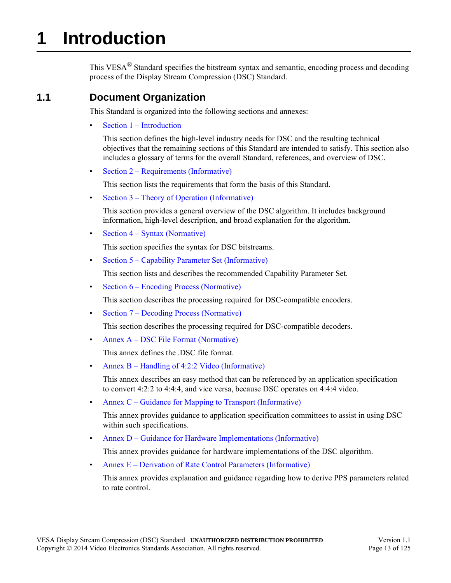# <span id="page-12-0"></span>**1 Introduction**

This VESA<sup>®</sup> Standard specifies the bitstream syntax and semantic, encoding process and decoding process of the Display Stream Compression (DSC) Standard.

## <span id="page-12-1"></span>**1.1 Document Organization**

This Standard is organized into the following sections and annexes:

• [Section 1 – Introduction](#page-12-0)

This section defines the high-level industry needs for DSC and the resulting technical objectives that the remaining sections of this Standard are intended to satisfy. This section also includes a glossary of terms for the overall Standard, references, and overview of DSC.

• [Section 2 – Requirements \(Informative\)](#page-20-1)

This section lists the requirements that form the basis of this Standard.

• [Section 3 – Theory of Operation \(Informative\)](#page-21-3)

[This section provides a general overview of the DSC algorithm. It includes background](#page-21-4)  [information, high-level description, and broad explanation for the algorithm.](#page-21-4)

• [Section 4 – Syntax \(Normative\)](#page-42-6)

[This section specifies the syntax for DSC bitstreams.](#page-42-7)

• [Section 5 – Capability Parameter Set \(Informative\)](#page-59-2)

This section lists and describes the recommended Capability Parameter Set.

• [Section 6 – Encoding Process \(Normative\)](#page-60-2)

This section describes the processing required for DSC-compatible encoders.

• [Section 7 – Decoding Process \(Normative\)](#page-96-3)

This section describes the processing required for DSC-compatible decoders.

• [Annex A – DSC File Format \(Normative\)](#page-102-2)

This annex defines the .DSC file format.

Annex  $B$  – Handling of 4:2:2 Video (Informative)

This annex describes an easy method that can be referenced by an application specification to convert 4:2:2 to 4:4:4, and vice versa, because DSC operates on 4:4:4 video.

• [Annex C – Guidance for Mapping to Transport \(Informative\)](#page-105-1)

[This annex provides guidance to application specification committees to assist in using DSC](#page-105-2)  [within such specifications.](#page-105-2)

• [Annex D – Guidance for Hardware Implementations \(Informative\)](#page-107-2)

[This annex provides guidance for hardware implementations of the DSC algorithm.](#page-107-3)

• [Annex E – Derivation of Rate Control Parameters \(Informative\)](#page-109-2)

This annex provides explanation and guidance regarding how to derive PPS parameters related to rate control.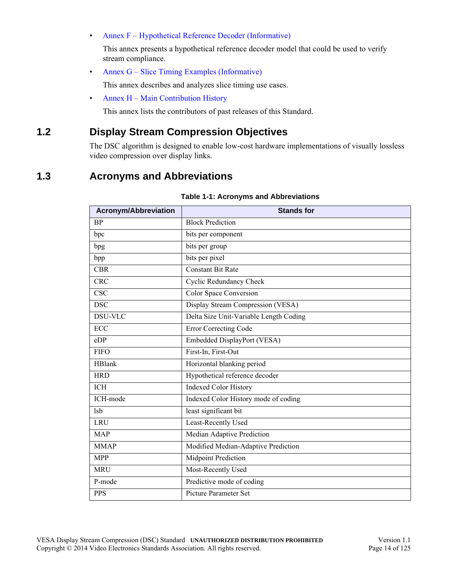• [Annex F – Hypothetical Reference Decoder \(Informative\)](#page-114-2)

[This annex presents a hypothetical reference decoder model that could be used to verify](#page-114-3)  [stream compliance.](#page-114-3)

• [Annex G – Slice Timing Examples \(Informative\)](#page-116-3)

[This annex describes and analyzes slice timing use cases.](#page-116-4)

• [Annex H – Main Contribution History](#page-124-2)

This annex lists the contributors of past releases of this Standard.

## <span id="page-13-0"></span>**1.2 Display Stream Compression Objectives**

The DSC algorithm is designed to enable low-cost hardware implementations of visually lossless video compression over display links.

## <span id="page-13-1"></span>**1.3 Acronyms and Abbreviations**

<span id="page-13-2"></span>

| <b>Acronym/Abbreviation</b> | <b>Stands for</b>                      |
|-----------------------------|----------------------------------------|
| <b>BP</b>                   | <b>Block Prediction</b>                |
| bpc                         | bits per component                     |
| bpg                         | bits per group                         |
| bpp                         | bits per pixel                         |
| <b>CBR</b>                  | <b>Constant Bit Rate</b>               |
| <b>CRC</b>                  | <b>Cyclic Redundancy Check</b>         |
| <b>CSC</b>                  | <b>Color Space Conversion</b>          |
| <b>DSC</b>                  | Display Stream Compression (VESA)      |
| <b>DSU-VLC</b>              | Delta Size Unit-Variable Length Coding |
| ECC                         | <b>Error Correcting Code</b>           |
| eDP                         | Embedded DisplayPort (VESA)            |
| <b>FIFO</b>                 | First-In, First-Out                    |
| <b>HBlank</b>               | Horizontal blanking period             |
| <b>HRD</b>                  | Hypothetical reference decoder         |
| ICH                         | <b>Indexed Color History</b>           |
| ICH-mode                    | Indexed Color History mode of coding   |
| <b>lsb</b>                  | least significant bit                  |
| <b>LRU</b>                  | Least-Recently Used                    |
| <b>MAP</b>                  | Median Adaptive Prediction             |
| <b>MMAP</b>                 | Modified Median-Adaptive Prediction    |
| <b>MPP</b>                  | <b>Midpoint Prediction</b>             |
| <b>MRU</b>                  | Most-Recently Used                     |
| P-mode                      | Predictive mode of coding              |
| <b>PPS</b>                  | Picture Parameter Set                  |

#### **Table 1-1: [Acronyms and Abbreviations](#page-13-1)**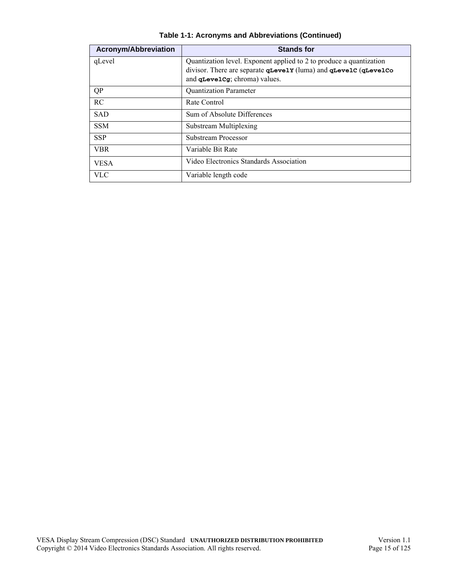| <b>Acronym/Abbreviation</b> | <b>Stands for</b>                                                                                                                                                        |
|-----------------------------|--------------------------------------------------------------------------------------------------------------------------------------------------------------------------|
| qLevel                      | Quantization level. Exponent applied to 2 to produce a quantization<br>divisor. There are separate quevely (luma) and quevelc (quevelco<br>and qLevelcg; chroma) values. |
| <b>QP</b>                   | <b>Quantization Parameter</b>                                                                                                                                            |
| RC                          | Rate Control                                                                                                                                                             |
| <b>SAD</b>                  | Sum of Absolute Differences                                                                                                                                              |
| <b>SSM</b>                  | Substream Multiplexing                                                                                                                                                   |
| <b>SSP</b>                  | Substream Processor                                                                                                                                                      |
| <b>VBR</b>                  | Variable Bit Rate                                                                                                                                                        |
| <b>VESA</b>                 | Video Electronics Standards Association                                                                                                                                  |
| <b>VLC</b>                  | Variable length code                                                                                                                                                     |

**Table 1-1: Acronyms and Abbreviations (Continued)**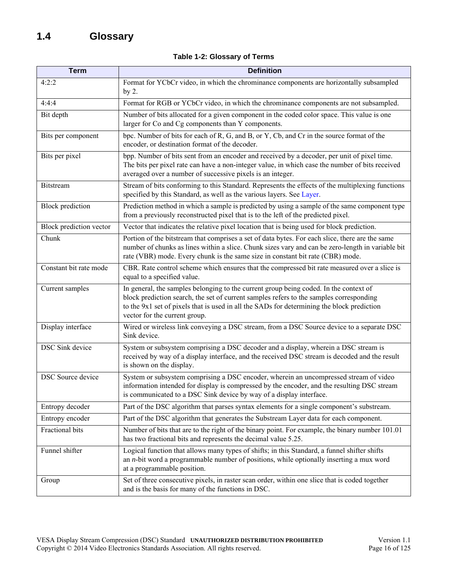|  |  | Table 1-2: Glossary of Terms |  |  |
|--|--|------------------------------|--|--|
|--|--|------------------------------|--|--|

<span id="page-15-3"></span><span id="page-15-2"></span><span id="page-15-1"></span><span id="page-15-0"></span>

| <b>Term</b>              | <b>Definition</b>                                                                                                                                                                                                                                                                                               |
|--------------------------|-----------------------------------------------------------------------------------------------------------------------------------------------------------------------------------------------------------------------------------------------------------------------------------------------------------------|
| 4:2:2                    | Format for YCbCr video, in which the chrominance components are horizontally subsampled<br>by $2.$                                                                                                                                                                                                              |
| 4:4:4                    | Format for RGB or YCbCr video, in which the chrominance components are not subsampled.                                                                                                                                                                                                                          |
| Bit depth                | Number of bits allocated for a given component in the coded color space. This value is one<br>larger for Co and Cg components than Y components.                                                                                                                                                                |
| Bits per component       | bpc. Number of bits for each of R, G, and B, or Y, Cb, and Cr in the source format of the<br>encoder, or destination format of the decoder.                                                                                                                                                                     |
| Bits per pixel           | bpp. Number of bits sent from an encoder and received by a decoder, per unit of pixel time.<br>The bits per pixel rate can have a non-integer value, in which case the number of bits received<br>averaged over a number of successive pixels is an integer.                                                    |
| <b>Bitstream</b>         | Stream of bits conforming to this Standard. Represents the effects of the multiplexing functions<br>specified by this Standard, as well as the various layers. See Layer.                                                                                                                                       |
| <b>Block</b> prediction  | Prediction method in which a sample is predicted by using a sample of the same component type<br>from a previously reconstructed pixel that is to the left of the predicted pixel.                                                                                                                              |
| Block prediction vector  | Vector that indicates the relative pixel location that is being used for block prediction.                                                                                                                                                                                                                      |
| Chunk                    | Portion of the bitstream that comprises a set of data bytes. For each slice, there are the same<br>number of chunks as lines within a slice. Chunk sizes vary and can be zero-length in variable bit<br>rate (VBR) mode. Every chunk is the same size in constant bit rate (CBR) mode.                          |
| Constant bit rate mode   | CBR. Rate control scheme which ensures that the compressed bit rate measured over a slice is<br>equal to a specified value.                                                                                                                                                                                     |
| Current samples          | In general, the samples belonging to the current group being coded. In the context of<br>block prediction search, the set of current samples refers to the samples corresponding<br>to the 9x1 set of pixels that is used in all the SADs for determining the block prediction<br>vector for the current group. |
| Display interface        | Wired or wireless link conveying a DSC stream, from a DSC Source device to a separate DSC<br>Sink device.                                                                                                                                                                                                       |
| <b>DSC Sink device</b>   | System or subsystem comprising a DSC decoder and a display, wherein a DSC stream is<br>received by way of a display interface, and the received DSC stream is decoded and the result<br>is shown on the display.                                                                                                |
| <b>DSC</b> Source device | System or subsystem comprising a DSC encoder, wherein an uncompressed stream of video<br>information intended for display is compressed by the encoder, and the resulting DSC stream<br>is communicated to a DSC Sink device by way of a display interface.                                                     |
| Entropy decoder          | Part of the DSC algorithm that parses syntax elements for a single component's substream.                                                                                                                                                                                                                       |
| Entropy encoder          | Part of the DSC algorithm that generates the Substream Layer data for each component.                                                                                                                                                                                                                           |
| Fractional bits          | Number of bits that are to the right of the binary point. For example, the binary number 101.01<br>has two fractional bits and represents the decimal value 5.25.                                                                                                                                               |
| Funnel shifter           | Logical function that allows many types of shifts; in this Standard, a funnel shifter shifts<br>an $n$ -bit word a programmable number of positions, while optionally inserting a mux word<br>at a programmable position.                                                                                       |
| Group                    | Set of three consecutive pixels, in raster scan order, within one slice that is coded together<br>and is the basis for many of the functions in DSC.                                                                                                                                                            |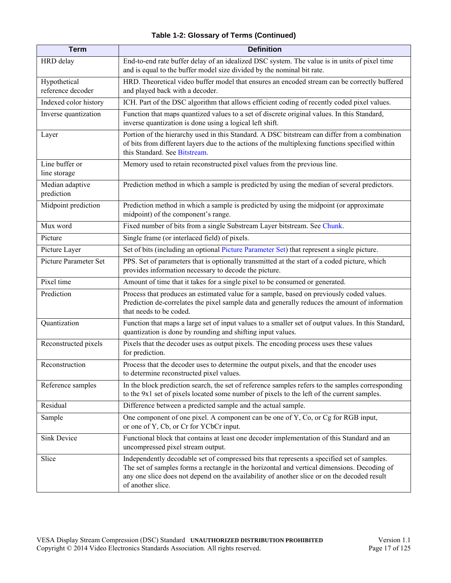#### **Table 1-2: Glossary of Terms (Continued)**

<span id="page-16-1"></span><span id="page-16-0"></span>

| <b>Term</b>                       | <b>Definition</b>                                                                                                                                                                                                                                                                                             |
|-----------------------------------|---------------------------------------------------------------------------------------------------------------------------------------------------------------------------------------------------------------------------------------------------------------------------------------------------------------|
| HRD delay                         | End-to-end rate buffer delay of an idealized DSC system. The value is in units of pixel time<br>and is equal to the buffer model size divided by the nominal bit rate.                                                                                                                                        |
| Hypothetical<br>reference decoder | HRD. Theoretical video buffer model that ensures an encoded stream can be correctly buffered<br>and played back with a decoder.                                                                                                                                                                               |
| Indexed color history             | ICH. Part of the DSC algorithm that allows efficient coding of recently coded pixel values.                                                                                                                                                                                                                   |
| Inverse quantization              | Function that maps quantized values to a set of discrete original values. In this Standard,<br>inverse quantization is done using a logical left shift.                                                                                                                                                       |
| Layer                             | Portion of the hierarchy used in this Standard. A DSC bitstream can differ from a combination<br>of bits from different layers due to the actions of the multiplexing functions specified within<br>this Standard. See Bitstream.                                                                             |
| Line buffer or<br>line storage    | Memory used to retain reconstructed pixel values from the previous line.                                                                                                                                                                                                                                      |
| Median adaptive<br>prediction     | Prediction method in which a sample is predicted by using the median of several predictors.                                                                                                                                                                                                                   |
| Midpoint prediction               | Prediction method in which a sample is predicted by using the midpoint (or approximate<br>midpoint) of the component's range.                                                                                                                                                                                 |
| Mux word                          | Fixed number of bits from a single Substream Layer bitstream. See Chunk.                                                                                                                                                                                                                                      |
| Picture                           | Single frame (or interlaced field) of pixels.                                                                                                                                                                                                                                                                 |
| Picture Layer                     | Set of bits (including an optional Picture Parameter Set) that represent a single picture.                                                                                                                                                                                                                    |
| Picture Parameter Set             | PPS. Set of parameters that is optionally transmitted at the start of a coded picture, which<br>provides information necessary to decode the picture.                                                                                                                                                         |
| Pixel time                        | Amount of time that it takes for a single pixel to be consumed or generated.                                                                                                                                                                                                                                  |
| Prediction                        | Process that produces an estimated value for a sample, based on previously coded values.<br>Prediction de-correlates the pixel sample data and generally reduces the amount of information<br>that needs to be coded.                                                                                         |
| Quantization                      | Function that maps a large set of input values to a smaller set of output values. In this Standard,<br>quantization is done by rounding and shifting input values.                                                                                                                                            |
| Reconstructed pixels              | Pixels that the decoder uses as output pixels. The encoding process uses these values<br>for prediction.                                                                                                                                                                                                      |
| Reconstruction                    | Process that the decoder uses to determine the output pixels, and that the encoder uses<br>to determine reconstructed pixel values.                                                                                                                                                                           |
| Reference samples                 | In the block prediction search, the set of reference samples refers to the samples corresponding<br>to the 9x1 set of pixels located some number of pixels to the left of the current samples.                                                                                                                |
| Residual                          | Difference between a predicted sample and the actual sample.                                                                                                                                                                                                                                                  |
| Sample                            | One component of one pixel. A component can be one of Y, Co, or Cg for RGB input,<br>or one of Y, Cb, or Cr for YCbCr input.                                                                                                                                                                                  |
| Sink Device                       | Functional block that contains at least one decoder implementation of this Standard and an<br>uncompressed pixel stream output.                                                                                                                                                                               |
| Slice                             | Independently decodable set of compressed bits that represents a specified set of samples.<br>The set of samples forms a rectangle in the horizontal and vertical dimensions. Decoding of<br>any one slice does not depend on the availability of another slice or on the decoded result<br>of another slice. |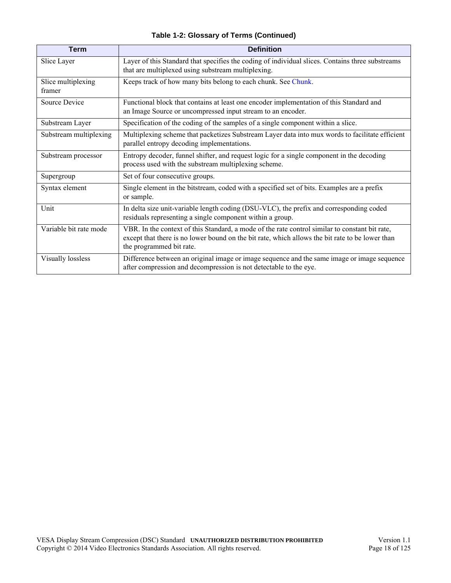|  |  |  | Table 1-2: Glossary of Terms (Continued) |
|--|--|--|------------------------------------------|
|--|--|--|------------------------------------------|

| <b>Term</b>                  | <b>Definition</b>                                                                                                                                                                                                             |
|------------------------------|-------------------------------------------------------------------------------------------------------------------------------------------------------------------------------------------------------------------------------|
| Slice Layer                  | Layer of this Standard that specifies the coding of individual slices. Contains three substreams<br>that are multiplexed using substream multiplexing.                                                                        |
| Slice multiplexing<br>framer | Keeps track of how many bits belong to each chunk. See Chunk.                                                                                                                                                                 |
| Source Device                | Functional block that contains at least one encoder implementation of this Standard and<br>an Image Source or uncompressed input stream to an encoder.                                                                        |
| Substream Layer              | Specification of the coding of the samples of a single component within a slice.                                                                                                                                              |
| Substream multiplexing       | Multiplexing scheme that packetizes Substream Layer data into mux words to facilitate efficient<br>parallel entropy decoding implementations.                                                                                 |
| Substream processor          | Entropy decoder, funnel shifter, and request logic for a single component in the decoding<br>process used with the substream multiplexing scheme.                                                                             |
| Supergroup                   | Set of four consecutive groups.                                                                                                                                                                                               |
| Syntax element               | Single element in the bitstream, coded with a specified set of bits. Examples are a prefix<br>or sample.                                                                                                                      |
| Unit                         | In delta size unit-variable length coding (DSU-VLC), the prefix and corresponding coded<br>residuals representing a single component within a group.                                                                          |
| Variable bit rate mode       | VBR. In the context of this Standard, a mode of the rate control similar to constant bit rate,<br>except that there is no lower bound on the bit rate, which allows the bit rate to be lower than<br>the programmed bit rate. |
| Visually lossless            | Difference between an original image or image sequence and the same image or image sequence<br>after compression and decompression is not detectable to the eye.                                                              |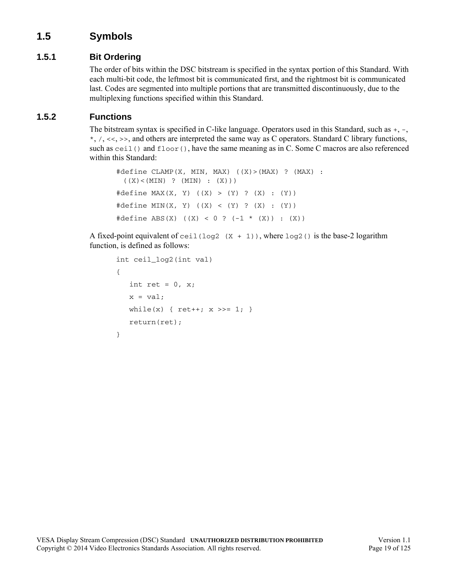## <span id="page-18-0"></span>**1.5 Symbols**

### <span id="page-18-1"></span>**1.5.1 Bit Ordering**

The order of bits within the DSC bitstream is specified in the syntax portion of this Standard. With each multi-bit code, the leftmost bit is communicated first, and the rightmost bit is communicated last. Codes are segmented into multiple portions that are transmitted discontinuously, due to the multiplexing functions specified within this Standard.

#### <span id="page-18-2"></span>**1.5.2 Functions**

The bitstream syntax is specified in C-like language. Operators used in this Standard, such as +, -,  $*, \, \langle, \langle \langle \rangle \rangle$ ,  $\langle \langle \rangle$ ,  $\rangle$ , and others are interpreted the same way as C operators. Standard C library functions, such as ceil() and floor(), have the same meaning as in C. Some C macros are also referenced within this Standard:

```
#define CLAMP(X, MIN, MAX) ((X)>(MAX) ? (MAX) : 
 ((X) < (MIN) ? (MIN) : (X)))
#define MAX(X, Y) ((X) > (Y) ? (X) : (Y))
#define MIN(X, Y) ((X) < (Y) ? (X) : (Y))
#define ABS(X) ((X) < 0 ? (-1 * (X)) : (X))
```
A fixed-point equivalent of ceil (log2  $(X + 1)$ ), where log2() is the base-2 logarithm function, is defined as follows:

```
int ceil_log2(int val)
{
   int ret = 0, x;x = val;while(x) { ret++; x \gg= 1; }
   return(ret);
}
```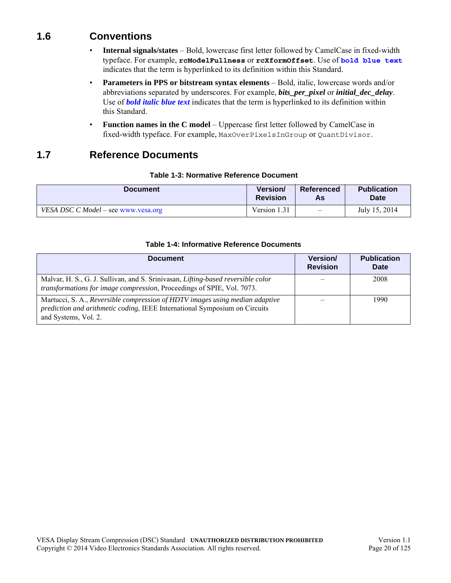## <span id="page-19-0"></span>**1.6 Conventions**

- **Internal signals/states** Bold, lowercase first letter followed by CamelCase in fixed-width typeface. For example, **rcModelFullness** or **rcXformOffset**. Use of **bold blue text** indicates that the term is hyperlinked to its definition within this Standard.
- **Parameters in PPS or bitstream syntax elements** Bold, italic, lowercase words and/or abbreviations separated by underscores. For example, *[bits\\_per\\_pixel](#page-43-0)* or *[initial\\_dec\\_delay](#page-44-2)*. Use of *bold italic blue text* indicates that the term is hyperlinked to its definition within this Standard.
- **Function names in the C model** Uppercase first letter followed by CamelCase in fixed-width typeface. For example, MaxOverPixelsInGroup or QuantDivisor.

## <span id="page-19-1"></span>**1.7 Reference Documents**

#### **Table 1-3: Normative Reference Document**

<span id="page-19-2"></span>

| <b>Document</b>                     | <b>Version/</b> | <b>Referenced</b>        | <b>Publication</b> |
|-------------------------------------|-----------------|--------------------------|--------------------|
|                                     | <b>Revision</b> | As                       | <b>Date</b>        |
| VESA DSC C Model – see www.vesa.org | Version 1.31    | $\overline{\phantom{0}}$ | July 15, 2014      |

#### **Table 1-4: Informative Reference Documents**

<span id="page-19-3"></span>

| <b>Document</b>                                                                                                                                                                    | Version/<br><b>Revision</b> | <b>Publication</b><br>Date |
|------------------------------------------------------------------------------------------------------------------------------------------------------------------------------------|-----------------------------|----------------------------|
| Malvar, H. S., G. J. Sullivan, and S. Srinivasan, Lifting-based reversible color<br>transformations for image compression, Proceedings of SPIE, Vol. 7073.                         |                             | 2008                       |
| Martucci, S. A., Reversible compression of HDTV images using median adaptive<br>prediction and arithmetic coding, IEEE International Symposium on Circuits<br>and Systems, Vol. 2. |                             | 1990                       |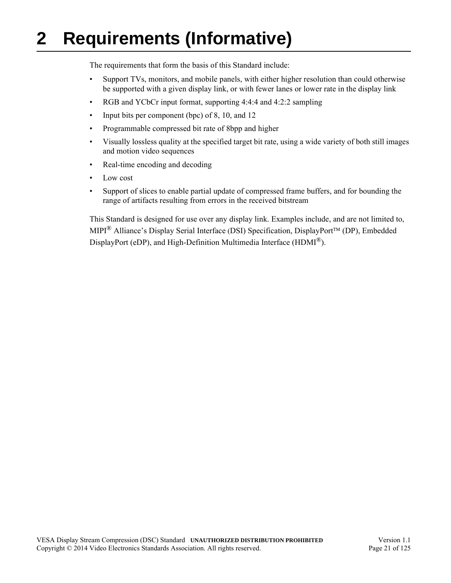# <span id="page-20-1"></span><span id="page-20-0"></span>**2 Requirements (Informative)**

The requirements that form the basis of this Standard include:

- Support TVs, monitors, and mobile panels, with either higher resolution than could otherwise be supported with a given display link, or with fewer lanes or lower rate in the display link
- RGB and YCbCr input format, supporting 4:4:4 and 4:2:2 sampling
- Input bits per component (bpc) of 8, 10, and 12
- Programmable compressed bit rate of 8bpp and higher
- Visually lossless quality at the specified target bit rate, using a wide variety of both still images and motion video sequences
- Real-time encoding and decoding
- Low cost
- Support of slices to enable partial update of compressed frame buffers, and for bounding the range of artifacts resulting from errors in the received bitstream

This Standard is designed for use over any display link. Examples include, and are not limited to, MIPI® Alliance's Display Serial Interface (DSI) Specification, DisplayPort™ (DP), Embedded DisplayPort (eDP), and High-Definition Multimedia Interface (HDMI<sup>®</sup>).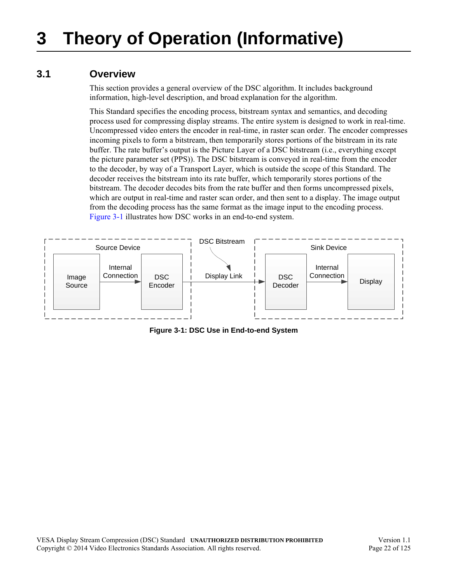## <span id="page-21-3"></span><span id="page-21-1"></span><span id="page-21-0"></span>**3.1 Overview**

<span id="page-21-4"></span>This section provides a general overview of the DSC algorithm. It includes background information, high-level description, and broad explanation for the algorithm.

This Standard specifies the encoding process, bitstream syntax and semantics, and decoding process used for compressing display streams. The entire system is designed to work in real-time. Uncompressed video enters the encoder in real-time, in raster scan order. The encoder compresses incoming pixels to form a bitstream, then temporarily stores portions of the bitstream in its rate buffer. The rate buffer's output is the Picture Layer of a DSC bitstream (i.e., everything except the picture parameter set (PPS)). The DSC bitstream is conveyed in real-time from the encoder to the decoder, by way of a Transport Layer, which is outside the scope of this Standard. The decoder receives the bitstream into its rate buffer, which temporarily stores portions of the bitstream. The decoder decodes bits from the rate buffer and then forms uncompressed pixels, which are output in real-time and raster scan order, and then sent to a display. The image output from the decoding process has the same format as the image input to the encoding process. [Figure 3-1](#page-21-2) illustrates how DSC works in an end-to-end system.

<span id="page-21-2"></span>

**Figure 3-1: DSC Use in End-to-end System**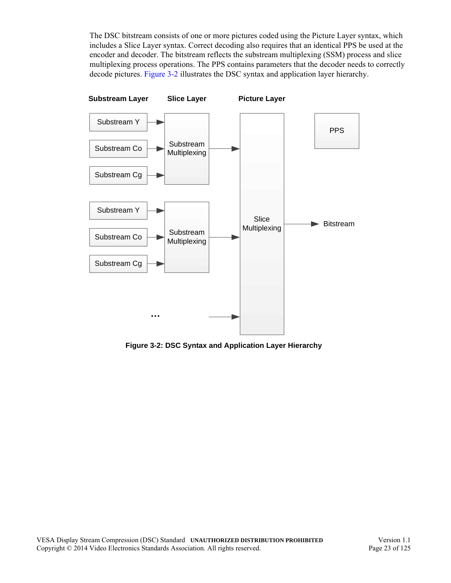The DSC bitstream consists of one or more pictures coded using the Picture Layer syntax, which includes a Slice Layer syntax. Correct decoding also requires that an identical PPS be used at the encoder and decoder. The bitstream reflects the substream multiplexing (SSM) process and slice multiplexing process operations. The PPS contains parameters that the decoder needs to correctly decode pictures. [Figure 3-2](#page-22-0) illustrates the DSC syntax and application layer hierarchy.



<span id="page-22-0"></span>**Figure 3-2: DSC Syntax and Application Layer Hierarchy**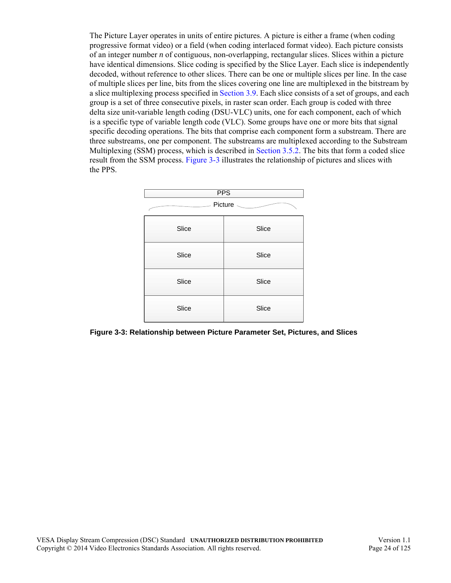The Picture Layer operates in units of entire pictures. A picture is either a frame (when coding progressive format video) or a field (when coding interlaced format video). Each picture consists of an integer number *n* of contiguous, non-overlapping, rectangular slices. Slices within a picture have identical dimensions. Slice coding is specified by the Slice Layer. Each slice is independently decoded, without reference to other slices. There can be one or multiple slices per line. In the case of multiple slices per line, bits from the slices covering one line are multiplexed in the bitstream by a slice multiplexing process specified in [Section 3.9.](#page-41-0) Each slice consists of a set of groups, and each group is a set of three consecutive pixels, in raster scan order. Each group is coded with three delta size unit-variable length coding (DSU-VLC) units, one for each component, each of which is a specific type of variable length code (VLC). Some groups have one or more bits that signal specific decoding operations. The bits that comprise each component form a substream. There are three substreams, one per component. The substreams are multiplexed according to the Substream Multiplexing (SSM) process, which is described in [Section 3.5.2.](#page-31-0) The bits that form a coded slice result from the SSM process. [Figure 3-3](#page-23-0) illustrates the relationship of pictures and slices with the PPS.



<span id="page-23-0"></span>**Figure 3-3: Relationship between Picture Parameter Set, Pictures, and Slices**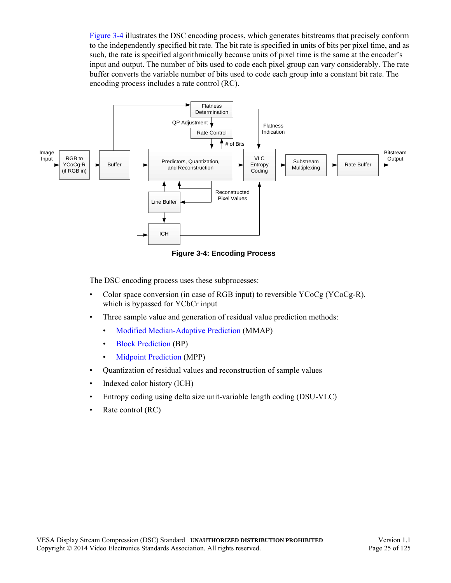[Figure 3-4](#page-24-0) illustrates the DSC encoding process, which generates bitstreams that precisely conform to the independently specified bit rate. The bit rate is specified in units of bits per pixel time, and as such, the rate is specified algorithmically because units of pixel time is the same at the encoder's input and output. The number of bits used to code each pixel group can vary considerably. The rate buffer converts the variable number of bits used to code each group into a constant bit rate. The encoding process includes a rate control (RC).



**Figure 3-4: Encoding Process**

<span id="page-24-0"></span>The DSC encoding process uses these subprocesses:

- Color space conversion (in case of RGB input) to reversible YCoCg (YCoCg-R), which is bypassed for YCbCr input
- Three sample value and generation of residual value prediction methods:
	- [Modified Median-Adaptive Prediction](#page-26-2) (MMAP)
	- [Block Prediction](#page-27-0) (BP)
	- [Midpoint Prediction](#page-28-0) (MPP)
- Quantization of residual values and reconstruction of sample values
- Indexed color history (ICH)
- Entropy coding using delta size unit-variable length coding (DSU-VLC)
- Rate control (RC)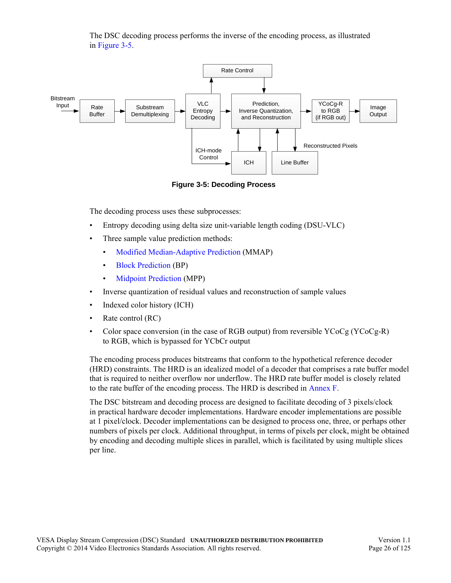The DSC decoding process performs the inverse of the encoding process, as illustrated in [Figure 3-5](#page-25-0).



**Figure 3-5: Decoding Process**

<span id="page-25-0"></span>The decoding process uses these subprocesses:

- Entropy decoding using delta size unit-variable length coding (DSU-VLC)
- Three sample value prediction methods:
	- [Modified Median-Adaptive Prediction](#page-26-2) (MMAP)
	- [Block Prediction](#page-27-0) (BP)
	- [Midpoint Prediction](#page-28-0) (MPP)
- Inverse quantization of residual values and reconstruction of sample values
- Indexed color history (ICH)
- Rate control (RC)
- Color space conversion (in the case of RGB output) from reversible  $YCoCg (YCoCg-R)$ to RGB, which is bypassed for YCbCr output

The encoding process produces bitstreams that conform to the hypothetical reference decoder (HRD) constraints. The HRD is an idealized model of a decoder that comprises a rate buffer model that is required to neither overflow nor underflow. The HRD rate buffer model is closely related to the rate buffer of the encoding process. The HRD is described in [Annex F.](#page-114-2)

The DSC bitstream and decoding process are designed to facilitate decoding of 3 pixels/clock in practical hardware decoder implementations. Hardware encoder implementations are possible at 1 pixel/clock. Decoder implementations can be designed to process one, three, or perhaps other numbers of pixels per clock. Additional throughput, in terms of pixels per clock, might be obtained by encoding and decoding multiple slices in parallel, which is facilitated by using multiple slices per line.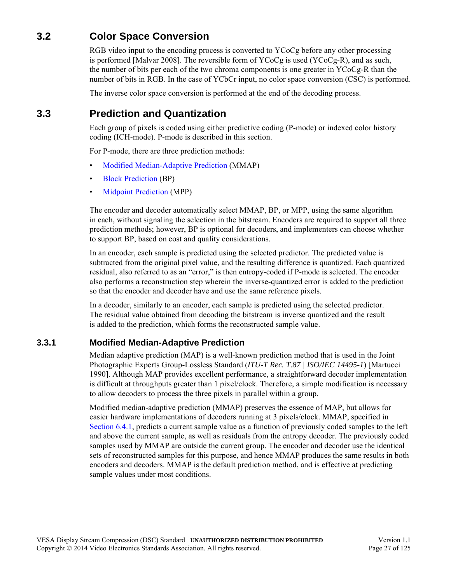# <span id="page-26-0"></span>**3.2 Color Space Conversion**

RGB video input to the encoding process is converted to YCoCg before any other processing is performed [Malvar 2008]. The reversible form of YCoCg is used (YCoCg-R), and as such, the number of bits per each of the two chroma components is one greater in YCoCg-R than the number of bits in RGB. In the case of YCbCr input, no color space conversion (CSC) is performed.

The inverse color space conversion is performed at the end of the decoding process.

## <span id="page-26-1"></span>**3.3 Prediction and Quantization**

Each group of pixels is coded using either predictive coding (P-mode) or indexed color history coding (ICH-mode). P-mode is described in this section.

For P-mode, there are three prediction methods:

- [Modified Median-Adaptive Prediction](#page-26-2) (MMAP)
- [Block Prediction](#page-27-0) (BP)
- [Midpoint Prediction](#page-28-0) (MPP)

The encoder and decoder automatically select MMAP, BP, or MPP, using the same algorithm in each, without signaling the selection in the bitstream. Encoders are required to support all three prediction methods; however, BP is optional for decoders, and implementers can choose whether to support BP, based on cost and quality considerations.

In an encoder, each sample is predicted using the selected predictor. The predicted value is subtracted from the original pixel value, and the resulting difference is quantized. Each quantized residual, also referred to as an "error," is then entropy-coded if P-mode is selected. The encoder also performs a reconstruction step wherein the inverse-quantized error is added to the prediction so that the encoder and decoder have and use the same reference pixels.

In a decoder, similarly to an encoder, each sample is predicted using the selected predictor. The residual value obtained from decoding the bitstream is inverse quantized and the result is added to the prediction, which forms the reconstructed sample value.

#### <span id="page-26-2"></span>**3.3.1 Modified Median-Adaptive Prediction**

Median adaptive prediction (MAP) is a well-known prediction method that is used in the Joint Photographic Experts Group-Lossless Standard (*ITU-T Rec. T.87 | ISO/IEC 14495-1*) [Martucci 1990]. Although MAP provides excellent performance, a straightforward decoder implementation is difficult at throughputs greater than 1 pixel/clock. Therefore, a simple modification is necessary to allow decoders to process the three pixels in parallel within a group.

Modified median-adaptive prediction (MMAP) preserves the essence of MAP, but allows for easier hardware implementations of decoders running at 3 pixels/clock. MMAP, specified in [Section 6.4.1](#page-62-3), predicts a current sample value as a function of previously coded samples to the left and above the current sample, as well as residuals from the entropy decoder. The previously coded samples used by MMAP are outside the current group. The encoder and decoder use the identical sets of reconstructed samples for this purpose, and hence MMAP produces the same results in both encoders and decoders. MMAP is the default prediction method, and is effective at predicting sample values under most conditions.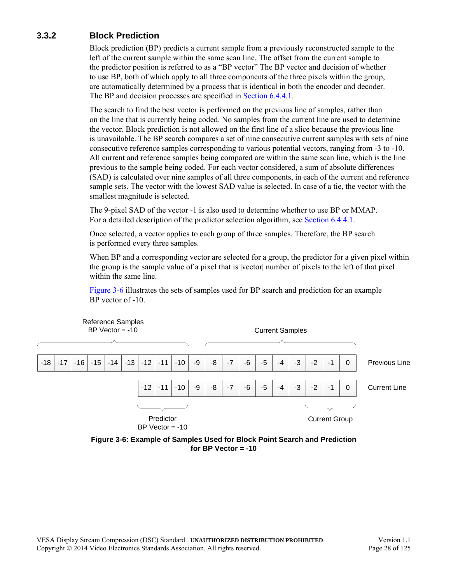## <span id="page-27-0"></span>**3.3.2 Block Prediction**

Block prediction (BP) predicts a current sample from a previously reconstructed sample to the left of the current sample within the same scan line. The offset from the current sample to the predictor position is referred to as a "BP vector" The BP vector and decision of whether to use BP, both of which apply to all three components of the three pixels within the group, are automatically determined by a process that is identical in both the encoder and decoder. The BP and decision processes are specified in [Section 6.4.4.1](#page-65-2).

The search to find the best vector is performed on the previous line of samples, rather than on the line that is currently being coded. No samples from the current line are used to determine the vector. Block prediction is not allowed on the first line of a slice because the previous line is unavailable. The BP search compares a set of nine consecutive current samples with sets of nine consecutive reference samples corresponding to various potential vectors, ranging from -3 to -10. All current and reference samples being compared are within the same scan line, which is the line previous to the sample being coded. For each vector considered, a sum of absolute differences (SAD) is calculated over nine samples of all three components, in each of the current and reference sample sets. The vector with the lowest SAD value is selected. In case of a tie, the vector with the smallest magnitude is selected.

The 9-pixel SAD of the vector -1 is also used to determine whether to use BP or MMAP. For a detailed description of the predictor selection algorithm, see [Section 6.4.4.1.](#page-65-2)

Once selected, a vector applies to each group of three samples. Therefore, the BP search is performed every three samples.

When BP and a corresponding vector are selected for a group, the predictor for a given pixel within the group is the sample value of a pixel that is |vector| number of pixels to the left of that pixel within the same line.

[Figure 3-6](#page-27-1) illustrates the sets of samples used for BP search and prediction for an example BP vector of -10.



<span id="page-27-1"></span>**Figure 3-6: Example of Samples Used for Block Point Search and Prediction for BP Vector = -10**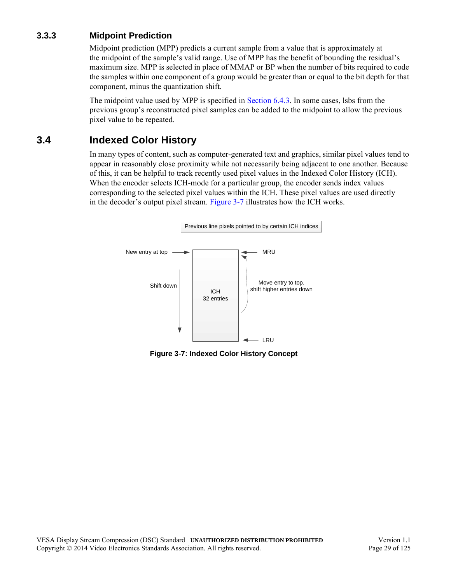### <span id="page-28-0"></span>**3.3.3 Midpoint Prediction**

Midpoint prediction (MPP) predicts a current sample from a value that is approximately at the midpoint of the sample's valid range. Use of MPP has the benefit of bounding the residual's maximum size. MPP is selected in place of MMAP or BP when the number of bits required to code the samples within one component of a group would be greater than or equal to the bit depth for that component, minus the quantization shift.

The midpoint value used by MPP is specified in [Section 6.4.3](#page-64-2). In some cases, lsbs from the previous group's reconstructed pixel samples can be added to the midpoint to allow the previous pixel value to be repeated.

## <span id="page-28-1"></span>**3.4 Indexed Color History**

In many types of content, such as computer-generated text and graphics, similar pixel values tend to appear in reasonably close proximity while not necessarily being adjacent to one another. Because of this, it can be helpful to track recently used pixel values in the Indexed Color History (ICH). When the encoder selects ICH-mode for a particular group, the encoder sends index values corresponding to the selected pixel values within the ICH. These pixel values are used directly in the decoder's output pixel stream. [Figure 3-7](#page-28-2) illustrates how the ICH works.



<span id="page-28-2"></span>**Figure 3-7: Indexed Color History Concept**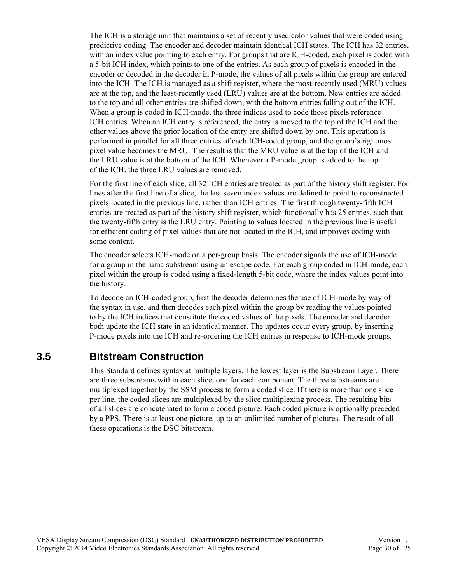The ICH is a storage unit that maintains a set of recently used color values that were coded using predictive coding. The encoder and decoder maintain identical ICH states. The ICH has 32 entries, with an index value pointing to each entry. For groups that are ICH-coded, each pixel is coded with a 5-bit ICH index, which points to one of the entries. As each group of pixels is encoded in the encoder or decoded in the decoder in P-mode, the values of all pixels within the group are entered into the ICH. The ICH is managed as a shift register, where the most-recently used (MRU) values are at the top, and the least-recently used (LRU) values are at the bottom. New entries are added to the top and all other entries are shifted down, with the bottom entries falling out of the ICH. When a group is coded in ICH-mode, the three indices used to code those pixels reference ICH entries. When an ICH entry is referenced, the entry is moved to the top of the ICH and the other values above the prior location of the entry are shifted down by one. This operation is performed in parallel for all three entries of each ICH-coded group, and the group's rightmost pixel value becomes the MRU. The result is that the MRU value is at the top of the ICH and the LRU value is at the bottom of the ICH. Whenever a P-mode group is added to the top of the ICH, the three LRU values are removed.

For the first line of each slice, all 32 ICH entries are treated as part of the history shift register. For lines after the first line of a slice, the last seven index values are defined to point to reconstructed pixels located in the previous line, rather than ICH entries. The first through twenty-fifth ICH entries are treated as part of the history shift register, which functionally has 25 entries, such that the twenty-fifth entry is the LRU entry. Pointing to values located in the previous line is useful for efficient coding of pixel values that are not located in the ICH, and improves coding with some content.

The encoder selects ICH-mode on a per-group basis. The encoder signals the use of ICH-mode for a group in the luma substream using an escape code. For each group coded in ICH-mode, each pixel within the group is coded using a fixed-length 5-bit code, where the index values point into the history.

To decode an ICH-coded group, first the decoder determines the use of ICH-mode by way of the syntax in use, and then decodes each pixel within the group by reading the values pointed to by the ICH indices that constitute the coded values of the pixels. The encoder and decoder both update the ICH state in an identical manner. The updates occur every group, by inserting P-mode pixels into the ICH and re-ordering the ICH entries in response to ICH-mode groups.

## <span id="page-29-0"></span>**3.5 Bitstream Construction**

This Standard defines syntax at multiple layers. The lowest layer is the Substream Layer. There are three substreams within each slice, one for each component. The three substreams are multiplexed together by the SSM process to form a coded slice. If there is more than one slice per line, the coded slices are multiplexed by the slice multiplexing process. The resulting bits of all slices are concatenated to form a coded picture. Each coded picture is optionally preceded by a PPS. There is at least one picture, up to an unlimited number of pictures. The result of all these operations is the DSC bitstream.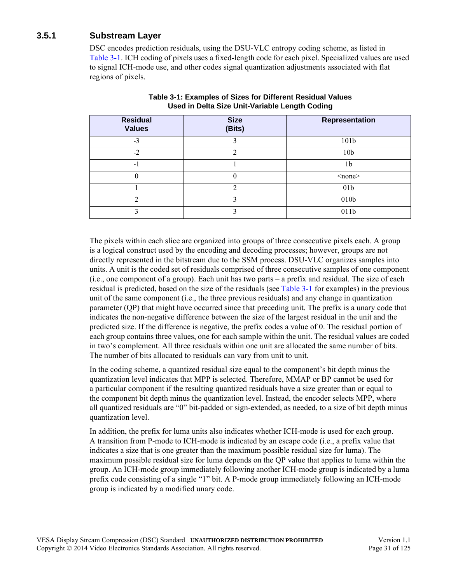### <span id="page-30-0"></span>**3.5.1 Substream Layer**

DSC encodes prediction residuals, using the DSU-VLC entropy coding scheme, as listed in [Table 3-1](#page-30-1). ICH coding of pixels uses a fixed-length code for each pixel. Specialized values are used to signal ICH-mode use, and other codes signal quantization adjustments associated with flat regions of pixels.

<span id="page-30-1"></span>

| <b>Residual</b><br><b>Values</b> | <b>Size</b><br>(Bits) | Representation  |
|----------------------------------|-----------------------|-----------------|
| $-3$                             |                       | 101b            |
| $-2$                             | ↑                     | 10 <sub>b</sub> |
| $-1$                             |                       | 1b              |
|                                  |                       | $<$ none $>$    |
|                                  | ↑                     | 01 <sub>b</sub> |
| ∍                                | 2                     | 010b            |
| ◠                                | 3                     | 011b            |

**Table 3-1: Examples of Sizes for Different Residual Values Used in Delta Size Unit-Variable Length Coding**

The pixels within each slice are organized into groups of three consecutive pixels each. A group is a logical construct used by the encoding and decoding processes; however, groups are not directly represented in the bitstream due to the SSM process. DSU-VLC organizes samples into units. A unit is the coded set of residuals comprised of three consecutive samples of one component (i.e., one component of a group). Each unit has two parts – a prefix and residual. The size of each residual is predicted, based on the size of the residuals (see [Table 3-1](#page-30-1) for examples) in the previous unit of the same component (i.e., the three previous residuals) and any change in quantization parameter (QP) that might have occurred since that preceding unit. The prefix is a unary code that indicates the non-negative difference between the size of the largest residual in the unit and the predicted size. If the difference is negative, the prefix codes a value of 0. The residual portion of each group contains three values, one for each sample within the unit. The residual values are coded in two's complement. All three residuals within one unit are allocated the same number of bits. The number of bits allocated to residuals can vary from unit to unit.

In the coding scheme, a quantized residual size equal to the component's bit depth minus the quantization level indicates that MPP is selected. Therefore, MMAP or BP cannot be used for a particular component if the resulting quantized residuals have a size greater than or equal to the component bit depth minus the quantization level. Instead, the encoder selects MPP, where all quantized residuals are "0" bit-padded or sign-extended, as needed, to a size of bit depth minus quantization level.

In addition, the prefix for luma units also indicates whether ICH-mode is used for each group. A transition from P-mode to ICH-mode is indicated by an escape code (i.e., a prefix value that indicates a size that is one greater than the maximum possible residual size for luma). The maximum possible residual size for luma depends on the QP value that applies to luma within the group. An ICH-mode group immediately following another ICH-mode group is indicated by a luma prefix code consisting of a single "1" bit. A P-mode group immediately following an ICH-mode group is indicated by a modified unary code.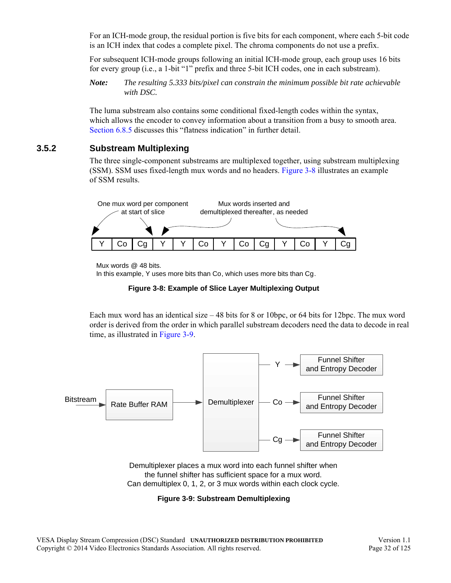For an ICH-mode group, the residual portion is five bits for each component, where each 5-bit code is an ICH index that codes a complete pixel. The chroma components do not use a prefix.

For subsequent ICH-mode groups following an initial ICH-mode group, each group uses 16 bits for every group (i.e., a 1-bit "1" prefix and three 5-bit ICH codes, one in each substream).

*Note: The resulting 5.333 bits/pixel can constrain the minimum possible bit rate achievable with DSC.*

The luma substream also contains some conditional fixed-length codes within the syntax, which allows the encoder to convey information about a transition from a busy to smooth area. [Section 6.8.5](#page-92-2) discusses this "flatness indication" in further detail.

#### <span id="page-31-0"></span>**3.5.2 Substream Multiplexing**

The three single-component substreams are multiplexed together, using substream multiplexing (SSM). SSM uses fixed-length mux words and no headers. [Figure 3-8](#page-31-1) illustrates an example of SSM results.



Mux words @ 48 bits.

In this example, Y uses more bits than Co, which uses more bits than Cg.



<span id="page-31-1"></span>Each mux word has an identical size – 48 bits for 8 or 10bpc, or 64 bits for 12bpc. The mux word order is derived from the order in which parallel substream decoders need the data to decode in real time, as illustrated in [Figure 3-9.](#page-31-2)



<span id="page-31-2"></span>Demultiplexer places a mux word into each funnel shifter when the funnel shifter has sufficient space for a mux word. Can demultiplex 0, 1, 2, or 3 mux words within each clock cycle.

**Figure 3-9: Substream Demultiplexing**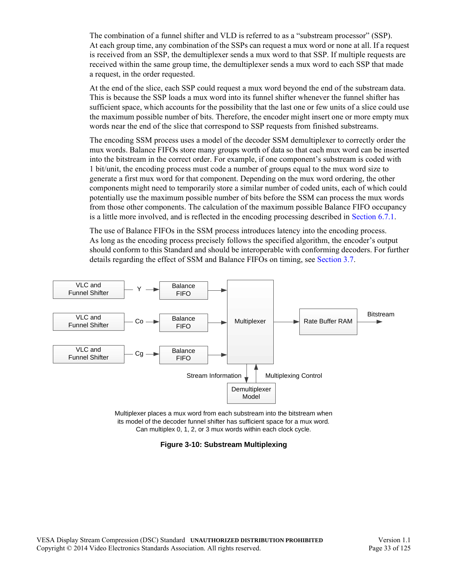The combination of a funnel shifter and VLD is referred to as a "substream processor" (SSP). At each group time, any combination of the SSPs can request a mux word or none at all. If a request is received from an SSP, the demultiplexer sends a mux word to that SSP. If multiple requests are received within the same group time, the demultiplexer sends a mux word to each SSP that made a request, in the order requested.

At the end of the slice, each SSP could request a mux word beyond the end of the substream data. This is because the SSP loads a mux word into its funnel shifter whenever the funnel shifter has sufficient space, which accounts for the possibility that the last one or few units of a slice could use the maximum possible number of bits. Therefore, the encoder might insert one or more empty mux words near the end of the slice that correspond to SSP requests from finished substreams.

The encoding SSM process uses a model of the decoder SSM demultiplexer to correctly order the mux words. Balance FIFOs store many groups worth of data so that each mux word can be inserted into the bitstream in the correct order. For example, if one component's substream is coded with 1 bit/unit, the encoding process must code a number of groups equal to the mux word size to generate a first mux word for that component. Depending on the mux word ordering, the other components might need to temporarily store a similar number of coded units, each of which could potentially use the maximum possible number of bits before the SSM can process the mux words from those other components. The calculation of the maximum possible Balance FIFO occupancy is a little more involved, and is reflected in the encoding processing described in [Section 6.7.1](#page-78-4).

The use of Balance FIFOs in the SSM process introduces latency into the encoding process. As long as the encoding process precisely follows the specified algorithm, the encoder's output should conform to this Standard and should be interoperable with conforming decoders. For further details regarding the effect of SSM and Balance FIFOs on timing, see [Section 3.7](#page-34-0).



<span id="page-32-0"></span>Multiplexer places a mux word from each substream into the bitstream when its model of the decoder funnel shifter has sufficient space for a mux word. Can multiplex 0, 1, 2, or 3 mux words within each clock cycle.

**Figure 3-10: Substream Multiplexing**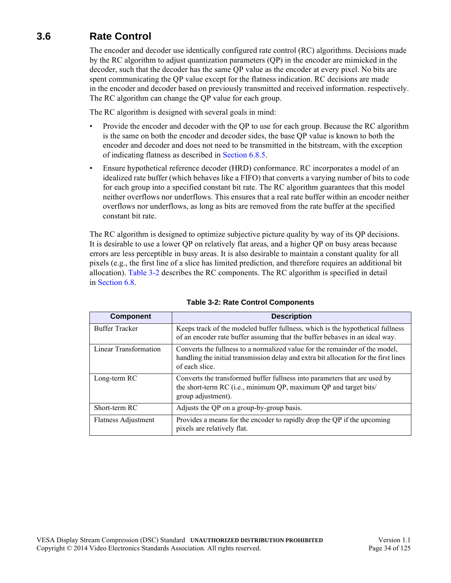# <span id="page-33-0"></span>**3.6 Rate Control**

The encoder and decoder use identically configured rate control (RC) algorithms. Decisions made by the RC algorithm to adjust quantization parameters (QP) in the encoder are mimicked in the decoder, such that the decoder has the same QP value as the encoder at every pixel. No bits are spent communicating the QP value except for the flatness indication. RC decisions are made in the encoder and decoder based on previously transmitted and received information. respectively. The RC algorithm can change the QP value for each group.

The RC algorithm is designed with several goals in mind:

- Provide the encoder and decoder with the QP to use for each group. Because the RC algorithm is the same on both the encoder and decoder sides, the base QP value is known to both the encoder and decoder and does not need to be transmitted in the bitstream, with the exception of indicating flatness as described in [Section 6.8.5](#page-92-2).
- Ensure hypothetical reference decoder (HRD) conformance. RC incorporates a model of an idealized rate buffer (which behaves like a FIFO) that converts a varying number of bits to code for each group into a specified constant bit rate. The RC algorithm guarantees that this model neither overflows nor underflows. This ensures that a real rate buffer within an encoder neither overflows nor underflows, as long as bits are removed from the rate buffer at the specified constant bit rate.

The RC algorithm is designed to optimize subjective picture quality by way of its QP decisions. It is desirable to use a lower QP on relatively flat areas, and a higher QP on busy areas because errors are less perceptible in busy areas. It is also desirable to maintain a constant quality for all pixels (e.g., the first line of a slice has limited prediction, and therefore requires an additional bit allocation). [Table 3-2](#page-33-1) describes the RC components. The RC algorithm is specified in detail in [Section 6.8](#page-79-2).

<span id="page-33-1"></span>

| <b>Component</b>           | <b>Description</b>                                                                                                                                                                    |
|----------------------------|---------------------------------------------------------------------------------------------------------------------------------------------------------------------------------------|
| <b>Buffer Tracker</b>      | Keeps track of the modeled buffer fullness, which is the hypothetical fullness<br>of an encoder rate buffer assuming that the buffer behaves in an ideal way.                         |
| Linear Transformation      | Converts the fullness to a normalized value for the remainder of the model,<br>handling the initial transmission delay and extra bit allocation for the first lines<br>of each slice. |
| Long-term RC               | Converts the transformed buffer fullness into parameters that are used by<br>the short-term RC (i.e., minimum QP, maximum QP and target bits/<br>group adjustment).                   |
| Short-term RC              | Adjusts the QP on a group-by-group basis.                                                                                                                                             |
| <b>Flatness Adjustment</b> | Provides a means for the encoder to rapidly drop the QP if the upcoming<br>pixels are relatively flat.                                                                                |

#### **Table 3-2: Rate Control Components**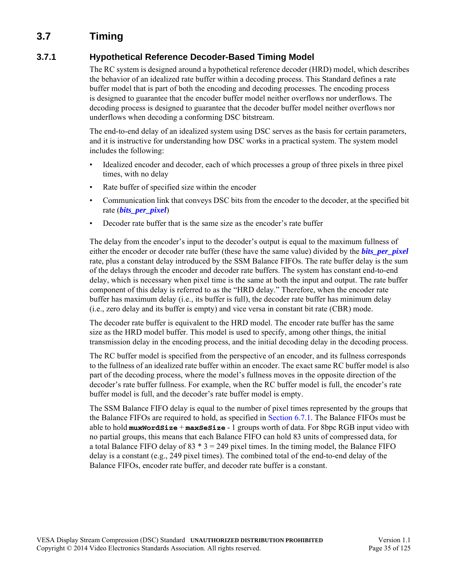# <span id="page-34-0"></span>**3.7 Timing**

### <span id="page-34-1"></span>**3.7.1 Hypothetical Reference Decoder-Based Timing Model**

The RC system is designed around a hypothetical reference decoder (HRD) model, which describes the behavior of an idealized rate buffer within a decoding process. This Standard defines a rate buffer model that is part of both the encoding and decoding processes. The encoding process is designed to guarantee that the encoder buffer model neither overflows nor underflows. The decoding process is designed to guarantee that the decoder buffer model neither overflows nor underflows when decoding a conforming DSC bitstream.

The end-to-end delay of an idealized system using DSC serves as the basis for certain parameters, and it is instructive for understanding how DSC works in a practical system. The system model includes the following:

- Idealized encoder and decoder, each of which processes a group of three pixels in three pixel times, with no delay
- Rate buffer of specified size within the encoder
- Communication link that conveys DSC bits from the encoder to the decoder, at the specified bit rate (*[bits\\_per\\_pixel](#page-43-0)*)
- Decoder rate buffer that is the same size as the encoder's rate buffer

The delay from the encoder's input to the decoder's output is equal to the maximum fullness of either the encoder or decoder rate buffer (these have the same value) divided by the *[bits\\_per\\_pixel](#page-43-0)* rate, plus a constant delay introduced by the SSM Balance FIFOs. The rate buffer delay is the sum of the delays through the encoder and decoder rate buffers. The system has constant end-to-end delay, which is necessary when pixel time is the same at both the input and output. The rate buffer component of this delay is referred to as the "HRD delay." Therefore, when the encoder rate buffer has maximum delay (i.e., its buffer is full), the decoder rate buffer has minimum delay (i.e., zero delay and its buffer is empty) and vice versa in constant bit rate (CBR) mode.

The decoder rate buffer is equivalent to the HRD model. The encoder rate buffer has the same size as the HRD model buffer. This model is used to specify, among other things, the initial transmission delay in the encoding process, and the initial decoding delay in the decoding process.

The RC buffer model is specified from the perspective of an encoder, and its fullness corresponds to the fullness of an idealized rate buffer within an encoder. The exact same RC buffer model is also part of the decoding process, where the model's fullness moves in the opposite direction of the decoder's rate buffer fullness. For example, when the RC buffer model is full, the encoder's rate buffer model is full, and the decoder's rate buffer model is empty.

The SSM Balance FIFO delay is equal to the number of pixel times represented by the groups that the Balance FIFOs are required to hold, as specified in [Section 6.7.1.](#page-78-4) The Balance FIFOs must be able to hold **muxWordSize** + **maxSeSize** - 1 groups worth of data. For 8bpc RGB input video with no partial groups, this means that each Balance FIFO can hold 83 units of compressed data, for a total Balance FIFO delay of  $83 * 3 = 249$  pixel times. In the timing model, the Balance FIFO delay is a constant (e.g., 249 pixel times). The combined total of the end-to-end delay of the Balance FIFOs, encoder rate buffer, and decoder rate buffer is a constant.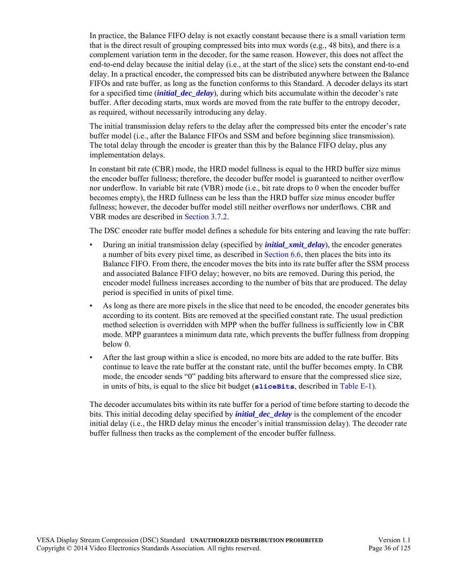In practice, the Balance FIFO delay is not exactly constant because there is a small variation term that is the direct result of grouping compressed bits into mux words (e.g., 48 bits), and there is a complement variation term in the decoder, for the same reason. However, this does not affect the end-to-end delay because the initial delay (i.e., at the start of the slice) sets the constant end-to-end delay. In a practical encoder, the compressed bits can be distributed anywhere between the Balance FIFOs and rate buffer, as long as the function conforms to this Standard. A decoder delays its start for a specified time (*[initial\\_dec\\_delay](#page-44-2)*), during which bits accumulate within the decoder's rate buffer. After decoding starts, mux words are moved from the rate buffer to the entropy decoder, as required, without necessarily introducing any delay.

The initial transmission delay refers to the delay after the compressed bits enter the encoder's rate buffer model (i.e., after the Balance FIFOs and SSM and before beginning slice transmission). The total delay through the encoder is greater than this by the Balance FIFO delay, plus any implementation delays.

In constant bit rate (CBR) mode, the HRD model fullness is equal to the HRD buffer size minus the encoder buffer fullness; therefore, the decoder buffer model is guaranteed to neither overflow nor underflow. In variable bit rate (VBR) mode (i.e., bit rate drops to 0 when the encoder buffer becomes empty), the HRD fullness can be less than the HRD buffer size minus encoder buffer fullness; however, the decoder buffer model still neither overflows nor underflows. CBR and VBR modes are described in [Section 3.7.2](#page-36-0).

The DSC encoder rate buffer model defines a schedule for bits entering and leaving the rate buffer:

- During an initial transmission delay (specified by *[initial\\_xmit\\_delay](#page-44-3)*), the encoder generates a number of bits every pixel time, as described in [Section 6.6](#page-74-2), then places the bits into its Balance FIFO. From there, the encoder moves the bits into its rate buffer after the SSM process and associated Balance FIFO delay; however, no bits are removed. During this period, the encoder model fullness increases according to the number of bits that are produced. The delay period is specified in units of pixel time.
- As long as there are more pixels in the slice that need to be encoded, the encoder generates bits according to its content. Bits are removed at the specified constant rate. The usual prediction method selection is overridden with MPP when the buffer fullness is sufficiently low in CBR mode. MPP guarantees a minimum data rate, which prevents the buffer fullness from dropping below 0.
- After the last group within a slice is encoded, no more bits are added to the rate buffer. Bits continue to leave the rate buffer at the constant rate, until the buffer becomes empty. In CBR mode, the encoder sends "0" padding bits afterward to ensure that the compressed slice size, in units of bits, is equal to the slice bit budget (**[sliceBits](#page-109-3)**, described in [Table E-1](#page-109-4)).

The decoder accumulates bits within its rate buffer for a period of time before starting to decode the bits. This initial decoding delay specified by *[initial\\_dec\\_delay](#page-44-2)* is the complement of the encoder initial delay (i.e., the HRD delay minus the encoder's initial transmission delay). The decoder rate buffer fullness then tracks as the complement of the encoder buffer fullness.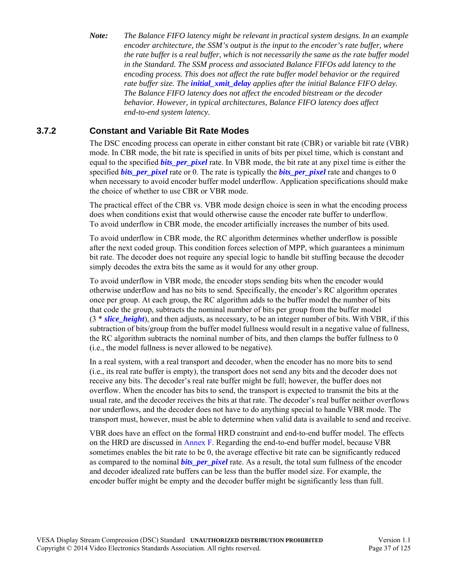*Note: The Balance FIFO latency might be relevant in practical system designs. In an example encoder architecture, the SSM's output is the input to the encoder's rate buffer, where the rate buffer is a real buffer, which is not necessarily the same as the rate buffer model in the Standard. The SSM process and associated Balance FIFOs add latency to the encoding process. This does not affect the rate buffer model behavior or the required rate buffer size. The [initial\\_xmit\\_delay](#page-44-0) applies after the initial Balance FIFO delay. The Balance FIFO latency does not affect the encoded bitstream or the decoder behavior. However, in typical architectures, Balance FIFO latency does affect end-to-end system latency.*

### **3.7.2 Constant and Variable Bit Rate Modes**

<span id="page-36-0"></span>The DSC encoding process can operate in either constant bit rate (CBR) or variable bit rate (VBR) mode. In CBR mode, the bit rate is specified in units of bits per pixel time, which is constant and equal to the specified *[bits\\_per\\_pixel](#page-43-0)* rate. In VBR mode, the bit rate at any pixel time is either the specified *bits per pixel* rate or 0. The rate is typically the *bits per pixel* rate and changes to 0 when necessary to avoid encoder buffer model underflow. Application specifications should make the choice of whether to use CBR or VBR mode.

The practical effect of the CBR vs. VBR mode design choice is seen in what the encoding process does when conditions exist that would otherwise cause the encoder rate buffer to underflow. To avoid underflow in CBR mode, the encoder artificially increases the number of bits used.

To avoid underflow in CBR mode, the RC algorithm determines whether underflow is possible after the next coded group. This condition forces selection of MPP, which guarantees a minimum bit rate. The decoder does not require any special logic to handle bit stuffing because the decoder simply decodes the extra bits the same as it would for any other group.

To avoid underflow in VBR mode, the encoder stops sending bits when the encoder would otherwise underflow and has no bits to send. Specifically, the encoder's RC algorithm operates once per group. At each group, the RC algorithm adds to the buffer model the number of bits that code the group, subtracts the nominal number of bits per group from the buffer model (3 \* *[slice\\_height](#page-44-1)*), and then adjusts, as necessary, to be an integer number of bits. With VBR, if this subtraction of bits/group from the buffer model fullness would result in a negative value of fullness, the RC algorithm subtracts the nominal number of bits, and then clamps the buffer fullness to 0 (i.e., the model fullness is never allowed to be negative).

In a real system, with a real transport and decoder, when the encoder has no more bits to send (i.e., its real rate buffer is empty), the transport does not send any bits and the decoder does not receive any bits. The decoder's real rate buffer might be full; however, the buffer does not overflow. When the encoder has bits to send, the transport is expected to transmit the bits at the usual rate, and the decoder receives the bits at that rate. The decoder's real buffer neither overflows nor underflows, and the decoder does not have to do anything special to handle VBR mode. The transport must, however, must be able to determine when valid data is available to send and receive.

VBR does have an effect on the formal HRD constraint and end-to-end buffer model. The effects on the HRD are discussed in [Annex F](#page-114-0). Regarding the end-to-end buffer model, because VBR sometimes enables the bit rate to be 0, the average effective bit rate can be significantly reduced as compared to the nominal *[bits\\_per\\_pixel](#page-43-0)* rate. As a result, the total sum fullness of the encoder and decoder idealized rate buffers can be less than the buffer model size. For example, the encoder buffer might be empty and the decoder buffer might be significantly less than full.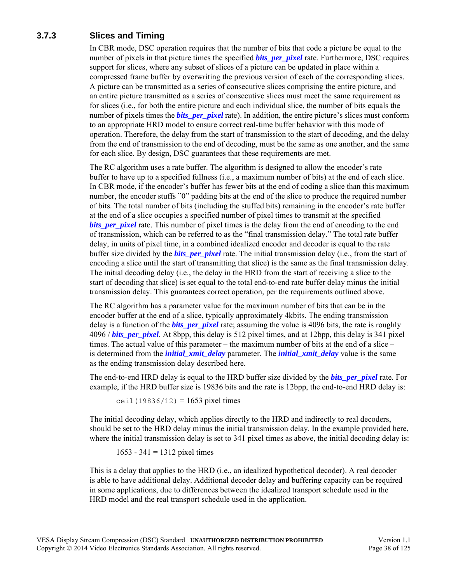## **3.7.3 Slices and Timing**

In CBR mode, DSC operation requires that the number of bits that code a picture be equal to the number of pixels in that picture times the specified *bits per pixel* rate. Furthermore, DSC requires support for slices, where any subset of slices of a picture can be updated in place within a compressed frame buffer by overwriting the previous version of each of the corresponding slices. A picture can be transmitted as a series of consecutive slices comprising the entire picture, and an entire picture transmitted as a series of consecutive slices must meet the same requirement as for slices (i.e., for both the entire picture and each individual slice, the number of bits equals the number of pixels times the *[bits\\_per\\_pixel](#page-43-0)* rate). In addition, the entire picture's slices must conform to an appropriate HRD model to ensure correct real-time buffer behavior with this mode of operation. Therefore, the delay from the start of transmission to the start of decoding, and the delay from the end of transmission to the end of decoding, must be the same as one another, and the same for each slice. By design, DSC guarantees that these requirements are met.

The RC algorithm uses a rate buffer. The algorithm is designed to allow the encoder's rate buffer to have up to a specified fullness (i.e., a maximum number of bits) at the end of each slice. In CBR mode, if the encoder's buffer has fewer bits at the end of coding a slice than this maximum number, the encoder stuffs "0" padding bits at the end of the slice to produce the required number of bits. The total number of bits (including the stuffed bits) remaining in the encoder's rate buffer at the end of a slice occupies a specified number of pixel times to transmit at the specified *bits per pixel* rate. This number of pixel times is the delay from the end of encoding to the end of transmission, which can be referred to as the "final transmission delay." The total rate buffer delay, in units of pixel time, in a combined idealized encoder and decoder is equal to the rate buffer size divided by the *[bits\\_per\\_pixel](#page-43-0)* rate. The initial transmission delay (i.e., from the start of encoding a slice until the start of transmitting that slice) is the same as the final transmission delay. The initial decoding delay (i.e., the delay in the HRD from the start of receiving a slice to the start of decoding that slice) is set equal to the total end-to-end rate buffer delay minus the initial transmission delay. This guarantees correct operation, per the requirements outlined above.

The RC algorithm has a parameter value for the maximum number of bits that can be in the encoder buffer at the end of a slice, typically approximately 4kbits. The ending transmission delay is a function of the *[bits\\_per\\_pixel](#page-43-0)* rate; assuming the value is 4096 bits, the rate is roughly 4096 / *[bits\\_per\\_pixel](#page-43-0)*. At 8bpp, this delay is 512 pixel times, and at 12bpp, this delay is 341 pixel times. The actual value of this parameter – the maximum number of bits at the end of a slice – is determined from the *initial xmit* delay parameter. The *initial xmit* delay value is the same as the ending transmission delay described here.

The end-to-end HRD delay is equal to the HRD buffer size divided by the *[bits\\_per\\_pixel](#page-43-0)* rate. For example, if the HRD buffer size is 19836 bits and the rate is 12bpp, the end-to-end HRD delay is:

ceil (19836/12) =  $1653$  pixel times

The initial decoding delay, which applies directly to the HRD and indirectly to real decoders, should be set to the HRD delay minus the initial transmission delay. In the example provided here, where the initial transmission delay is set to 341 pixel times as above, the initial decoding delay is:

1653 - 341 = 1312 pixel times

This is a delay that applies to the HRD (i.e., an idealized hypothetical decoder). A real decoder is able to have additional delay. Additional decoder delay and buffering capacity can be required in some applications, due to differences between the idealized transport schedule used in the HRD model and the real transport schedule used in the application.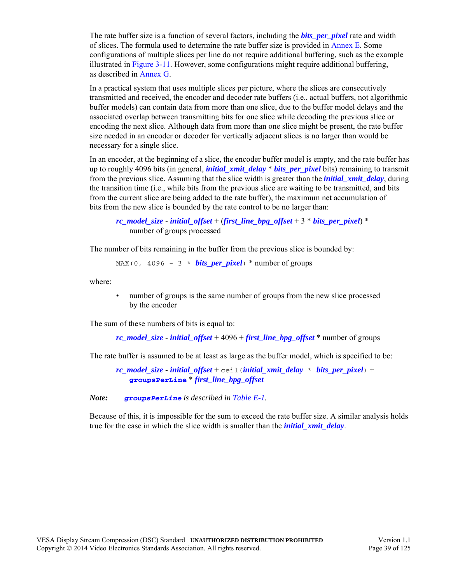The rate buffer size is a function of several factors, including the *[bits\\_per\\_pixel](#page-43-0)* rate and width of slices. The formula used to determine the rate buffer size is provided in [Annex E](#page-109-0). Some configurations of multiple slices per line do not require additional buffering, such as the example illustrated in [Figure 3-11](#page-41-0). However, some configurations might require additional buffering, as described in [Annex G.](#page-116-0)

In a practical system that uses multiple slices per picture, where the slices are consecutively transmitted and received, the encoder and decoder rate buffers (i.e., actual buffers, not algorithmic buffer models) can contain data from more than one slice, due to the buffer model delays and the associated overlap between transmitting bits for one slice while decoding the previous slice or encoding the next slice. Although data from more than one slice might be present, the rate buffer size needed in an encoder or decoder for vertically adjacent slices is no larger than would be necessary for a single slice.

In an encoder, at the beginning of a slice, the encoder buffer model is empty, and the rate buffer has up to roughly 4096 bits (in general, *[initial\\_xmit\\_delay](#page-44-0)* \* *[bits\\_per\\_pixel](#page-43-0)* bits) remaining to transmit from the previous slice. Assuming that the slice width is greater than the *[initial\\_xmit\\_delay](#page-44-0)*, during the transition time (i.e., while bits from the previous slice are waiting to be transmitted, and bits from the current slice are being added to the rate buffer), the maximum net accumulation of bits from the new slice is bounded by the rate control to be no larger than:

```
rc model size - initial offset + (first line bpg offset + 3 * bits per pixel) *number of groups processed
```
The number of bits remaining in the buffer from the previous slice is bounded by:

MAX(0, 4096 - 3 \* *[bits\\_per\\_pixel](#page-43-0)*) \* number of groups

where:

• number of groups is the same number of groups from the new slice processed by the encoder

The sum of these numbers of bits is equal to:

*[rc\\_model\\_size](#page-47-0)* - *[initial\\_offset](#page-45-0)* + 4096 + *[first\\_line\\_bpg\\_offset](#page-45-1)* \* number of groups

The rate buffer is assumed to be at least as large as the buffer model, which is specified to be:

*[rc\\_model\\_size](#page-47-0)* - *[initial\\_offset](#page-45-0)* + ceil(*[initial\\_xmit\\_delay](#page-44-0)* \* *[bits\\_per\\_pixel](#page-43-0)*) + **[groupsPerLine](#page-109-1)** \* *[first\\_line\\_bpg\\_offset](#page-45-1)*

*Note: [groupsPerLine](#page-109-1) is described in [Table E-1.](#page-109-2)*

Because of this, it is impossible for the sum to exceed the rate buffer size. A similar analysis holds true for the case in which the slice width is smaller than the *[initial\\_xmit\\_delay](#page-44-0)*.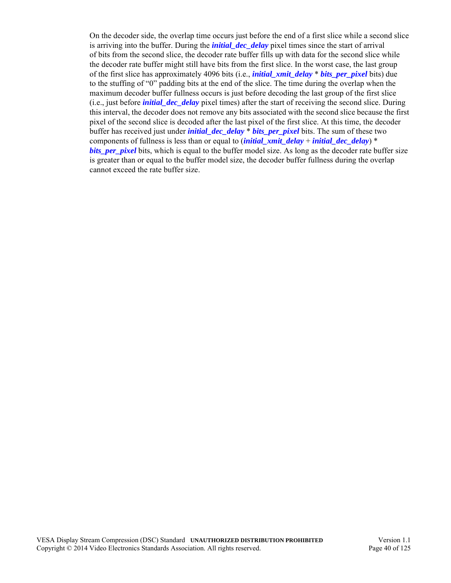On the decoder side, the overlap time occurs just before the end of a first slice while a second slice is arriving into the buffer. During the *[initial\\_dec\\_delay](#page-44-2)* pixel times since the start of arrival of bits from the second slice, the decoder rate buffer fills up with data for the second slice while the decoder rate buffer might still have bits from the first slice. In the worst case, the last group of the first slice has approximately 4096 bits (i.e., *[initial\\_xmit\\_delay](#page-44-0)* \* *[bits\\_per\\_pixel](#page-43-0)* bits) due to the stuffing of "0" padding bits at the end of the slice. The time during the overlap when the maximum decoder buffer fullness occurs is just before decoding the last group of the first slice (i.e., just before *[initial\\_dec\\_delay](#page-44-2)* pixel times) after the start of receiving the second slice. During this interval, the decoder does not remove any bits associated with the second slice because the first pixel of the second slice is decoded after the last pixel of the first slice. At this time, the decoder buffer has received just under *[initial\\_dec\\_delay](#page-44-2)* \* *[bits\\_per\\_pixel](#page-43-0)* bits. The sum of these two components of fullness is less than or equal to (*[initial\\_xmit\\_delay](#page-44-0)* + *[initial\\_dec\\_delay](#page-44-2)*) \* *bits* per pixel bits, which is equal to the buffer model size. As long as the decoder rate buffer size is greater than or equal to the buffer model size, the decoder buffer fullness during the overlap cannot exceed the rate buffer size.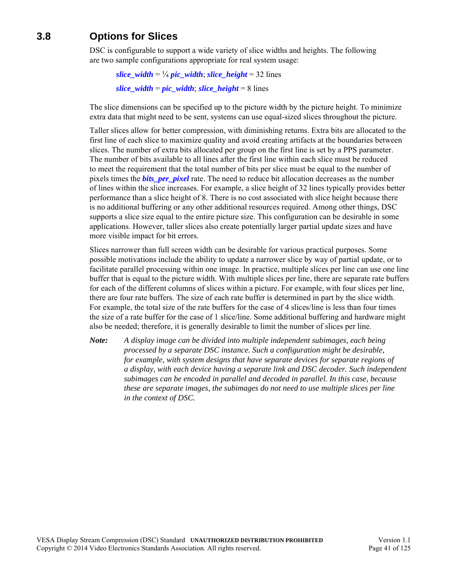# **3.8 Options for Slices**

DSC is configurable to support a wide variety of slice widths and heights. The following are two sample configurations appropriate for real system usage:

```
slice_width = \frac{1}{4} pic_width; slice_height = 32 lines
slice_width = pic\_width; slice_height = 8 lines
```
The slice dimensions can be specified up to the picture width by the picture height. To minimize extra data that might need to be sent, systems can use equal-sized slices throughout the picture.

Taller slices allow for better compression, with diminishing returns. Extra bits are allocated to the first line of each slice to maximize quality and avoid creating artifacts at the boundaries between slices. The number of extra bits allocated per group on the first line is set by a PPS parameter. The number of bits available to all lines after the first line within each slice must be reduced to meet the requirement that the total number of bits per slice must be equal to the number of pixels times the *[bits\\_per\\_pixel](#page-43-0)* rate. The need to reduce bit allocation decreases as the number of lines within the slice increases. For example, a slice height of 32 lines typically provides better performance than a slice height of 8. There is no cost associated with slice height because there is no additional buffering or any other additional resources required. Among other things, DSC supports a slice size equal to the entire picture size. This configuration can be desirable in some applications. However, taller slices also create potentially larger partial update sizes and have more visible impact for bit errors.

Slices narrower than full screen width can be desirable for various practical purposes. Some possible motivations include the ability to update a narrower slice by way of partial update, or to facilitate parallel processing within one image. In practice, multiple slices per line can use one line buffer that is equal to the picture width. With multiple slices per line, there are separate rate buffers for each of the different columns of slices within a picture. For example, with four slices per line, there are four rate buffers. The size of each rate buffer is determined in part by the slice width. For example, the total size of the rate buffers for the case of 4 slices/line is less than four times the size of a rate buffer for the case of 1 slice/line. Some additional buffering and hardware might also be needed; therefore, it is generally desirable to limit the number of slices per line.

*Note: A display image can be divided into multiple independent subimages, each being processed by a separate DSC instance. Such a configuration might be desirable, for example, with system designs that have separate devices for separate regions of a display, with each device having a separate link and DSC decoder. Such independent subimages can be encoded in parallel and decoded in parallel. In this case, because these are separate images, the subimages do not need to use multiple slices per line in the context of DSC.*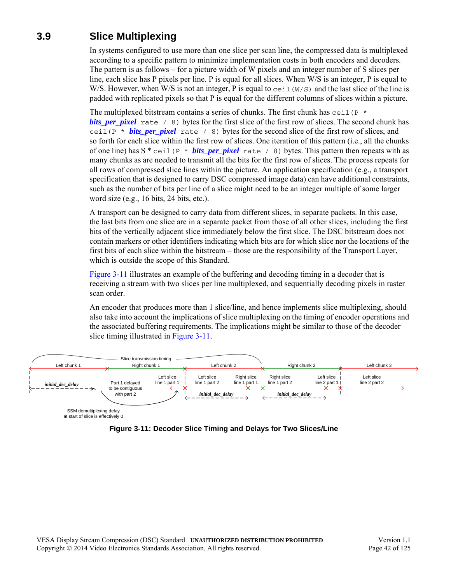# **3.9 Slice Multiplexing**

In systems configured to use more than one slice per scan line, the compressed data is multiplexed according to a specific pattern to minimize implementation costs in both encoders and decoders. The pattern is as follows – for a picture width of W pixels and an integer number of S slices per line, each slice has P pixels per line. P is equal for all slices. When W/S is an integer, P is equal to W/S. However, when W/S is not an integer, P is equal to ceil  $(W/S)$  and the last slice of the line is padded with replicated pixels so that P is equal for the different columns of slices within a picture.

The multiplexed bitstream contains a series of chunks. The first chunk has  $ceil(P^*$ *[bits\\_per\\_pixel](#page-43-0)* rate / 8) bytes for the first slice of the first row of slices. The second chunk has ceil(P \* *[bits\\_per\\_pixel](#page-43-0)* rate / 8) bytes for the second slice of the first row of slices, and so forth for each slice within the first row of slices. One iteration of this pattern (i.e., all the chunks of one line) has  $S^*$  ceil(P  $*$  **bits** per pixel rate / 8) bytes. This pattern then repeats with as many chunks as are needed to transmit all the bits for the first row of slices. The process repeats for all rows of compressed slice lines within the picture. An application specification (e.g., a transport specification that is designed to carry DSC compressed image data) can have additional constraints, such as the number of bits per line of a slice might need to be an integer multiple of some larger word size (e.g., 16 bits, 24 bits, etc.).

A transport can be designed to carry data from different slices, in separate packets. In this case, the last bits from one slice are in a separate packet from those of all other slices, including the first bits of the vertically adjacent slice immediately below the first slice. The DSC bitstream does not contain markers or other identifiers indicating which bits are for which slice nor the locations of the first bits of each slice within the bitstream – those are the responsibility of the Transport Layer, which is outside the scope of this Standard.

[Figure 3-11](#page-41-0) illustrates an example of the buffering and decoding timing in a decoder that is receiving a stream with two slices per line multiplexed, and sequentially decoding pixels in raster scan order.

An encoder that produces more than 1 slice/line, and hence implements slice multiplexing, should also take into account the implications of slice multiplexing on the timing of encoder operations and the associated buffering requirements. The implications might be similar to those of the decoder slice timing illustrated in [Figure 3-11.](#page-41-0)

<span id="page-41-0"></span>

**Figure 3-11: Decoder Slice Timing and Delays for Two Slices/Line**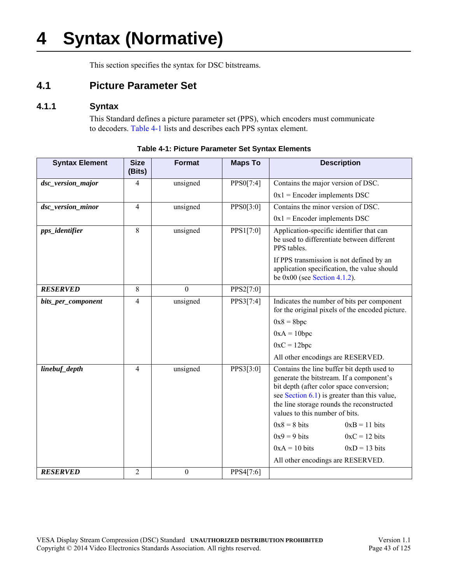# **4 Syntax (Normative)**

This section specifies the syntax for DSC bitstreams.

## **4.1 Picture Parameter Set**

## **4.1.1 Syntax**

This Standard defines a picture parameter set (PPS), which encoders must communicate to decoders. [Table 4-1](#page-42-0) lists and describes each PPS syntax element.

<span id="page-42-2"></span><span id="page-42-1"></span><span id="page-42-0"></span>

| <b>Syntax Element</b> | <b>Size</b><br>(Bits) | <b>Format</b>    | <b>Maps To</b> | <b>Description</b>                                                                                                                                                                                                                                                   |  |
|-----------------------|-----------------------|------------------|----------------|----------------------------------------------------------------------------------------------------------------------------------------------------------------------------------------------------------------------------------------------------------------------|--|
| dsc_version_major     | 4                     | unsigned         | PPS0[7:4]      | Contains the major version of DSC.                                                                                                                                                                                                                                   |  |
|                       |                       |                  |                | $0x1$ = Encoder implements DSC                                                                                                                                                                                                                                       |  |
| dsc_version_minor     | 4                     | unsigned         | PPS0[3:0]      | Contains the minor version of DSC.                                                                                                                                                                                                                                   |  |
|                       |                       |                  |                | $0x1$ = Encoder implements DSC                                                                                                                                                                                                                                       |  |
| pps_identifier        | 8                     | unsigned         | PPS1[7:0]      | Application-specific identifier that can<br>be used to differentiate between different<br>PPS tables.                                                                                                                                                                |  |
|                       |                       |                  |                | If PPS transmission is not defined by an<br>application specification, the value should<br>be $0x00$ (see Section 4.1.2).                                                                                                                                            |  |
| <b>RESERVED</b>       | 8                     | $\mathbf{0}$     | PPS2[7:0]      |                                                                                                                                                                                                                                                                      |  |
| bits_per_component    | 4                     | unsigned         | PPS3[7:4]      | Indicates the number of bits per component<br>for the original pixels of the encoded picture.                                                                                                                                                                        |  |
|                       |                       |                  |                | $0x8 = 8bpc$                                                                                                                                                                                                                                                         |  |
|                       |                       |                  |                | $0xA = 10bpc$                                                                                                                                                                                                                                                        |  |
|                       |                       |                  |                | $0xC = 12bpc$                                                                                                                                                                                                                                                        |  |
|                       |                       |                  |                | All other encodings are RESERVED.                                                                                                                                                                                                                                    |  |
| linebuf_depth         | 4                     | unsigned         | PPS3[3:0]      | Contains the line buffer bit depth used to<br>generate the bitstream. If a component's<br>bit depth (after color space conversion;<br>see Section $6.1$ ) is greater than this value,<br>the line storage rounds the reconstructed<br>values to this number of bits. |  |
|                       |                       |                  |                | $0x8 = 8$ bits<br>$0xB = 11 bits$                                                                                                                                                                                                                                    |  |
|                       |                       |                  |                | $0x9 = 9$ bits<br>$0xC = 12$ bits                                                                                                                                                                                                                                    |  |
|                       |                       |                  |                | $0xA = 10 bits$<br>$0xD = 13$ bits                                                                                                                                                                                                                                   |  |
|                       |                       |                  |                | All other encodings are RESERVED.                                                                                                                                                                                                                                    |  |
| <b>RESERVED</b>       | $\overline{2}$        | $\boldsymbol{0}$ | PPS4[7:6]      |                                                                                                                                                                                                                                                                      |  |

**Table 4-1: Picture Parameter Set Syntax Elements**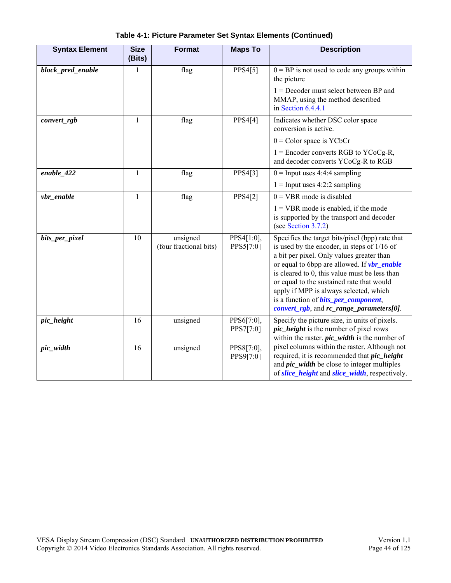<span id="page-43-3"></span><span id="page-43-2"></span><span id="page-43-1"></span><span id="page-43-0"></span>

| <b>Syntax Element</b> | <b>Size</b><br>(Bits) | <b>Format</b>                      | <b>Maps To</b>          | <b>Description</b>                                                                                                                                                                                                                                                                                                                                                                                                                               |  |
|-----------------------|-----------------------|------------------------------------|-------------------------|--------------------------------------------------------------------------------------------------------------------------------------------------------------------------------------------------------------------------------------------------------------------------------------------------------------------------------------------------------------------------------------------------------------------------------------------------|--|
| block_pred_enable     | 1                     | flag                               | PPS4[5]                 | $0 = BP$ is not used to code any groups within<br>the picture                                                                                                                                                                                                                                                                                                                                                                                    |  |
|                       |                       |                                    |                         | $1 =$ Decoder must select between BP and<br>MMAP, using the method described<br>in Section $6.4.4.1$                                                                                                                                                                                                                                                                                                                                             |  |
| convert_rgb           | 1                     | flag                               | PPS4[4]                 | Indicates whether DSC color space<br>conversion is active.                                                                                                                                                                                                                                                                                                                                                                                       |  |
|                       |                       |                                    |                         | $0 = Color space is YCbCr$                                                                                                                                                                                                                                                                                                                                                                                                                       |  |
|                       |                       |                                    |                         | $1 =$ Encoder converts RGB to YCoCg-R,<br>and decoder converts YCoCg-R to RGB                                                                                                                                                                                                                                                                                                                                                                    |  |
| $enable_422$          | $\mathbf{1}$          | flag                               | PPS4[3]                 | $0 =$ Input uses 4:4:4 sampling                                                                                                                                                                                                                                                                                                                                                                                                                  |  |
|                       |                       |                                    |                         | $1 =$ Input uses 4:2:2 sampling                                                                                                                                                                                                                                                                                                                                                                                                                  |  |
| $vbr\_enable$         | $\mathbf{1}$          | flag                               | PPS4[2]                 | $0 = VBR$ mode is disabled                                                                                                                                                                                                                                                                                                                                                                                                                       |  |
|                       |                       |                                    |                         | $1 = VBR$ mode is enabled, if the mode<br>is supported by the transport and decoder<br>(see Section 3.7.2)                                                                                                                                                                                                                                                                                                                                       |  |
| bits_per_pixel        | 10                    | unsigned<br>(four fractional bits) | PPS4[1:0],<br>PPS5[7:0] | Specifies the target bits/pixel (bpp) rate that<br>is used by the encoder, in steps of 1/16 of<br>a bit per pixel. Only values greater than<br>or equal to 6bpp are allowed. If <b>vbr_enable</b><br>is cleared to 0, this value must be less than<br>or equal to the sustained rate that would<br>apply if MPP is always selected, which<br>is a function of <b>bits_per_component</b> ,<br><i>convert_rgb</i> , and $rc$ _range_parameters[0]. |  |
| pic_height            | 16                    | unsigned                           | PPS6[7:0],<br>PPS7[7:0] | Specify the picture size, in units of pixels.<br><i>pic_height</i> is the number of pixel rows<br>within the raster. $pic\_width$ is the number of                                                                                                                                                                                                                                                                                               |  |
| pic_width             | 16                    | unsigned                           | PPS8[7:0],<br>PPS9[7:0] | pixel columns within the raster. Although not<br>required, it is recommended that <i>pic_height</i><br>and <i>pic_width</i> be close to integer multiples<br>of slice_height and slice_width, respectively.                                                                                                                                                                                                                                      |  |

**Table 4-1: Picture Parameter Set Syntax Elements (Continued)**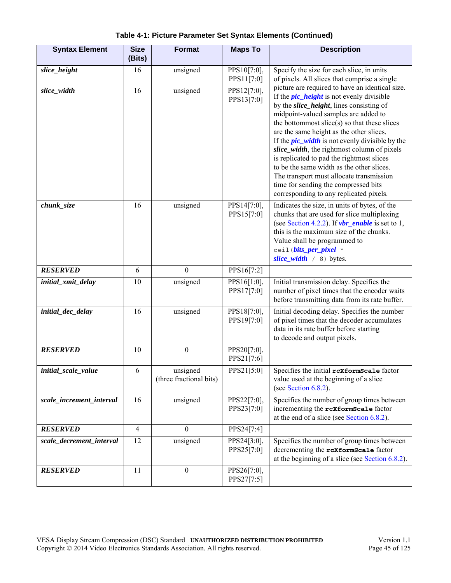<span id="page-44-3"></span><span id="page-44-2"></span><span id="page-44-1"></span><span id="page-44-0"></span>

| <b>Syntax Element</b>    | <b>Size</b><br>(Bits) | <b>Format</b>                       | <b>Maps To</b>            | <b>Description</b>                                                                                                                                                                                                                                                                                                                                                                                                                                                                                                                                                                                                        |
|--------------------------|-----------------------|-------------------------------------|---------------------------|---------------------------------------------------------------------------------------------------------------------------------------------------------------------------------------------------------------------------------------------------------------------------------------------------------------------------------------------------------------------------------------------------------------------------------------------------------------------------------------------------------------------------------------------------------------------------------------------------------------------------|
| slice_height             | 16                    | unsigned                            | PPS10[7:0],<br>PPS11[7:0] | Specify the size for each slice, in units<br>of pixels. All slices that comprise a single                                                                                                                                                                                                                                                                                                                                                                                                                                                                                                                                 |
| slice_width              | 16                    | unsigned                            | PPS12[7:0],<br>PPS13[7:0] | picture are required to have an identical size.<br>If the <i>pic_height</i> is not evenly divisible<br>by the <i>slice_height</i> , lines consisting of<br>midpoint-valued samples are added to<br>the bottommost slice(s) so that these slices<br>are the same height as the other slices.<br>If the $pic\_width$ is not evenly divisible by the<br>slice_width, the rightmost column of pixels<br>is replicated to pad the rightmost slices<br>to be the same width as the other slices.<br>The transport must allocate transmission<br>time for sending the compressed bits<br>corresponding to any replicated pixels. |
| chunk_size               | 16                    | unsigned                            | PPS14[7:0],<br>PPS15[7:0] | Indicates the size, in units of bytes, of the<br>chunks that are used for slice multiplexing<br>(see Section 4.2.2). If $vbr\_enable$ is set to 1,<br>this is the maximum size of the chunks.<br>Value shall be programmed to<br>ceil (bits_per_pixel *<br>slice_width $/8$ ) bytes.                                                                                                                                                                                                                                                                                                                                      |
| <b>RESERVED</b>          | 6                     | $\mathbf{0}$                        | PPS16[7:2]                |                                                                                                                                                                                                                                                                                                                                                                                                                                                                                                                                                                                                                           |
| initial_xmit_delay       | 10                    | unsigned                            | PPS16[1:0],<br>PPS17[7:0] | Initial transmission delay. Specifies the<br>number of pixel times that the encoder waits<br>before transmitting data from its rate buffer.                                                                                                                                                                                                                                                                                                                                                                                                                                                                               |
| initial_dec_delay        | 16                    | unsigned                            | PPS18[7:0],<br>PPS19[7:0] | Initial decoding delay. Specifies the number<br>of pixel times that the decoder accumulates<br>data in its rate buffer before starting<br>to decode and output pixels.                                                                                                                                                                                                                                                                                                                                                                                                                                                    |
| <b>RESERVED</b>          | 10                    | $\boldsymbol{0}$                    | PPS20[7:0],<br>PPS21[7:6] |                                                                                                                                                                                                                                                                                                                                                                                                                                                                                                                                                                                                                           |
| initial scale value      | 6                     | unsigned<br>(three fractional bits) | PPS21[5:0]                | Specifies the initial rexformScale factor<br>value used at the beginning of a slice<br>(see Section 6.8.2).                                                                                                                                                                                                                                                                                                                                                                                                                                                                                                               |
| scale_increment_interval | 16                    | unsigned                            | PPS22[7:0],<br>PPS23[7:0] | Specifies the number of group times between<br>incrementing the rcxformScale factor<br>at the end of a slice (see Section $6.8.2$ ).                                                                                                                                                                                                                                                                                                                                                                                                                                                                                      |
| <b>RESERVED</b>          | $\overline{4}$        | $\boldsymbol{0}$                    | PPS24[7:4]                |                                                                                                                                                                                                                                                                                                                                                                                                                                                                                                                                                                                                                           |
| scale_decrement_interval | 12                    | unsigned                            | PPS24[3:0],<br>PPS25[7:0] | Specifies the number of group times between<br>decrementing the rcxformScale factor<br>at the beginning of a slice (see Section 6.8.2).                                                                                                                                                                                                                                                                                                                                                                                                                                                                                   |
| <b>RESERVED</b>          | 11                    | $\boldsymbol{0}$                    | PPS26[7:0],<br>PPS27[7:5] |                                                                                                                                                                                                                                                                                                                                                                                                                                                                                                                                                                                                                           |

### **Table 4-1: Picture Parameter Set Syntax Elements (Continued)**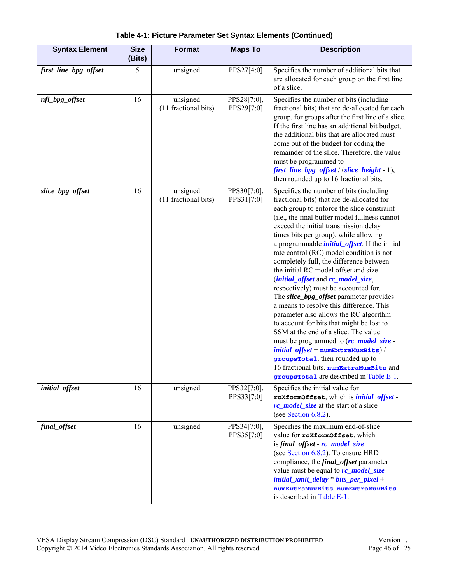<span id="page-45-1"></span><span id="page-45-0"></span>

| <b>Syntax Element</b> | <b>Size</b><br>(Bits) | Format                           | <b>Maps To</b>            | <b>Description</b>                                                                                                                                                                                                                                                                                                                                                                                                                                                                                                                                                                                                                                                                                                                                                                                                                                                                                                                                                                                                      |
|-----------------------|-----------------------|----------------------------------|---------------------------|-------------------------------------------------------------------------------------------------------------------------------------------------------------------------------------------------------------------------------------------------------------------------------------------------------------------------------------------------------------------------------------------------------------------------------------------------------------------------------------------------------------------------------------------------------------------------------------------------------------------------------------------------------------------------------------------------------------------------------------------------------------------------------------------------------------------------------------------------------------------------------------------------------------------------------------------------------------------------------------------------------------------------|
| first_line_bpg_offset | 5                     | unsigned                         | PPS27[4:0]                | Specifies the number of additional bits that<br>are allocated for each group on the first line<br>of a slice.                                                                                                                                                                                                                                                                                                                                                                                                                                                                                                                                                                                                                                                                                                                                                                                                                                                                                                           |
| nfl_bpg_offset        | 16                    | unsigned<br>(11 fractional bits) | PPS28[7:0],<br>PPS29[7:0] | Specifies the number of bits (including<br>fractional bits) that are de-allocated for each<br>group, for groups after the first line of a slice.<br>If the first line has an additional bit budget,<br>the additional bits that are allocated must<br>come out of the budget for coding the<br>remainder of the slice. Therefore, the value<br>must be programmed to<br>first_line_bpg_offset / (slice_height - 1),<br>then rounded up to 16 fractional bits.                                                                                                                                                                                                                                                                                                                                                                                                                                                                                                                                                           |
| slice_bpg_offset      | 16                    | unsigned<br>(11 fractional bits) | PPS30[7:0],<br>PPS31[7:0] | Specifies the number of bits (including<br>fractional bits) that are de-allocated for<br>each group to enforce the slice constraint<br>(i.e., the final buffer model fullness cannot<br>exceed the initial transmission delay<br>times bits per group), while allowing<br>a programmable <i>initial_offset</i> . If the initial<br>rate control (RC) model condition is not<br>completely full, the difference between<br>the initial RC model offset and size<br>( <i>initial_offset</i> and <i>rc_model_size</i> ,<br>respectively) must be accounted for.<br>The <i>slice_bpg_offset</i> parameter provides<br>a means to resolve this difference. This<br>parameter also allows the RC algorithm<br>to account for bits that might be lost to<br>SSM at the end of a slice. The value<br>must be programmed to (rc_model_size -<br>$initial\_offset + \texttt{numExtramuxBits})$ /<br>groupsTotal, then rounded up to<br>16 fractional bits. numExtraMuxBits and<br><b>groups Total</b> are described in Table E-1. |
| initial_offset        | 16                    | unsigned                         | PPS32[7:0],<br>PPS33[7:0] | Specifies the initial value for<br>rcXformOffset, which is <i>initial_offset</i> -<br>rc_model_size at the start of a slice<br>(see Section $6.8.2$ ).                                                                                                                                                                                                                                                                                                                                                                                                                                                                                                                                                                                                                                                                                                                                                                                                                                                                  |
| final_offset          | 16                    | unsigned                         | PPS34[7:0],<br>PPS35[7:0] | Specifies the maximum end-of-slice<br>value for rcxformOffset, which<br>is final_offset - rc_model_size<br>(see Section 6.8.2). To ensure HRD<br>compliance, the <i>final_offset</i> parameter<br>value must be equal to <b>rc_model_size</b> -<br>$initial\_xmit\_delay * bits\_per\_pixel +$<br>numExtraMuxBits.numExtraMuxBits<br>is described in Table E-1.                                                                                                                                                                                                                                                                                                                                                                                                                                                                                                                                                                                                                                                         |

**Table 4-1: Picture Parameter Set Syntax Elements (Continued)**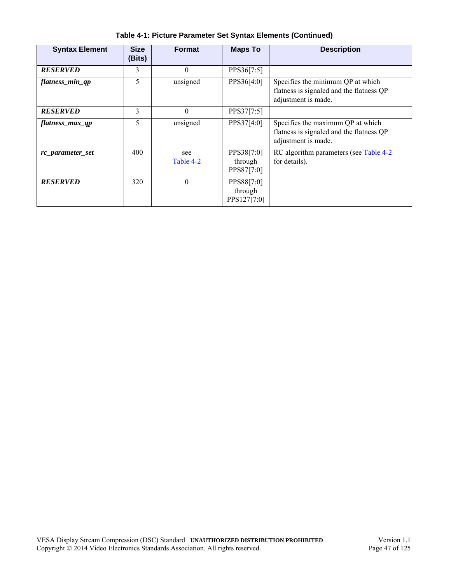| <b>Syntax Element</b> | <b>Size</b><br>(Bits) | <b>Format</b>    | <b>Maps To</b>                       | <b>Description</b>                                                                                   |
|-----------------------|-----------------------|------------------|--------------------------------------|------------------------------------------------------------------------------------------------------|
| <b>RESERVED</b>       | 3                     | $\theta$         | PPS36[7:5]                           |                                                                                                      |
| flatness_min_qp       | 5                     | unsigned         | PPS36[4:0]                           | Specifies the minimum QP at which<br>flatness is signaled and the flatness QP<br>adjustment is made. |
| <b>RESERVED</b>       | 3                     | $\theta$         | PPS37[7:5]                           |                                                                                                      |
| flatness max qp       | 5                     | unsigned         | PPS37[4:0]                           | Specifies the maximum QP at which<br>flatness is signaled and the flatness QP<br>adjustment is made. |
| rc_parameter_set      | 400                   | see<br>Table 4-2 | PPS38[7:0]<br>through<br>PPS87[7:0]  | RC algorithm parameters (see Table 4-2)<br>for details).                                             |
| <b>RESERVED</b>       | 320                   | $\theta$         | PPS88[7:0]<br>through<br>PPS127[7:0] |                                                                                                      |

**Table 4-1: Picture Parameter Set Syntax Elements (Continued)**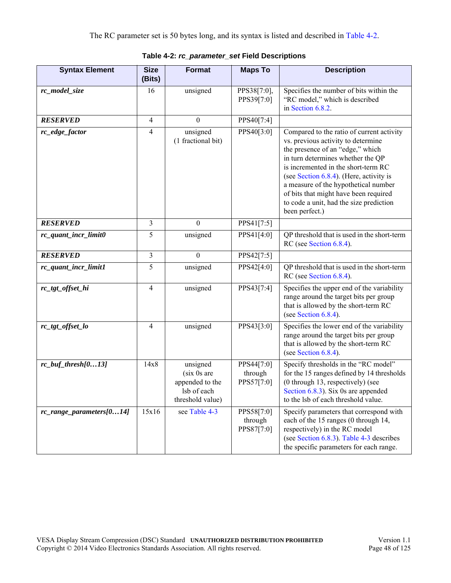<span id="page-47-2"></span><span id="page-47-1"></span><span id="page-47-0"></span>

| <b>Syntax Element</b>    | <b>Size</b><br>(Bits) | <b>Format</b>                                                                 | <b>Maps To</b>                      | <b>Description</b>                                                                                                                                                                                                                                                                                                                                                                       |
|--------------------------|-----------------------|-------------------------------------------------------------------------------|-------------------------------------|------------------------------------------------------------------------------------------------------------------------------------------------------------------------------------------------------------------------------------------------------------------------------------------------------------------------------------------------------------------------------------------|
| rc_model_size            | 16                    | unsigned                                                                      | PPS38[7:0],<br>PPS39[7:0]           | Specifies the number of bits within the<br>"RC model," which is described<br>in Section 6.8.2.                                                                                                                                                                                                                                                                                           |
| <b>RESERVED</b>          | $\overline{4}$        | $\boldsymbol{0}$                                                              | PPS40[7:4]                          |                                                                                                                                                                                                                                                                                                                                                                                          |
| rc_edge_factor           | $\overline{4}$        | unsigned<br>(1 fractional bit)                                                | PPS40[3:0]                          | Compared to the ratio of current activity<br>vs. previous activity to determine<br>the presence of an "edge," which<br>in turn determines whether the QP<br>is incremented in the short-term RC<br>(see Section 6.8.4). (Here, activity is<br>a measure of the hypothetical number<br>of bits that might have been required<br>to code a unit, had the size prediction<br>been perfect.) |
| <b>RESERVED</b>          | $\overline{3}$        | $\boldsymbol{0}$                                                              | PPS41[7:5]                          |                                                                                                                                                                                                                                                                                                                                                                                          |
| rc_quant_incr_limit0     | 5                     | unsigned                                                                      | PPS41[4:0]                          | QP threshold that is used in the short-term<br>RC (see Section 6.8.4).                                                                                                                                                                                                                                                                                                                   |
| <b>RESERVED</b>          | $\overline{3}$        | $\boldsymbol{0}$                                                              | PPS42[7:5]                          |                                                                                                                                                                                                                                                                                                                                                                                          |
| rc_quant_incr_limit1     | 5                     | unsigned                                                                      | PPS42[4:0]                          | QP threshold that is used in the short-term<br>RC (see Section 6.8.4).                                                                                                                                                                                                                                                                                                                   |
| rc_tgt_offset_hi         | $\overline{4}$        | unsigned                                                                      | PPS43[7:4]                          | Specifies the upper end of the variability<br>range around the target bits per group<br>that is allowed by the short-term RC<br>(see Section 6.8.4).                                                                                                                                                                                                                                     |
| rc_tgt_offset_lo         | $\overline{4}$        | unsigned                                                                      | PPS43[3:0]                          | Specifies the lower end of the variability<br>range around the target bits per group<br>that is allowed by the short-term RC<br>(see Section 6.8.4).                                                                                                                                                                                                                                     |
| $rc_buf_thresh[013]$     | 14x8                  | unsigned<br>(six 0s are<br>appended to the<br>lsb of each<br>threshold value) | PPS44[7:0]<br>through<br>PPS57[7:0] | Specify thresholds in the "RC model"<br>for the 15 ranges defined by 14 thresholds<br>(0 through 13, respectively) (see<br>Section $6.8.3$ ). Six 0s are appended<br>to the lsb of each threshold value.                                                                                                                                                                                 |
| rc_range_parameters[014] | 15x16                 | see Table 4-3                                                                 | PPS58[7:0]<br>through<br>PPS87[7:0] | Specify parameters that correspond with<br>each of the 15 ranges (0 through 14,<br>respectively) in the RC model<br>(see Section 6.8.3). Table 4-3 describes<br>the specific parameters for each range.                                                                                                                                                                                  |

**Table 4-2:** *rc\_parameter\_set* **Field Descriptions**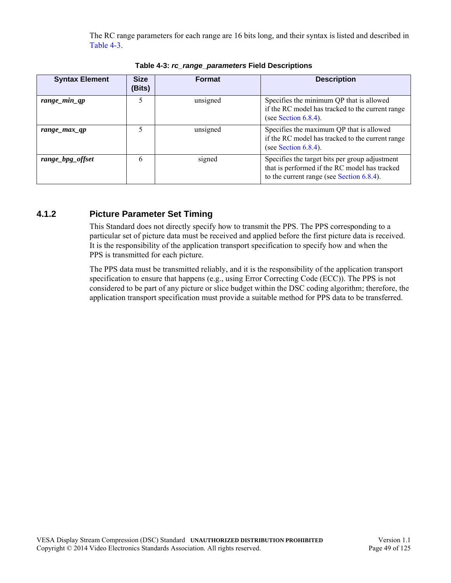The RC range parameters for each range are 16 bits long, and their syntax is listed and described in [Table 4-3](#page-48-1).

<span id="page-48-1"></span>

| <b>Syntax Element</b> | <b>Size</b><br>(Bits) | <b>Format</b> | <b>Description</b>                                                                                                                           |
|-----------------------|-----------------------|---------------|----------------------------------------------------------------------------------------------------------------------------------------------|
| range_min_qp          | 5                     | unsigned      | Specifies the minimum QP that is allowed<br>if the RC model has tracked to the current range<br>(see Section $6.8.4$ ).                      |
| range_max_qp          |                       | unsigned      | Specifies the maximum QP that is allowed<br>if the RC model has tracked to the current range<br>(see Section $6.8.4$ ).                      |
| range_bpg_offset      | 6                     | signed        | Specifies the target bits per group adjustment<br>that is performed if the RC model has tracked<br>to the current range (see Section 6.8.4). |

**Table 4-3:** *rc\_range\_parameters* **Field Descriptions**

## <span id="page-48-0"></span>**4.1.2 Picture Parameter Set Timing**

This Standard does not directly specify how to transmit the PPS. The PPS corresponding to a particular set of picture data must be received and applied before the first picture data is received. It is the responsibility of the application transport specification to specify how and when the PPS is transmitted for each picture.

The PPS data must be transmitted reliably, and it is the responsibility of the application transport specification to ensure that happens (e.g., using Error Correcting Code (ECC)). The PPS is not considered to be part of any picture or slice budget within the DSC coding algorithm; therefore, the application transport specification must provide a suitable method for PPS data to be transferred.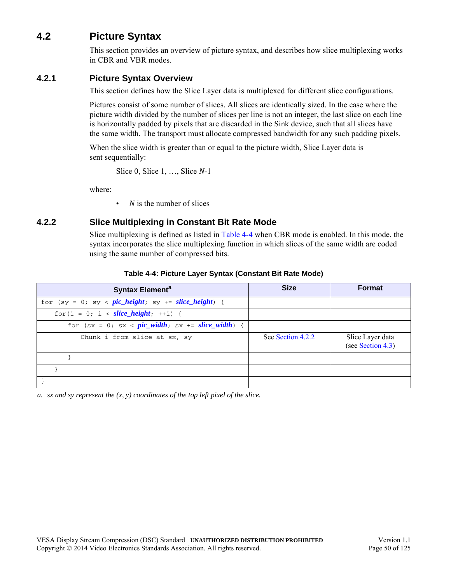# **4.2 Picture Syntax**

This section provides an overview of picture syntax, and describes how slice multiplexing works in CBR and VBR modes.

### **4.2.1 Picture Syntax Overview**

This section defines how the Slice Layer data is multiplexed for different slice configurations.

Pictures consist of some number of slices. All slices are identically sized. In the case where the picture width divided by the number of slices per line is not an integer, the last slice on each line is horizontally padded by pixels that are discarded in the Sink device, such that all slices have the same width. The transport must allocate compressed bandwidth for any such padding pixels.

When the slice width is greater than or equal to the picture width, Slice Layer data is sent sequentially:

Slice 0, Slice 1, …, Slice *N*-1

where:

• *N* is the number of slices

## <span id="page-49-0"></span>**4.2.2 Slice Multiplexing in Constant Bit Rate Mode**

Slice multiplexing is defined as listed in [Table 4-4](#page-49-1) when CBR mode is enabled. In this mode, the syntax incorporates the slice multiplexing function in which slices of the same width are coded using the same number of compressed bits.

<span id="page-49-1"></span>

| Syntax Element <sup>a</sup>                             | <b>Size</b>       | <b>Format</b>                         |
|---------------------------------------------------------|-------------------|---------------------------------------|
| for $(sy = 0; sy < pic\_height; sy += slice\_height)$ { |                   |                                       |
| for $(i = 0; i < slice \text{ height}; ++i)$ {          |                   |                                       |
| for $(sx = 0; sx < pic_width; sx += slice_width)$ {     |                   |                                       |
| Chunk i from slice at sx, sy                            | See Section 4.2.2 | Slice Layer data<br>(see Section 4.3) |
|                                                         |                   |                                       |
|                                                         |                   |                                       |
|                                                         |                   |                                       |

### **Table 4-4: Picture Layer Syntax (Constant Bit Rate Mode)**

*a. sx and sy represent the (x, y) coordinates of the top left pixel of the slice.*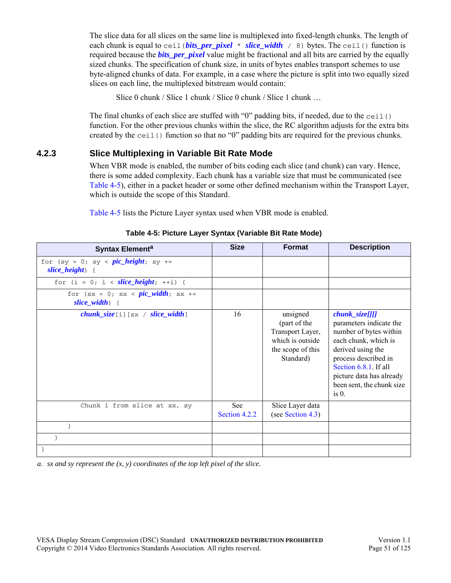The slice data for all slices on the same line is multiplexed into fixed-length chunks. The length of each chunk is equal to ceil(*bits\_per\_pixel* \* *slice\_width* / 8) bytes. The ceil() function is required because the *bits per pixel* value might be fractional and all bits are carried by the equally sized chunks. The specification of chunk size, in units of bytes enables transport schemes to use byte-aligned chunks of data. For example, in a case where the picture is split into two equally sized slices on each line, the multiplexed bitstream would contain:

Slice 0 chunk / Slice 1 chunk / Slice 0 chunk / Slice 1 chunk …

The final chunks of each slice are stuffed with "0" padding bits, if needed, due to the ceil() function. For the other previous chunks within the slice, the RC algorithm adjusts for the extra bits created by the ceil() function so that no " $0$ " padding bits are required for the previous chunks.

### **4.2.3 Slice Multiplexing in Variable Bit Rate Mode**

When VBR mode is enabled, the number of bits coding each slice (and chunk) can vary. Hence, there is some added complexity. Each chunk has a variable size that must be communicated (see [Table 4-5](#page-50-0)), either in a packet header or some other defined mechanism within the Transport Layer, which is outside the scope of this Standard.

[Table 4-5](#page-50-0) lists the Picture Layer syntax used when VBR mode is enabled.

<span id="page-50-0"></span>

| Syntax Element <sup>a</sup>                                  | <b>Size</b>          | <b>Format</b>                                                                                      | <b>Description</b>                                                                                                                                                                                                                      |
|--------------------------------------------------------------|----------------------|----------------------------------------------------------------------------------------------------|-----------------------------------------------------------------------------------------------------------------------------------------------------------------------------------------------------------------------------------------|
| for $(sy = 0; sy < pic\_height; sy +=$<br>$slice\_height)$ { |                      |                                                                                                    |                                                                                                                                                                                                                                         |
| for $(i = 0; i < slice\_height; ++i)$ {                      |                      |                                                                                                    |                                                                                                                                                                                                                                         |
| for $(sx = 0; sx < pic_width; sx +=$<br>$slice\_width)$ {    |                      |                                                                                                    |                                                                                                                                                                                                                                         |
| $chunk\_size[i][sx / slice\_width]$                          | 16                   | unsigned<br>(part of the<br>Transport Layer,<br>which is outside<br>the scope of this<br>Standard) | $chunk_size[]]]$<br>parameters indicate the<br>number of bytes within<br>each chunk, which is<br>derived using the<br>process described in<br>Section 6.8.1. If all<br>picture data has already<br>been sent, the chunk size<br>$is0$ . |
| Chunk i from slice at sx, sy                                 | See<br>Section 4.2.2 | Slice Layer data<br>(see Section 4.3)                                                              |                                                                                                                                                                                                                                         |
| ł                                                            |                      |                                                                                                    |                                                                                                                                                                                                                                         |
|                                                              |                      |                                                                                                    |                                                                                                                                                                                                                                         |
|                                                              |                      |                                                                                                    |                                                                                                                                                                                                                                         |

### **Table 4-5: Picture Layer Syntax (Variable Bit Rate Mode)**

*a. sx and sy represent the (x, y) coordinates of the top left pixel of the slice.*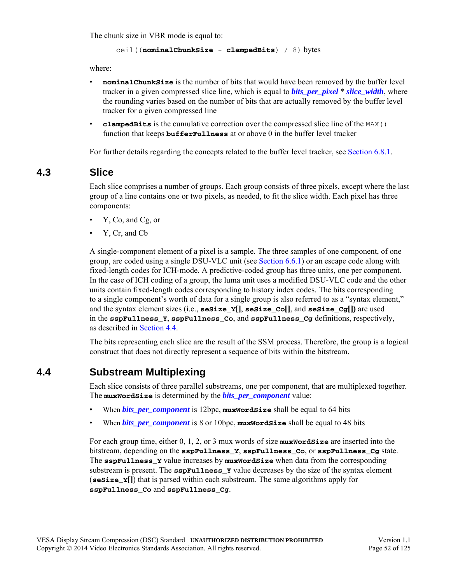The chunk size in VBR mode is equal to:

```
ceil((nominalChunkSize - clampedBits) / 8) bytes
```
where:

- **nominal ChunkSize** is the number of bits that would have been removed by the buffer level tracker in a given compressed slice line, which is equal to *bits\_per\_pixel* \* *slice\_width*, where the rounding varies based on the number of bits that are actually removed by the buffer level tracker for a given compressed line
- **clampedBits** is the cumulative correction over the compressed slice line of the MAX() function that keeps **bufferFullness** at or above 0 in the buffer level tracker

For further details regarding the concepts related to the buffer level tracker, see [Section 6.8.1](#page-81-0).

## <span id="page-51-0"></span>**4.3 Slice**

Each slice comprises a number of groups. Each group consists of three pixels, except where the last group of a line contains one or two pixels, as needed, to fit the slice width. Each pixel has three components:

- Y, Co, and Cg, or
- Y, Cr, and Cb

A single-component element of a pixel is a sample. The three samples of one component, of one group, are coded using a single DSU-VLC unit (see [Section 6.6.1](#page-74-0)) or an escape code along with fixed-length codes for ICH-mode. A predictive-coded group has three units, one per component. In the case of ICH coding of a group, the luma unit uses a modified DSU-VLC code and the other units contain fixed-length codes corresponding to history index codes. The bits corresponding to a single component's worth of data for a single group is also referred to as a "syntax element," and the syntax element sizes (i.e., **seSize\_Y[]**, **seSize\_Co[]**, and **seSize\_Cg[])** are used in the **sspFullness\_Y**, **sspFullness\_Co**, and **sspFullness\_Cg** definitions, respectively, as described in [Section 4.4](#page-51-1).

The bits representing each slice are the result of the SSM process. Therefore, the group is a logical construct that does not directly represent a sequence of bits within the bitstream.

# <span id="page-51-1"></span>**4.4 Substream Multiplexing**

Each slice consists of three parallel substreams, one per component, that are multiplexed together. The **muxWordSize** is determined by the *bits\_per\_component* value:

- When *bits\_per\_component* is 12bpc, **muxWordSize** shall be equal to 64 bits
- When *bits\_per\_component* is 8 or 10bpc, **muxWordSize** shall be equal to 48 bits

For each group time, either 0, 1, 2, or 3 mux words of size **muxWordSize** are inserted into the bitstream, depending on the **sspFullness\_Y**, **sspFullness\_Co**, or **sspFullness\_Cg** state. The **sspFullness\_Y** value increases by **muxWordSize** when data from the corresponding substream is present. The **sspFullness\_Y** value decreases by the size of the syntax element (**seSize\_Y[]**) that is parsed within each substream. The same algorithms apply for **sspFullness\_Co** and **sspFullness\_Cg**.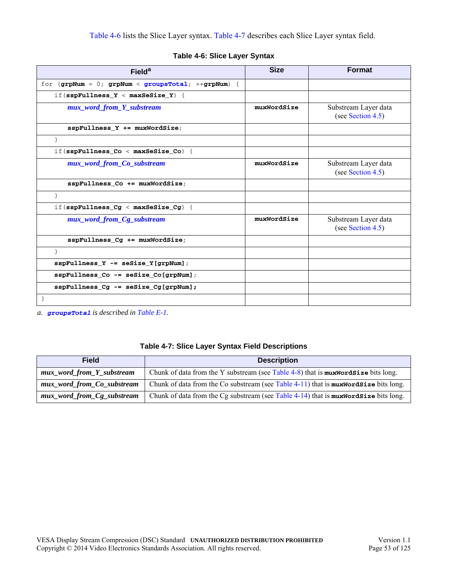|  |  |  |  | Table 4-6: Slice Layer Syntax |
|--|--|--|--|-------------------------------|
|--|--|--|--|-------------------------------|

<span id="page-52-0"></span>

| Field <sup>a</sup>                                    | <b>Size</b> | <b>Format</b>                             |
|-------------------------------------------------------|-------------|-------------------------------------------|
| for $(gr pNum = 0; grpNum < grcupsTotal; ++grpNum)$ { |             |                                           |
| if (sspFullness $Y < maxSesize Y$ ) {                 |             |                                           |
| mux_word_from_Y_substream                             | muxWordSize | Substream Layer data<br>(see Section 4.5) |
| $sspFullness$ Y += $muWordSize$ ;                     |             |                                           |
| }                                                     |             |                                           |
| if (sspFullness $Co < maxSeSize Co$ ) {               |             |                                           |
| mux_word_from_Co_substream                            | muxWordSize | Substream Layer data<br>(see Section 4.5) |
| sspFullness_Co += muxWordSize;                        |             |                                           |
| $\mathcal{E}$                                         |             |                                           |
| if (sspFullness $Cg <$ maxSeSize $Cg$ ) {             |             |                                           |
| mux_word_from_Cg_substream                            | muxWordSize | Substream Layer data<br>(see Section 4.5) |
| sspFullness_Cg += muxWordSize;                        |             |                                           |
| $\mathcal{E}$                                         |             |                                           |
| $sspFullness_Y - = sesize Y[qrpNum];$                 |             |                                           |
| $sspFullness$ Co -= $seSize$ Co[grpNum];              |             |                                           |
| $sspFullness_Cg - = sesize_Cg[grpNum];$               |             |                                           |
|                                                       |             |                                           |

*a. [groupsTotal](#page-109-4) is described in [Table E-1](#page-109-2).*

<span id="page-52-4"></span><span id="page-52-3"></span><span id="page-52-2"></span><span id="page-52-1"></span>

| <b>Field</b>               | <b>Description</b>                                                                     |
|----------------------------|----------------------------------------------------------------------------------------|
| mux_word_from_Y_substream  | Chunk of data from the Y substream (see Table 4-8) that is $maxWordSize$ bits long.    |
| mux_word_from_Co_substream | Chunk of data from the Co substream (see Table 4-11) that is $maxWordSize$ bits long.  |
| mux_word_from_Cg_substream | Chunk of data from the Cg substream (see Table $4-14$ ) that is muxWordSize bits long. |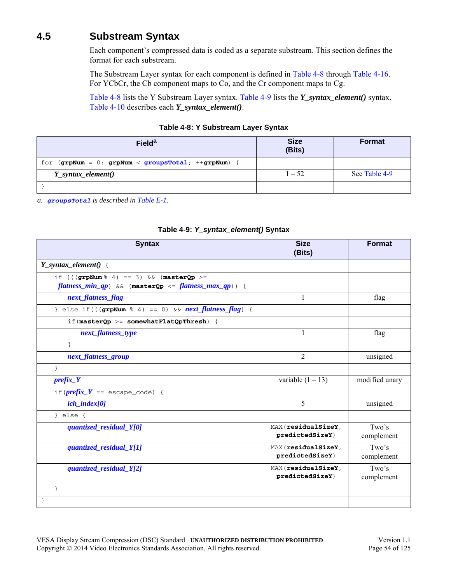# <span id="page-53-1"></span>**4.5 Substream Syntax**

Each component's compressed data is coded as a separate substream. This section defines the format for each substream.

The Substream Layer syntax for each component is defined in [Table 4-8](#page-53-0) through [Table 4-16.](#page-58-0) For YCbCr, the Cb component maps to Co, and the Cr component maps to Cg.

[Table 4-8](#page-53-0) lists the Y Substream Layer syntax. [Table 4-9](#page-53-2) lists the *Y\_syntax\_element()* syntax. [Table 4-10](#page-54-0) describes each *Y\_syntax\_element()*.

| Table 4-8: Y Substream Layer Syntax |  |  |
|-------------------------------------|--|--|
|-------------------------------------|--|--|

<span id="page-53-0"></span>

| <b>Field<sup>a</sup></b>                          | <b>Size</b><br>(Bits) | Format        |
|---------------------------------------------------|-----------------------|---------------|
| for $(grpNum = 0; grpNum < groupsTotal; +grpNum)$ |                       |               |
| Y_syntax_element()                                | $1 - 52$              | See Table 4-9 |
|                                                   |                       |               |

*a. [groupsTotal](#page-109-4) is described in [Table E-1](#page-109-2).*

<span id="page-53-2"></span>

| <b>Syntax</b>                                                                                                             | <b>Size</b><br>(Bits)                  | <b>Format</b>       |
|---------------------------------------------------------------------------------------------------------------------------|----------------------------------------|---------------------|
| $Y$ _syntax_element() {                                                                                                   |                                        |                     |
| if $((\text{graph}\, \$\, 4) == 3)$ & $\&$ (master Op >=<br>$flatness\_min\_qp$ ) & (masterQp <= $flatness\_max\_qp$ )) { |                                        |                     |
| next_flatness_flag                                                                                                        | $\mathbf{1}$                           | flag                |
| } else if( $((grpNum 8 4) == 0)$ & $next_{flatness_{}}flag$ ) {                                                           |                                        |                     |
| if $(\text{masterQp} > = \text{somewhatFlatQpThresh})$ {                                                                  |                                        |                     |
| next_flatness_type                                                                                                        | 1                                      | flag                |
| $\mathcal{E}$                                                                                                             |                                        |                     |
| next_flatness_group                                                                                                       | $\overline{2}$                         | unsigned            |
| }                                                                                                                         |                                        |                     |
| $prefix_Y$                                                                                                                | variable $(1 – 13)$                    | modified unary      |
| if( $\text{prefix}\_Y$ == escape_code) {                                                                                  |                                        |                     |
| $ich\_index[0]$                                                                                                           | 5                                      | unsigned            |
| } $else$ {                                                                                                                |                                        |                     |
| quantized_residual_Y[0]                                                                                                   | MAX (residualSizeY,<br>predictedSizeY) | Two's<br>complement |
| quantized_residual_Y[1]                                                                                                   | MAX (residualSizeY,<br>predictedSizeY) | Two's<br>complement |
| quantized_residual_Y[2]                                                                                                   | MAX (residualSizeY,<br>predictedSizeY) | Two's<br>complement |
| $\mathcal{E}$                                                                                                             |                                        |                     |
| }                                                                                                                         |                                        |                     |

#### **Table 4-9:** *Y\_syntax\_element()* **Syntax**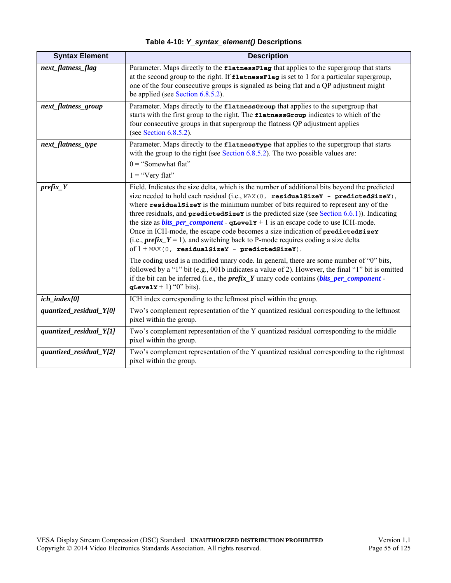<span id="page-54-6"></span><span id="page-54-5"></span><span id="page-54-4"></span><span id="page-54-3"></span><span id="page-54-2"></span><span id="page-54-1"></span><span id="page-54-0"></span>

| <b>Syntax Element</b>   | <b>Description</b>                                                                                                                                                                                                                                                                                                                                                                                                                                                                                                                                                                                                                                                                                               |
|-------------------------|------------------------------------------------------------------------------------------------------------------------------------------------------------------------------------------------------------------------------------------------------------------------------------------------------------------------------------------------------------------------------------------------------------------------------------------------------------------------------------------------------------------------------------------------------------------------------------------------------------------------------------------------------------------------------------------------------------------|
| next_flatness_flag      | Parameter. Maps directly to the flatnessFlag that applies to the supergroup that starts<br>at the second group to the right. If flatnessFlag is set to 1 for a particular supergroup,<br>one of the four consecutive groups is signaled as being flat and a QP adjustment might<br>be applied (see Section 6.8.5.2).                                                                                                                                                                                                                                                                                                                                                                                             |
| next_flatness_group     | Parameter. Maps directly to the flatnessGroup that applies to the supergroup that<br>starts with the first group to the right. The flatnessGroup indicates to which of the<br>four consecutive groups in that supergroup the flatness QP adjustment applies<br>(see Section $6.8.5.2$ ).                                                                                                                                                                                                                                                                                                                                                                                                                         |
| next_flatness_type      | Parameter. Maps directly to the flatness Type that applies to the supergroup that starts<br>with the group to the right (see Section $6.8.5.2$ ). The two possible values are:<br>$0 =$ "Somewhat flat"<br>$1 = "Very flat"$                                                                                                                                                                                                                                                                                                                                                                                                                                                                                     |
| $prefix_Y$              | Field. Indicates the size delta, which is the number of additional bits beyond the predicted<br>size needed to hold each residual (i.e., MAX (0, residualSizeY - predictedSizeY),<br>where residualsizer is the minimum number of bits required to represent any of the<br>three residuals, and $predictedsize$ is the predicted size (see Section $6.6.1$ )). Indicating<br>the size as <b>bits_per_component</b> - $q$ <b>Levely</b> + 1 is an escape code to use ICH-mode.<br>Once in ICH-mode, the escape code becomes a size indication of predicted SizeY<br>(i.e., <i>prefix</i> $Y = 1$ ), and switching back to P-mode requires coding a size delta<br>of $1 + MAX(0, residualSizeY - predictedSizeY).$ |
|                         | The coding used is a modified unary code. In general, there are some number of "0" bits,<br>followed by a "1" bit (e.g., 001b indicates a value of 2). However, the final "1" bit is omitted<br>if the bit can be inferred (i.e., the $prefix_Y$ unary code contains ( $bits\_per\_component -$<br>qLevelY + 1) " $0$ " bits).                                                                                                                                                                                                                                                                                                                                                                                   |
| $ich\_index[0]$         | ICH index corresponding to the leftmost pixel within the group.                                                                                                                                                                                                                                                                                                                                                                                                                                                                                                                                                                                                                                                  |
| quantized_residual_Y[0] | Two's complement representation of the Y quantized residual corresponding to the leftmost<br>pixel within the group.                                                                                                                                                                                                                                                                                                                                                                                                                                                                                                                                                                                             |
| quantized_residual_Y[1] | Two's complement representation of the Y quantized residual corresponding to the middle<br>pixel within the group.                                                                                                                                                                                                                                                                                                                                                                                                                                                                                                                                                                                               |
| quantized_residual_Y[2] | Two's complement representation of the Y quantized residual corresponding to the rightmost<br>pixel within the group.                                                                                                                                                                                                                                                                                                                                                                                                                                                                                                                                                                                            |

**Table 4-10:** *Y\_syntax\_element()* **Descriptions**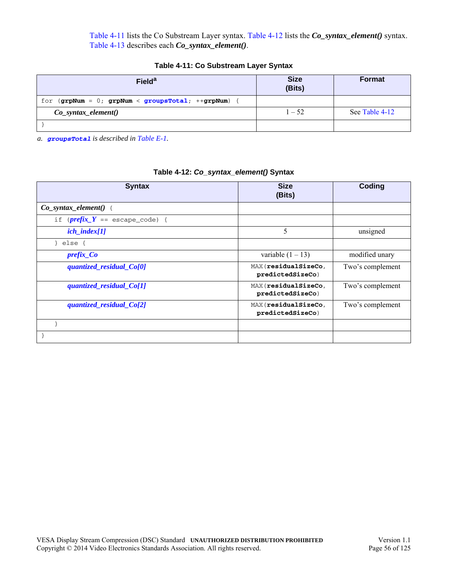[Table 4-11](#page-55-0) lists the Co Substream Layer syntax. [Table 4-12](#page-55-1) lists the *Co\_syntax\_element()* syntax. [Table 4-13](#page-56-0) describes each *Co\_syntax\_element()*.

<span id="page-55-0"></span>

| Field <sup>a</sup>                                | <b>Size</b><br>(Bits) | <b>Format</b>  |
|---------------------------------------------------|-----------------------|----------------|
| for $(grpNum = 0; grpNum < groupsTotal; +grpNum)$ |                       |                |
| $Co\_syntax\_element()$                           | $1 - 52$              | See Table 4-12 |
|                                                   |                       |                |

**Table 4-11: Co Substream Layer Syntax**

*a. [groupsTotal](#page-109-4) is described in [Table E-1](#page-109-2).*

<span id="page-55-1"></span>

| <b>Syntax</b>                                       | <b>Size</b><br>(Bits)                    | Coding           |
|-----------------------------------------------------|------------------------------------------|------------------|
| $Co\_syntax\_element() \{$                          |                                          |                  |
| if $(\textit{prefix} \_Y == \text{escape\_code})$ { |                                          |                  |
| $ich\_index[1]$                                     | 5                                        | unsigned         |
| } else $\{$                                         |                                          |                  |
| $prefix\_Co$                                        | variable $(1 – 13)$                      | modified unary   |
| quantized_residual_Co[0]                            | MAX (residualSizeCo,<br>predictedSizeCo) | Two's complement |
| quantized_residual_Co[1]                            | MAX (residualSizeCo,<br>predictedSizeCo) | Two's complement |
| quantized_residual_Co[2]                            | MAX (residualSizeCo,<br>predictedSizeCo) | Two's complement |
|                                                     |                                          |                  |
|                                                     |                                          |                  |

### **Table 4-12:** *Co\_syntax\_element()* **Syntax**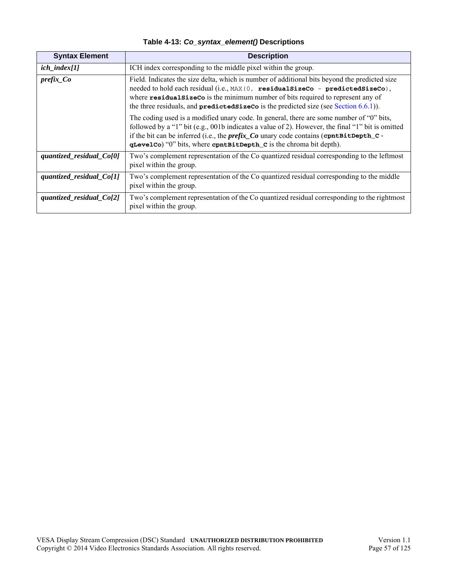<span id="page-56-5"></span><span id="page-56-4"></span><span id="page-56-3"></span><span id="page-56-2"></span><span id="page-56-1"></span><span id="page-56-0"></span>

| <b>Syntax Element</b>    | <b>Description</b>                                                                                                                                                                                                                                                                                                                                               |  |  |
|--------------------------|------------------------------------------------------------------------------------------------------------------------------------------------------------------------------------------------------------------------------------------------------------------------------------------------------------------------------------------------------------------|--|--|
| $ich\_index[1]$          | ICH index corresponding to the middle pixel within the group.                                                                                                                                                                                                                                                                                                    |  |  |
| $prefix\_Co$             | Field. Indicates the size delta, which is number of additional bits beyond the predicted size<br>needed to hold each residual (i.e., MAX (0, residualSizeCo - predictedSizeCo),<br>where residualsize Co is the minimum number of bits required to represent any of<br>the three residuals, and $predictedsizeCo$ is the predicted size (see Section 6.6.1)).    |  |  |
|                          | The coding used is a modified unary code. In general, there are some number of "0" bits,<br>followed by a "1" bit (e.g., 001b indicates a value of 2). However, the final "1" bit is omitted<br>if the bit can be inferred (i.e., the $prefix\_Co$ unary code contains (containt Depth_C -<br>qLevelCo) "0" bits, where contBitDepth_C is the chroma bit depth). |  |  |
| quantized_residual_Co[0] | Two's complement representation of the Co quantized residual corresponding to the leftmost<br>pixel within the group.                                                                                                                                                                                                                                            |  |  |
| quantized_residual_Co[1] | Two's complement representation of the Co quantized residual corresponding to the middle<br>pixel within the group.                                                                                                                                                                                                                                              |  |  |
| quantized_residual_Co[2] | Two's complement representation of the Co quantized residual corresponding to the rightmost<br>pixel within the group.                                                                                                                                                                                                                                           |  |  |

**Table 4-13:** *Co\_syntax\_element()* **Descriptions**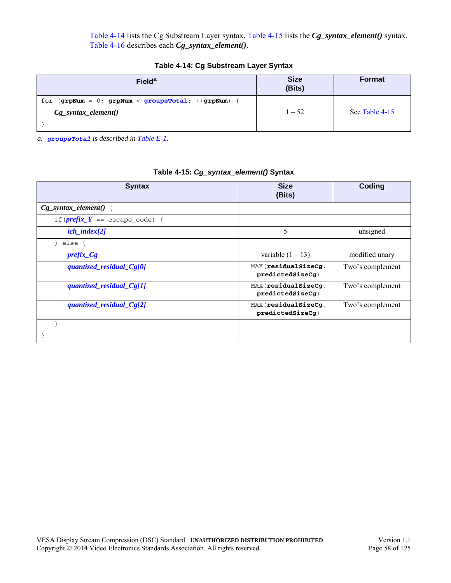[Table 4-14](#page-57-0) lists the Cg Substream Layer syntax. [Table 4-15](#page-57-1) lists the *Cg\_syntax\_element()* syntax. [Table 4-16](#page-58-0) describes each *Cg\_syntax\_element()*.

|  |  | Table 4-14: Cg Substream Layer Syntax |  |  |
|--|--|---------------------------------------|--|--|
|--|--|---------------------------------------|--|--|

<span id="page-57-0"></span>

| <b>Field<sup>a</sup></b>                          | <b>Size</b><br>(Bits) | <b>Format</b>  |
|---------------------------------------------------|-----------------------|----------------|
| for $(grpNum = 0; grpNum < groupsTotal; +grpNum)$ |                       |                |
| $Cg_{syn}tax_{element()}$                         | $1 - 52$              | See Table 4-15 |
|                                                   |                       |                |

*a. [groupsTotal](#page-109-4) is described in [Table E-1](#page-109-2).*

<span id="page-57-1"></span>

| <b>Syntax</b>                                     | <b>Size</b><br>(Bits)                   | Coding           |
|---------------------------------------------------|-----------------------------------------|------------------|
| $Cg$ _syntax_element() {                          |                                         |                  |
| if $(\textit{prefix} Y == \text{escape\_code})$ { |                                         |                  |
| $ich\_index[2]$                                   | 5                                       | unsigned         |
| else {                                            |                                         |                  |
| $prefix_Cg$                                       | variable $(1 – 13)$                     | modified unary   |
| quantized_residual_Cg[0]                          | MAX(residualSizeCg,<br>predictedSizeCg) | Two's complement |
| quantized_residual_Cg[1]                          | MAX(residualSizeCg,<br>predictedSizeCg) | Two's complement |
| quantized_residual_Cg[2]                          | MAX(residualSizeCg,<br>predictedSizeCg) | Two's complement |
|                                                   |                                         |                  |
|                                                   |                                         |                  |

### **Table 4-15:** *Cg\_syntax\_element()* **Syntax**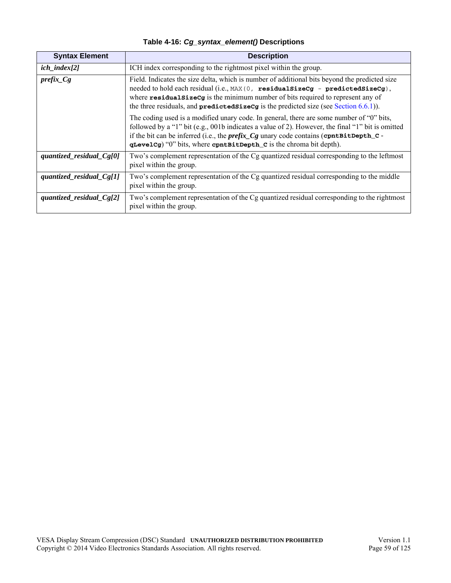|  |  | Table 4-16: Cg_syntax_element() Descriptions |
|--|--|----------------------------------------------|
|  |  |                                              |

<span id="page-58-5"></span><span id="page-58-4"></span><span id="page-58-3"></span><span id="page-58-2"></span><span id="page-58-1"></span><span id="page-58-0"></span>

| <b>Syntax Element</b>       | <b>Description</b>                                                                                                                                                                                                                                                                                                                                                            |  |  |  |  |
|-----------------------------|-------------------------------------------------------------------------------------------------------------------------------------------------------------------------------------------------------------------------------------------------------------------------------------------------------------------------------------------------------------------------------|--|--|--|--|
| $ich\_index[2]$             | ICH index corresponding to the rightmost pixel within the group.                                                                                                                                                                                                                                                                                                              |  |  |  |  |
| $prefix_Cg$                 | Field. Indicates the size delta, which is number of additional bits beyond the predicted size<br>needed to hold each residual (i.e., $MAX(0, residuealsizeCg - predictedSizeG)$ ,<br>where $\texttt{residualSizeCg}$ is the minimum number of bits required to represent any of<br>the three residuals, and $predictedSizeCg$ is the predicted size (see Section $(6.6.1)$ ). |  |  |  |  |
|                             | The coding used is a modified unary code. In general, there are some number of "0" bits,<br>followed by a "1" bit (e.g., 001b indicates a value of 2). However, the final "1" bit is omitted<br>if the bit can be inferred (i.e., the $prefix\_Cg$ unary code contains (contait Depth_C -<br>qLevelCg) "0" bits, where contBitDepth_C is the chroma bit depth).               |  |  |  |  |
| quantized_residual_ $Cg[0]$ | Two's complement representation of the Cg quantized residual corresponding to the leftmost<br>pixel within the group.                                                                                                                                                                                                                                                         |  |  |  |  |
| quantized_residual_ $Cg[1]$ | Two's complement representation of the Cg quantized residual corresponding to the middle<br>pixel within the group.                                                                                                                                                                                                                                                           |  |  |  |  |
| quantized_residual_ $Cg[2]$ | Two's complement representation of the Cg quantized residual corresponding to the rightmost<br>pixel within the group.                                                                                                                                                                                                                                                        |  |  |  |  |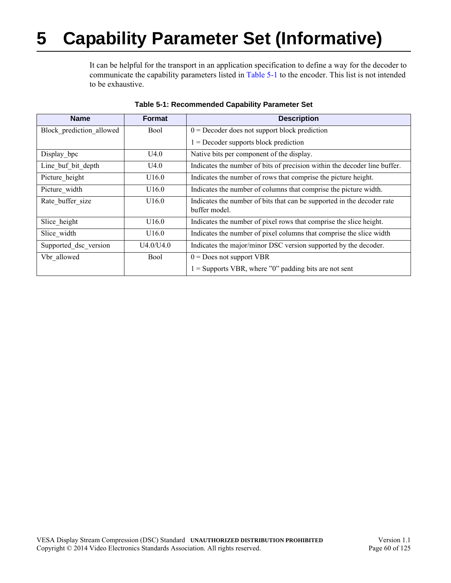# <span id="page-59-1"></span>**5 Capability Parameter Set (Informative)**

It can be helpful for the transport in an application specification to define a way for the decoder to communicate the capability parameters listed in [Table 5-1](#page-59-0) to the encoder. This list is not intended to be exhaustive.

<span id="page-59-0"></span>

| <b>Name</b>              | <b>Format</b> | <b>Description</b>                                                                      |  |  |  |  |
|--------------------------|---------------|-----------------------------------------------------------------------------------------|--|--|--|--|
| Block prediction allowed | Bool          | $0 =$ Decoder does not support block prediction                                         |  |  |  |  |
|                          |               | $1 =$ Decoder supports block prediction                                                 |  |  |  |  |
| Display_bpc              | U4.0          | Native bits per component of the display.                                               |  |  |  |  |
| Line buf bit depth       | U4.0          | Indicates the number of bits of precision within the decoder line buffer.               |  |  |  |  |
| Picture_height           | U16.0         | Indicates the number of rows that comprise the picture height.                          |  |  |  |  |
| Picture width            | U16.0         | Indicates the number of columns that comprise the picture width.                        |  |  |  |  |
| Rate buffer size         | U16.0         | Indicates the number of bits that can be supported in the decoder rate<br>buffer model. |  |  |  |  |
| Slice height             | U16.0         | Indicates the number of pixel rows that comprise the slice height.                      |  |  |  |  |
| Slice width              | U16.0         | Indicates the number of pixel columns that comprise the slice width                     |  |  |  |  |
| Supported dsc version    | U4.0/U4.0     | Indicates the major/minor DSC version supported by the decoder.                         |  |  |  |  |
| Vbr allowed              | Bool          | $0 = Does not support VBR$                                                              |  |  |  |  |
|                          |               | $1 =$ Supports VBR, where "0" padding bits are not sent                                 |  |  |  |  |

#### **Table 5-1: Recommended Capability Parameter Set**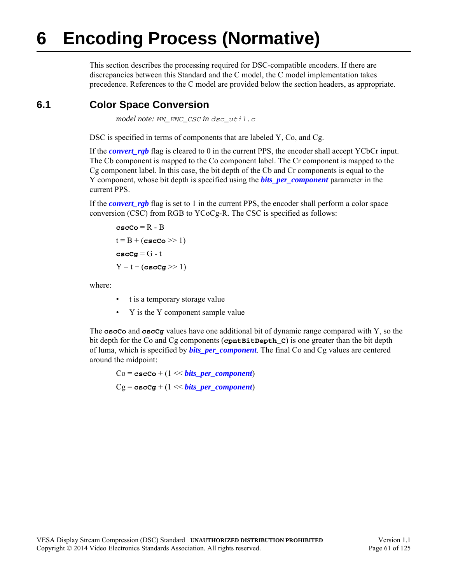# **6 Encoding Process (Normative)**

<span id="page-60-0"></span>This section describes the processing required for DSC-compatible encoders. If there are discrepancies between this Standard and the C model, the C model implementation takes precedence. References to the C model are provided below the section headers, as appropriate.

# **6.1 Color Space Conversion**

*model note: MN\_ENC\_CSC in dsc\_util.c*

DSC is specified in terms of components that are labeled Y, Co, and Cg.

If the *[convert\\_rgb](#page-43-2)* flag is cleared to 0 in the current PPS, the encoder shall accept YCbCr input. The Cb component is mapped to the Co component label. The Cr component is mapped to the Cg component label. In this case, the bit depth of the Cb and Cr components is equal to the Y component, whose bit depth is specified using the *[bits\\_per\\_component](#page-42-1)* parameter in the current PPS.

If the *[convert\\_rgb](#page-43-2)* flag is set to 1 in the current PPS, the encoder shall perform a color space conversion (CSC) from RGB to YCoCg-R. The CSC is specified as follows:

```
cscCo = R - B
t = B + (cscCo \gg 1)\csc cg = G - t
Y = t + (cscCg \gg 1)
```
where:

- t is a temporary storage value
- Y is the Y component sample value

The **cscCo** and **cscCg** values have one additional bit of dynamic range compared with Y, so the bit depth for the Co and Cg components (**cpntBitDepth\_C**) is one greater than the bit depth of luma, which is specified by *[bits\\_per\\_component](#page-42-1)*. The final Co and Cg values are centered around the midpoint:

 $Co = \text{cscCo} + (1 \ll \text{bits per component})$  $Cg = \csc{c}g + (1 \ll bits\ per\ component)$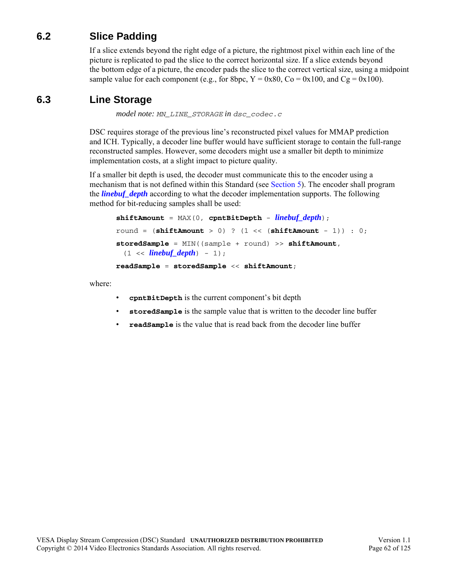# **6.2 Slice Padding**

If a slice extends beyond the right edge of a picture, the rightmost pixel within each line of the picture is replicated to pad the slice to the correct horizontal size. If a slice extends beyond the bottom edge of a picture, the encoder pads the slice to the correct vertical size, using a midpoint sample value for each component (e.g., for 8bpc,  $Y = 0x80$ ,  $Co = 0x100$ , and  $Cg = 0x100$ ).

## **6.3 Line Storage**

*model note: MN\_LINE\_STORAGE in dsc\_codec.c*

DSC requires storage of the previous line's reconstructed pixel values for MMAP prediction and ICH. Typically, a decoder line buffer would have sufficient storage to contain the full-range reconstructed samples. However, some decoders might use a smaller bit depth to minimize implementation costs, at a slight impact to picture quality.

If a smaller bit depth is used, the decoder must communicate this to the encoder using a mechanism that is not defined within this Standard (see [Section 5](#page-59-1)). The encoder shall program the *[linebuf\\_depth](#page-42-2)* according to what the decoder implementation supports. The following method for bit-reducing samples shall be used:

```
shiftAmount = MAX(0, cpntBitDepth - linebuf_depth);
round = (shiftAmount > 0) ? (1 << (shiftAmount - 1)) : 0;
storedSample = MIN((sample + round) >> shiftAmount, 
 (1 \lt \ linebuf_depth) - 1);
readSample = storedSample << shiftAmount;
```
where:

- **cpntBitDepth** is the current component's bit depth
- **storedSample** is the sample value that is written to the decoder line buffer
- **readSample** is the value that is read back from the decoder line buffer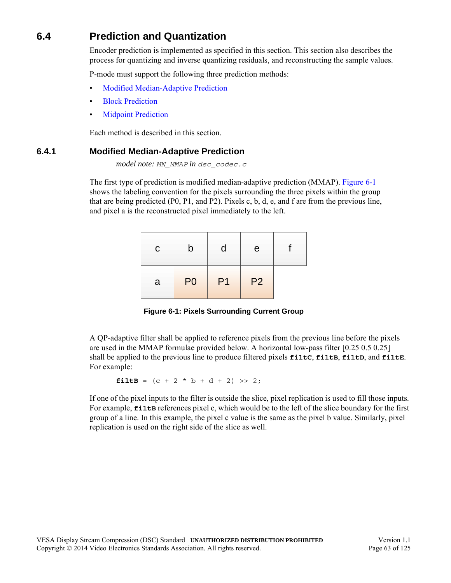# **6.4 Prediction and Quantization**

Encoder prediction is implemented as specified in this section. This section also describes the process for quantizing and inverse quantizing residuals, and reconstructing the sample values.

P-mode must support the following three prediction methods:

- [Modified Median-Adaptive Prediction](#page-62-1)
- **[Block Prediction](#page-64-0)**
- **[Midpoint Prediction](#page-64-1)**

Each method is described in this section.

### <span id="page-62-1"></span>**6.4.1 Modified Median-Adaptive Prediction**

*model note: MN\_MMAP in dsc\_codec.c*

The first type of prediction is modified median-adaptive prediction (MMAP). [Figure 6-1](#page-62-0) shows the labeling convention for the pixels surrounding the three pixels within the group that are being predicted (P0, P1, and P2). Pixels c, b, d, e, and f are from the previous line, and pixel a is the reconstructed pixel immediately to the left.

| $\mathsf{C}$ | b              | Π              | e              |  |
|--------------|----------------|----------------|----------------|--|
| a            | P <sub>0</sub> | P <sub>1</sub> | P <sub>2</sub> |  |

**Figure 6-1: Pixels Surrounding Current Group**

<span id="page-62-0"></span>A QP-adaptive filter shall be applied to reference pixels from the previous line before the pixels are used in the MMAP formulae provided below. A horizontal low-pass filter [0.25 0.5 0.25] shall be applied to the previous line to produce filtered pixels **filtC**, **filtB**, **filtD**, and **filtE**. For example:

**filtB** =  $(c + 2 * b + d + 2) >> 2;$ 

If one of the pixel inputs to the filter is outside the slice, pixel replication is used to fill those inputs. For example, **filts** references pixel c, which would be to the left of the slice boundary for the first group of a line. In this example, the pixel c value is the same as the pixel b value. Similarly, pixel replication is used on the right side of the slice as well.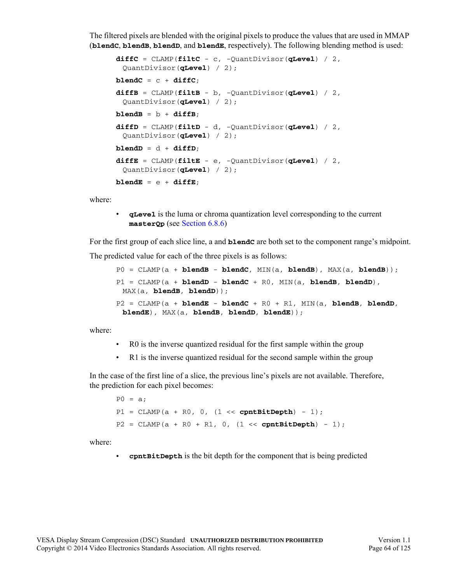The filtered pixels are blended with the original pixels to produce the values that are used in MMAP (**blendC**, **blendB**, **blendD**, and **blendE**, respectively). The following blending method is used:

```
diffC = CLAMP(filtC - c, -QuantDivisor(qLevel) / 2, 
 QuantDivisor(qLevel) / 2);
blendC = c + diffC;
diffB = CLAMP(filtB - b, -QuantDivisor(qLevel) / 2, 
 QuantDivisor(qLevel) / 2);

diffD = CLAMP(filtD - d, -QuantDivisor(qLevel) / 2, 
 QuantDivisor(qLevel) / 2);

diffE = CLAMP(filtE - e, -QuantDivisor(qLevel) / 2, 
 QuantDivisor(qLevel) / 2);
blendE = e +diffE;
```
where:

• **qLevel** is the luma or chroma quantization level corresponding to the current **masterQp** (see [Section 6.8.6\)](#page-95-0)

For the first group of each slice line, a and **blendC** are both set to the component range's midpoint. The predicted value for each of the three pixels is as follows:

```
P0 = CLAMP(a + <b>blendB - blendC</math>, MIN(a, <b>blendB</b>), MAX(a, <b>blendB</b>));P1 = CLAMP(a + blendD - blendC + R0, MIN(a, blendB, blendD), 
 MAX(a, blendB, blendD));
P2 = CLAMP(a + blendE - blendC + R0 + R1, MIN(a, blendB, blendD, 
 blendE), MAX(a, blendB, blendD, blendE));
```
where:

- R0 is the inverse quantized residual for the first sample within the group
- R1 is the inverse quantized residual for the second sample within the group

In the case of the first line of a slice, the previous line's pixels are not available. Therefore, the prediction for each pixel becomes:

 $P0 = a$ ;  $P1 = CLAMP(a + R0, 0, (1 << **cpntBitDepth**) - 1);$ P2 = CLAMP(a + R0 + R1, 0, (1 << **cpntBitDepth**) - 1);

where:

• **cpntBitDepth** is the bit depth for the component that is being predicted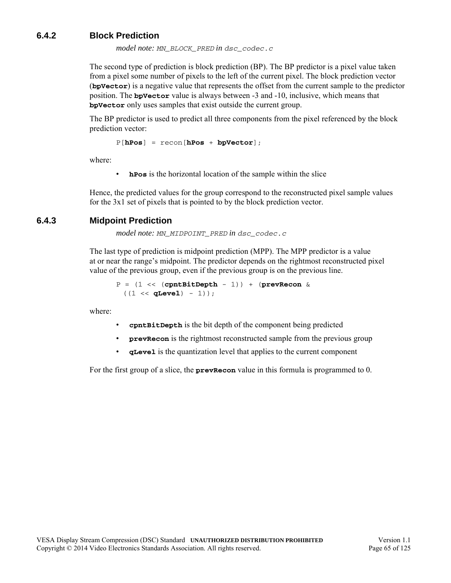### <span id="page-64-0"></span>**6.4.2 Block Prediction**

*model note: MN\_BLOCK\_PRED in dsc\_codec.c*

The second type of prediction is block prediction (BP). The BP predictor is a pixel value taken from a pixel some number of pixels to the left of the current pixel. The block prediction vector (**bpVector**) is a negative value that represents the offset from the current sample to the predictor position. The **bpVector** value is always between -3 and -10, inclusive, which means that **bpVector** only uses samples that exist outside the current group.

The BP predictor is used to predict all three components from the pixel referenced by the block prediction vector:

P[**hPos**] = recon[**hPos** + **bpVector**];

where:

• **hPos** is the horizontal location of the sample within the slice

Hence, the predicted values for the group correspond to the reconstructed pixel sample values for the 3x1 set of pixels that is pointed to by the block prediction vector.

### <span id="page-64-1"></span>**6.4.3 Midpoint Prediction**

*model note: MN\_MIDPOINT\_PRED in dsc\_codec.c*

The last type of prediction is midpoint prediction (MPP). The MPP predictor is a value at or near the range's midpoint. The predictor depends on the rightmost reconstructed pixel value of the previous group, even if the previous group is on the previous line.

```
P = (1 << (cpntBitDepth - 1)) + (prevRecon & 
 ((1 \lt\lt q \texttt{Level}) - 1));
```
where:

- **cpntBitDepth** is the bit depth of the component being predicted
- **prevRecon** is the rightmost reconstructed sample from the previous group
- **qLevel** is the quantization level that applies to the current component

For the first group of a slice, the **prevRecon** value in this formula is programmed to 0.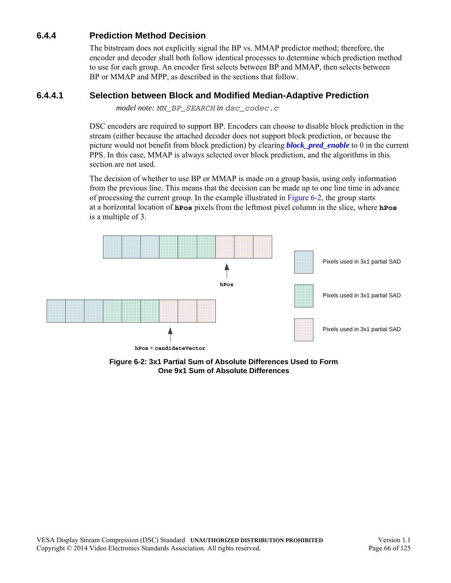## **6.4.4 Prediction Method Decision**

The bitstream does not explicitly signal the BP vs. MMAP predictor method; therefore, the encoder and decoder shall both follow identical processes to determine which prediction method to use for each group. An encoder first selects between BP and MMAP, then selects between BP or MMAP and MPP, as described in the sections that follow.

### <span id="page-65-2"></span>**6.4.4.1 Selection between Block and Modified Median-Adaptive Prediction**

<span id="page-65-0"></span>*model note: MN\_BP\_SEARCH in dsc\_codec.c*

DSC encoders are required to support BP. Encoders can choose to disable block prediction in the stream (either because the attached decoder does not support block prediction, or because the picture would not benefit from block prediction) by clearing *[block\\_pred\\_enable](#page-43-3)* to 0 in the current PPS. In this case, MMAP is always selected over block prediction, and the algorithms in this section are not used.

The decision of whether to use BP or MMAP is made on a group basis, using only information from the previous line. This means that the decision can be made up to one line time in advance of processing the current group. In the example illustrated in [Figure 6-2,](#page-65-1) the group starts at a horizontal location of **hPos** pixels from the leftmost pixel column in the slice, where **hPos** is a multiple of 3.



<span id="page-65-1"></span>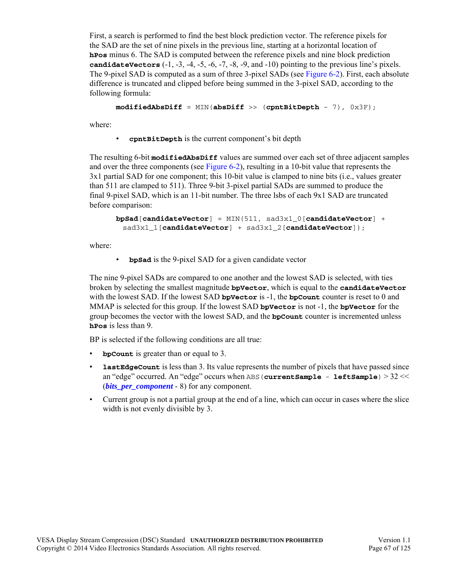First, a search is performed to find the best block prediction vector. The reference pixels for the SAD are the set of nine pixels in the previous line, starting at a horizontal location of **hPos** minus 6. The SAD is computed between the reference pixels and nine block prediction **candidateVectors** (-1, -3, -4, -5, -6, -7, -8, -9, and -10) pointing to the previous line's pixels. The 9-pixel SAD is computed as a sum of three 3-pixel SADs (see [Figure 6-2](#page-65-1)). First, each absolute difference is truncated and clipped before being summed in the 3-pixel SAD, according to the following formula:

```
modifiedAbsDiff = MIN(absDiff >> (cpntBitDepth - 7), 0x3F);
```
where:

• **cpntBitDepth** is the current component's bit depth

The resulting 6-bit **modifiedAbsDiff** values are summed over each set of three adjacent samples and over the three components (see [Figure 6-2\)](#page-65-1), resulting in a 10-bit value that represents the 3x1 partial SAD for one component; this 10-bit value is clamped to nine bits (i.e., values greater than 511 are clamped to 511). Three 9-bit 3-pixel partial SADs are summed to produce the final 9-pixel SAD, which is an 11-bit number. The three lsbs of each 9x1 SAD are truncated before comparison:

```
bpSad[candidateVector] = MIN(511, sad3x1_0[candidateVector] + 
 sad3x1_1[candidateVector] + sad3x1_2[candidateVector]);
```
where:

• **bpSad** is the 9-pixel SAD for a given candidate vector

The nine 9-pixel SADs are compared to one another and the lowest SAD is selected, with ties broken by selecting the smallest magnitude **bpVector**, which is equal to the **candidateVector** with the lowest SAD. If the lowest SAD **bpVector** is -1, the **bpCount** counter is reset to 0 and MMAP is selected for this group. If the lowest SAD **bpVector** is not -1, the **bpVector** for the group becomes the vector with the lowest SAD, and the **bpCount** counter is incremented unless **hPos** is less than 9.

BP is selected if the following conditions are all true:

- **bpCount** is greater than or equal to 3.
- **lastEdgeCount** is less than 3. Its value represents the number of pixels that have passed since an "edge" occurred. An "edge" occurs when ABS(**currentSample** - **leftSample**) > 32 << (*bits per component* - 8) for any component.
- Current group is not a partial group at the end of a line, which can occur in cases where the slice width is not evenly divisible by 3.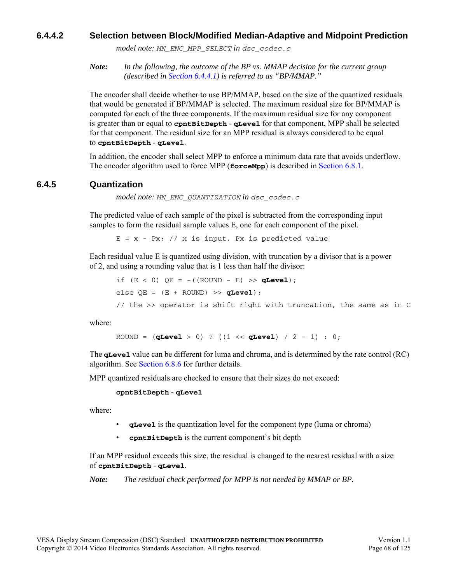### **6.4.4.2 Selection between Block/Modified Median-Adaptive and Midpoint Prediction**

*model note: MN\_ENC\_MPP\_SELECT in dsc\_codec.c*

*Note: In the following, the outcome of the BP vs. MMAP decision for the current group (described in [Section 6.4.4.1](#page-65-2)) is referred to as "BP/MMAP."*

The encoder shall decide whether to use BP/MMAP, based on the size of the quantized residuals that would be generated if BP/MMAP is selected. The maximum residual size for BP/MMAP is computed for each of the three components. If the maximum residual size for any component is greater than or equal to **cpntBitDepth** - **qLevel** for that component, MPP shall be selected for that component. The residual size for an MPP residual is always considered to be equal to **cpntBitDepth** - **qLevel**.

In addition, the encoder shall select MPP to enforce a minimum data rate that avoids underflow. The encoder algorithm used to force MPP (**forceMpp**) is described in [Section 6.8.1.](#page-81-1)

### **6.4.5 Quantization**

*model note: MN\_ENC\_QUANTIZATION in dsc\_codec.c*

The predicted value of each sample of the pixel is subtracted from the corresponding input samples to form the residual sample values E, one for each component of the pixel.

 $E = x - Px$ ; // x is input, Px is predicted value

Each residual value E is quantized using division, with truncation by a divisor that is a power of 2, and using a rounding value that is 1 less than half the divisor:

```
if (E < 0) QE = - ((ROUND - E) >> qLevel);
else OE = (E + ROUND) >> qLevel;
// the >> operator is shift right with truncation, the same as in C
```
where:

ROUND = (**qLevel** > 0) ? ((1 << **qLevel**) / 2 - 1) : 0;

The **qLevel** value can be different for luma and chroma, and is determined by the rate control (RC) algorithm. See [Section 6.8.6](#page-95-0) for further details.

MPP quantized residuals are checked to ensure that their sizes do not exceed:

#### **cpntBitDepth** - **qLevel**

where:

- **qLevel** is the quantization level for the component type (luma or chroma)
- **cpntBitDepth** is the current component's bit depth

If an MPP residual exceeds this size, the residual is changed to the nearest residual with a size of **cpntBitDepth** - **qLevel**.

*Note: The residual check performed for MPP is not needed by MMAP or BP.*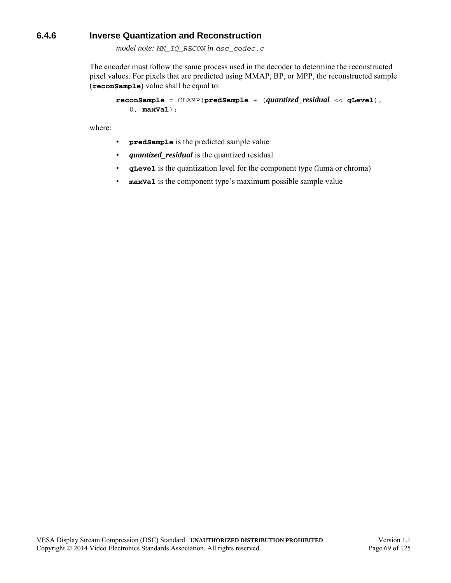### **6.4.6 Inverse Quantization and Reconstruction**

*model note: MN\_IQ\_RECON in dsc\_codec.c*

The encoder must follow the same process used in the decoder to determine the reconstructed pixel values. For pixels that are predicted using MMAP, BP, or MPP, the reconstructed sample (**reconSample**) value shall be equal to:

```
reconSample = CLAMP(predSample + (quantized_residual << qLevel), 
   0, maxVal);
```
where:

- **predSample** is the predicted sample value
- *quantized\_residual* is the quantized residual
- **qLevel** is the quantization level for the component type (luma or chroma)
- **maxVal** is the component type's maximum possible sample value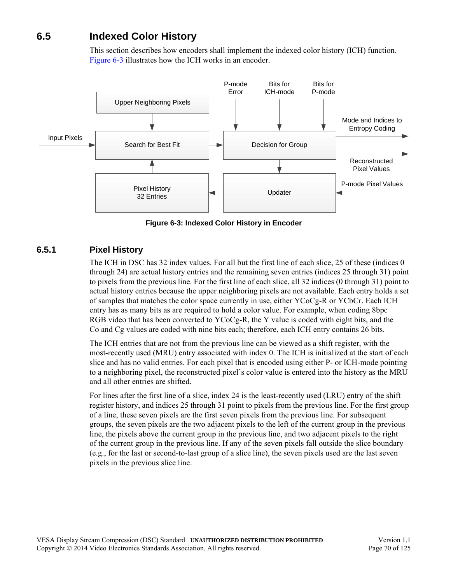# **6.5 Indexed Color History**

This section describes how encoders shall implement the indexed color history (ICH) function. [Figure 6-3](#page-69-0) illustrates how the ICH works in an encoder.



**Figure 6-3: Indexed Color History in Encoder**

### <span id="page-69-0"></span>**6.5.1 Pixel History**

The ICH in DSC has 32 index values. For all but the first line of each slice, 25 of these (indices 0 through 24) are actual history entries and the remaining seven entries (indices 25 through 31) point to pixels from the previous line. For the first line of each slice, all 32 indices (0 through 31) point to actual history entries because the upper neighboring pixels are not available. Each entry holds a set of samples that matches the color space currently in use, either YCoCg-R or YCbCr. Each ICH entry has as many bits as are required to hold a color value. For example, when coding 8bpc RGB video that has been converted to YCoCg-R, the Y value is coded with eight bits, and the Co and Cg values are coded with nine bits each; therefore, each ICH entry contains 26 bits.

The ICH entries that are not from the previous line can be viewed as a shift register, with the most-recently used (MRU) entry associated with index 0. The ICH is initialized at the start of each slice and has no valid entries. For each pixel that is encoded using either P- or ICH-mode pointing to a neighboring pixel, the reconstructed pixel's color value is entered into the history as the MRU and all other entries are shifted.

For lines after the first line of a slice, index 24 is the least-recently used (LRU) entry of the shift register history, and indices 25 through 31 point to pixels from the previous line. For the first group of a line, these seven pixels are the first seven pixels from the previous line. For subsequent groups, the seven pixels are the two adjacent pixels to the left of the current group in the previous line, the pixels above the current group in the previous line, and two adjacent pixels to the right of the current group in the previous line. If any of the seven pixels fall outside the slice boundary (e.g., for the last or second-to-last group of a slice line), the seven pixels used are the last seven pixels in the previous slice line.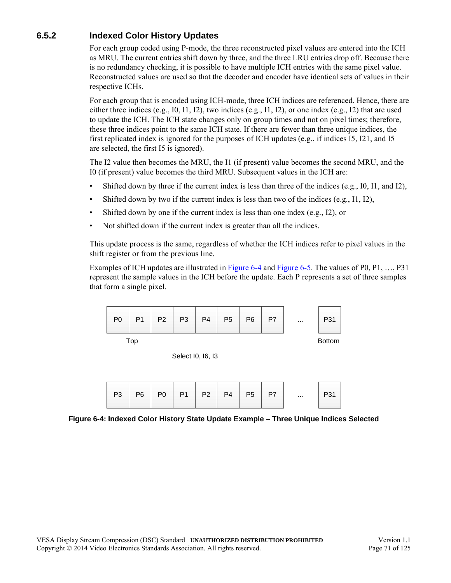## **6.5.2 Indexed Color History Updates**

For each group coded using P-mode, the three reconstructed pixel values are entered into the ICH as MRU. The current entries shift down by three, and the three LRU entries drop off. Because there is no redundancy checking, it is possible to have multiple ICH entries with the same pixel value. Reconstructed values are used so that the decoder and encoder have identical sets of values in their respective ICHs.

For each group that is encoded using ICH-mode, three ICH indices are referenced. Hence, there are either three indices (e.g.,  $I0$ ,  $I1$ ,  $I2$ ), two indices (e.g.,  $I1$ ,  $I2$ ), or one index (e.g.,  $I2$ ) that are used to update the ICH. The ICH state changes only on group times and not on pixel times; therefore, these three indices point to the same ICH state. If there are fewer than three unique indices, the first replicated index is ignored for the purposes of ICH updates (e.g., if indices I5, I21, and I5 are selected, the first I5 is ignored).

The I2 value then becomes the MRU, the I1 (if present) value becomes the second MRU, and the I0 (if present) value becomes the third MRU. Subsequent values in the ICH are:

- Shifted down by three if the current index is less than three of the indices (e.g., I0, I1, and I2),
- Shifted down by two if the current index is less than two of the indices  $(e.g., 11, 12)$ ,
- Shifted down by one if the current index is less than one index (e.g., I2), or
- Not shifted down if the current index is greater than all the indices.

This update process is the same, regardless of whether the ICH indices refer to pixel values in the shift register or from the previous line.

Examples of ICH updates are illustrated in [Figure 6-4](#page-70-0) and [Figure 6-5](#page-71-0). The values of P0, P1, …, P31 represent the sample values in the ICH before the update. Each P represents a set of three samples that form a single pixel.



Select I0, I6, I3

|  |  |  |  |  | P3   P6   P0   P1   P2   P4   P5   P7 |  |  | $\cdots$ |  |  |
|--|--|--|--|--|---------------------------------------|--|--|----------|--|--|
|--|--|--|--|--|---------------------------------------|--|--|----------|--|--|

<span id="page-70-0"></span>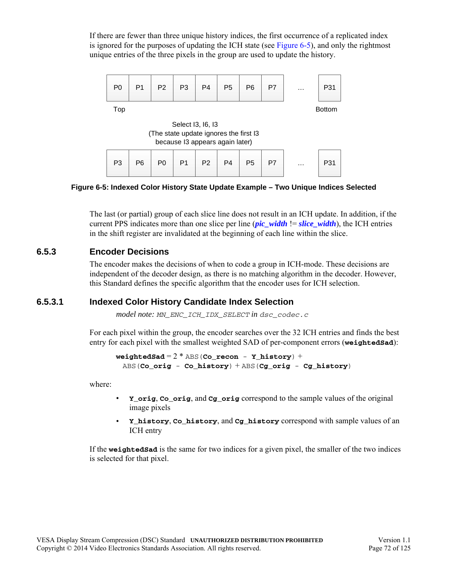If there are fewer than three unique history indices, the first occurrence of a replicated index is ignored for the purposes of updating the ICH state (see [Figure 6-5\)](#page-71-0), and only the rightmost unique entries of the three pixels in the group are used to update the history.



<span id="page-71-0"></span>**Figure 6-5: Indexed Color History State Update Example – Two Unique Indices Selected**

The last (or partial) group of each slice line does not result in an ICH update. In addition, if the current PPS indicates more than one slice per line *([pic\\_width](#page-43-1)*  $l = slice$  width), the ICH entries in the shift register are invalidated at the beginning of each line within the slice.

### **6.5.3 Encoder Decisions**

The encoder makes the decisions of when to code a group in ICH-mode. These decisions are independent of the decoder design, as there is no matching algorithm in the decoder. However, this Standard defines the specific algorithm that the encoder uses for ICH selection.

### **6.5.3.1 Indexed Color History Candidate Index Selection**

*model note: MN\_ENC\_ICH\_IDX\_SELECT in dsc\_codec.c*

For each pixel within the group, the encoder searches over the 32 ICH entries and finds the best entry for each pixel with the smallest weighted SAD of per-component errors (**weightedSad**):

 $weightedSad = 2 * ABS(Co\_recon - Y\_history) +$ ABS(**Co\_orig** - **Co\_history**) + ABS(**Cg\_orig** - **Cg\_history**)

where:

- **Y\_orig**, **Co\_orig**, and **Cg\_orig** correspond to the sample values of the original image pixels
- **Y\_history**, **Co\_history**, and **Cg\_history** correspond with sample values of an ICH entry

If the **weightedSad** is the same for two indices for a given pixel, the smaller of the two indices is selected for that pixel.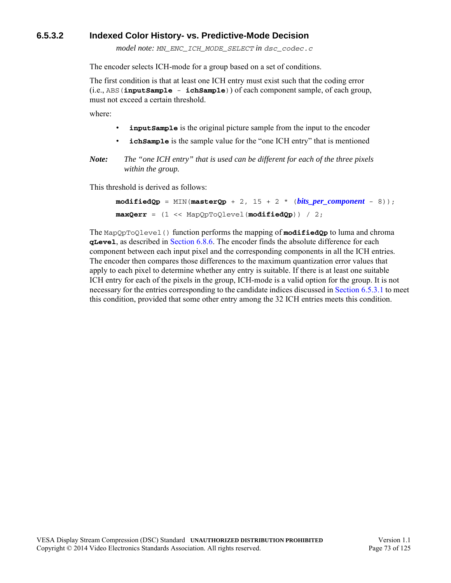### **6.5.3.2 Indexed Color History- vs. Predictive-Mode Decision**

*model note: MN\_ENC\_ICH\_MODE\_SELECT in dsc\_codec.c*

The encoder selects ICH-mode for a group based on a set of conditions.

The first condition is that at least one ICH entry must exist such that the coding error (i.e., ABS(**inputSample** - **ichSample**)) of each component sample, of each group, must not exceed a certain threshold.

where:

- **inputSample** is the original picture sample from the input to the encoder
- **ichSample** is the sample value for the "one ICH entry" that is mentioned

*Note: The "one ICH entry" that is used can be different for each of the three pixels within the group.*

This threshold is derived as follows:

```
\text{modifiedQp} = \text{MIN}(\text{masterQp} + 2, 15 + 2 * (bits\_per\text{ component} - 8));maxQerr = (1 << MapQpToQlevel(modifiedQp)) / 2;
```
The MapQpToQlevel() function performs the mapping of **modifiedQp** to luma and chroma **qLevel**, as described in [Section 6.8.6.](#page-95-0) The encoder finds the absolute difference for each component between each input pixel and the corresponding components in all the ICH entries. The encoder then compares those differences to the maximum quantization error values that apply to each pixel to determine whether any entry is suitable. If there is at least one suitable ICH entry for each of the pixels in the group, ICH-mode is a valid option for the group. It is not necessary for the entries corresponding to the candidate indices discussed in [Section 6.5.3.1](#page-71-0) to meet this condition, provided that some other entry among the 32 ICH entries meets this condition.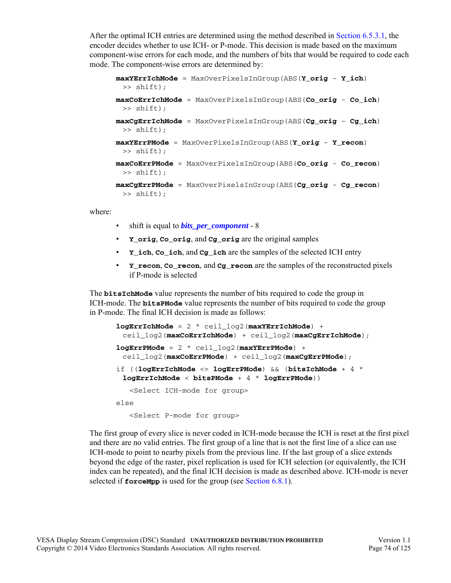After the optimal ICH entries are determined using the method described in [Section 6.5.3.1,](#page-71-0) the encoder decides whether to use ICH- or P-mode. This decision is made based on the maximum component-wise errors for each mode, and the numbers of bits that would be required to code each mode. The component-wise errors are determined by:

```
maxYErrIchMode = MaxOverPixelsInGroup(ABS(Y_orig - Y_ich) 
 >> shift);
maxCoErrIchMode = MaxOverPixelsInGroup(ABS(Co_orig - Co_ich) 
 >> shift);
maxCgErrIchMode = MaxOverPixelsInGroup(ABS(Cg_orig - Cg_ich) 
 >> shift);
maxYErrPMode = MaxOverPixelsInGroup(ABS(Y_orig - Y_recon) 
 >> shift);
maxCoErrPMode = MaxOverPixelsInGroup(ABS(Co_orig - Co_recon) 
 >> shift);
maxCgErrPMode = MaxOverPixelsInGroup(ABS(Cg_orig - Cg_recon) 
 >> shift);
```
where:

- shift is equal to *[bits\\_per\\_component](#page-42-0)* 8
- **Y\_orig**, **Co\_orig**, and **Cg\_orig** are the original samples
- **Y\_ich**, **Co\_ich**, and **Cg\_ich** are the samples of the selected ICH entry
- **Y\_recon**, **Co\_recon**, and **Cg\_recon** are the samples of the reconstructed pixels if P-mode is selected

The **bitsIchMode** value represents the number of bits required to code the group in ICH-mode. The **bitsPMode** value represents the number of bits required to code the group in P-mode. The final ICH decision is made as follows:

```
logErrIchMode = 2 * ceil_log2(maxYErrIchMode) + 
 ceil_log2(maxCoErrIchMode) + ceil_log2(maxCgErrIchMode);
logErrPMode = 2 * ceil_log2(maxYErrPMode) + 
 ceil_log2(maxCoErrPMode) + ceil_log2(maxCgErrPMode);
if ((logErrIchMode <= logErrPMode) && (bitsIchMode + 4 * 
 logErrIchMode < bitsPMode + 4 * logErrPMode))
   <Select ICH-mode for group>
else
   <Select P-mode for group>
```
The first group of every slice is never coded in ICH-mode because the ICH is reset at the first pixel and there are no valid entries. The first group of a line that is not the first line of a slice can use ICH-mode to point to nearby pixels from the previous line. If the last group of a slice extends beyond the edge of the raster, pixel replication is used for ICH selection (or equivalently, the ICH index can be repeated), and the final ICH decision is made as described above. ICH-mode is never selected if **forceMpp** is used for the group (see [Section 6.8.1](#page-81-0)).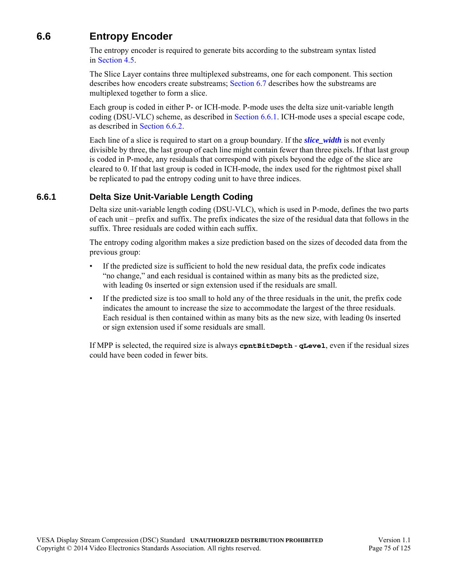## **6.6 Entropy Encoder**

The entropy encoder is required to generate bits according to the substream syntax listed in [Section 4.5](#page-53-0).

The Slice Layer contains three multiplexed substreams, one for each component. This section describes how encoders create substreams; [Section 6.7](#page-77-0) describes how the substreams are multiplexed together to form a slice.

Each group is coded in either P- or ICH-mode. P-mode uses the delta size unit-variable length coding (DSU-VLC) scheme, as described in [Section 6.6.1](#page-74-0). ICH-mode uses a special escape code, as described in [Section 6.6.2](#page-75-0).

Each line of a slice is required to start on a group boundary. If the *[slice\\_width](#page-44-0)* is not evenly divisible by three, the last group of each line might contain fewer than three pixels. If that last group is coded in P-mode, any residuals that correspond with pixels beyond the edge of the slice are cleared to 0. If that last group is coded in ICH-mode, the index used for the rightmost pixel shall be replicated to pad the entropy coding unit to have three indices.

### <span id="page-74-0"></span>**6.6.1 Delta Size Unit-Variable Length Coding**

Delta size unit-variable length coding (DSU-VLC), which is used in P-mode, defines the two parts of each unit – prefix and suffix. The prefix indicates the size of the residual data that follows in the suffix. Three residuals are coded within each suffix.

The entropy coding algorithm makes a size prediction based on the sizes of decoded data from the previous group:

- If the predicted size is sufficient to hold the new residual data, the prefix code indicates "no change," and each residual is contained within as many bits as the predicted size, with leading 0s inserted or sign extension used if the residuals are small.
- If the predicted size is too small to hold any of the three residuals in the unit, the prefix code indicates the amount to increase the size to accommodate the largest of the three residuals. Each residual is then contained within as many bits as the new size, with leading 0s inserted or sign extension used if some residuals are small.

If MPP is selected, the required size is always **cpntBitDepth** - **qLevel**, even if the residual sizes could have been coded in fewer bits.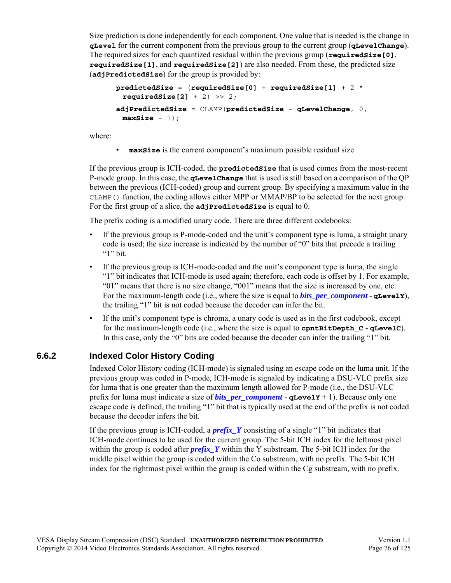Size prediction is done independently for each component. One value that is needed is the change in **qLevel** for the current component from the previous group to the current group (**qLevelChange**). The required sizes for each quantized residual within the previous group (**requiredSize[0]**, **requiredSize[1]**, and **requiredSize[2]**) are also needed. From these, the predicted size (**adjPredictedSize**) for the group is provided by:

```
predictedSize = (requiredSize[0] + requiredSize[1] + 2 * 
 requiredSize[2] + 2) >> 2;
adjPredictedSize = CLAMP(predictedSize - qLevelChange, 0, 
 maxSize - 1);
```
where:

• **maxSize** is the current component's maximum possible residual size

If the previous group is ICH-coded, the **predictedSize** that is used comes from the most-recent P-mode group. In this case, the **qLevelChange** that is used is still based on a comparison of the QP between the previous (ICH-coded) group and current group. By specifying a maximum value in the CLAMP() function, the coding allows either MPP or MMAP/BP to be selected for the next group. For the first group of a slice, the **adjPredictedSize** is equal to 0.

The prefix coding is a modified unary code. There are three different codebooks:

- If the previous group is P-mode-coded and the unit's component type is luma, a straight unary code is used; the size increase is indicated by the number of "0" bits that precede a trailing " $1$ " bit.
- If the previous group is ICH-mode-coded and the unit's component type is luma, the single "1" bit indicates that ICH-mode is used again; therefore, each code is offset by 1. For example, "01" means that there is no size change, "001" means that the size is increased by one, etc. For the maximum-length code (i.e., where the size is equal to *bits per component* - **qLevelY**), the trailing "1" bit is not coded because the decoder can infer the bit.
- If the unit's component type is chroma, a unary code is used as in the first codebook, except for the maximum-length code (i.e., where the size is equal to **cpntBitDepth\_C** - **qLevelC**). In this case, only the "0" bits are coded because the decoder can infer the trailing "1" bit.

### <span id="page-75-0"></span>**6.6.2 Indexed Color History Coding**

Indexed Color History coding (ICH-mode) is signaled using an escape code on the luma unit. If the previous group was coded in P-mode, ICH-mode is signaled by indicating a DSU-VLC prefix size for luma that is one greater than the maximum length allowed for P-mode (i.e., the DSU-VLC prefix for luma must indicate a size of *[bits\\_per\\_component](#page-42-0)* - **qLevelY** + 1). Because only one escape code is defined, the trailing "1" bit that is typically used at the end of the prefix is not coded because the decoder infers the bit.

If the previous group is ICH-coded, a *[prefix\\_Y](#page-54-0)* consisting of a single "1" bit indicates that ICH-mode continues to be used for the current group. The 5-bit ICH index for the leftmost pixel within the group is coded after *[prefix\\_Y](#page-54-0)* within the Y substream. The 5-bit ICH index for the middle pixel within the group is coded within the Co substream, with no prefix. The 5-bit ICH index for the rightmost pixel within the group is coded within the Cg substream, with no prefix.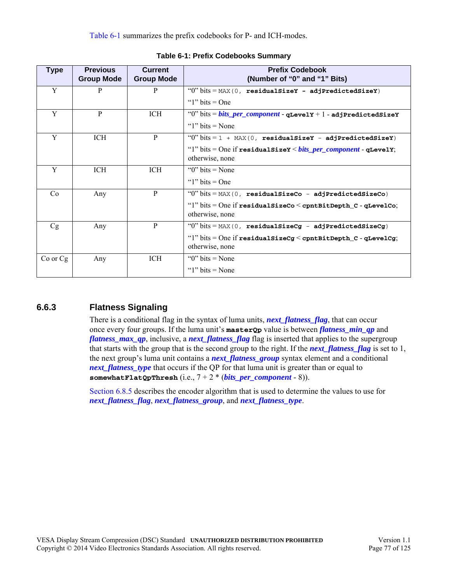[Table 6-1](#page-76-0) summarizes the prefix codebooks for P- and ICH-modes.

<span id="page-76-0"></span>

| Type         | <b>Previous</b><br><b>Group Mode</b> | <b>Current</b><br><b>Group Mode</b> | <b>Prefix Codebook</b><br>(Number of "0" and "1" Bits)                                        |
|--------------|--------------------------------------|-------------------------------------|-----------------------------------------------------------------------------------------------|
| Y            | P                                    | P                                   | " $0$ " bits = MAX(0, residualSizeY - adjPredictedSizeY)                                      |
|              |                                      |                                     | " $1$ " bits = One                                                                            |
| Y            | P                                    | ICH.                                | "0" bits = <i>bits_per_component</i> - qLevelY + 1 - adjPredictedSizeY                        |
|              |                                      |                                     | " $1$ " bits = None"                                                                          |
| Y            | <b>ICH</b>                           | P                                   | " $0$ " bits = 1 + MAX(0, residualSizeY - adjPredictedSizeY)                                  |
|              |                                      |                                     | "1" bits = One if residual size $x$ < bits per component - qLevely;                           |
|              |                                      |                                     | otherwise, none                                                                               |
| Y            | ICH                                  | ICH                                 | " $0$ " bits = None"                                                                          |
|              |                                      |                                     | " $1$ " bits = One                                                                            |
| Co           | Any                                  | P                                   | " $0$ " bits = MAX(0, residualSizeCo - adjPredictedSizeCo)                                    |
|              |                                      |                                     | " $1$ " bits = One if residual SizeCo $\leq$ cpnt BitDepth $c$ - qLevelCo;<br>otherwise, none |
| Cg           | Any                                  | P                                   | " $0$ " bits = MAX(0, residualSizeCg - adjPredictedSizeCg)                                    |
|              |                                      |                                     | " $1$ " bits = One if residual SizeCg < cpntBitDepth_C - qLevelCg;<br>otherwise, none         |
| $Co$ or $Cg$ | Any                                  | ICH                                 | " $0$ " bits = None"                                                                          |
|              |                                      |                                     | " $1$ " bits = None"                                                                          |

#### **Table 6-1: Prefix Codebooks Summary**

## **6.6.3 Flatness Signaling**

There is a conditional flag in the syntax of luma units, *[next\\_flatness\\_flag](#page-54-1)*, that can occur once every four groups. If the luma unit's **masterQp** value is between *[flatness\\_min\\_qp](#page-46-0)* and *[flatness\\_max\\_qp](#page-46-1)*, inclusive, a *[next\\_flatness\\_flag](#page-54-1)* flag is inserted that applies to the supergroup that starts with the group that is the second group to the right. If the *[next\\_flatness\\_flag](#page-54-1)* is set to 1, the next group's luma unit contains a *[next\\_flatness\\_group](#page-54-2)* syntax element and a conditional *[next\\_flatness\\_type](#page-54-3)* that occurs if the QP for that luma unit is greater than or equal to **somewhatFlatQpThresh** (i.e., 7 + 2 \* (*[bits\\_per\\_component](#page-42-0)* - 8)).

[Section 6.8.5](#page-92-0) describes the encoder algorithm that is used to determine the values to use for *[next\\_flatness\\_flag](#page-54-1)*, *[next\\_flatness\\_group](#page-54-2)*, and *[next\\_flatness\\_type](#page-54-3)*.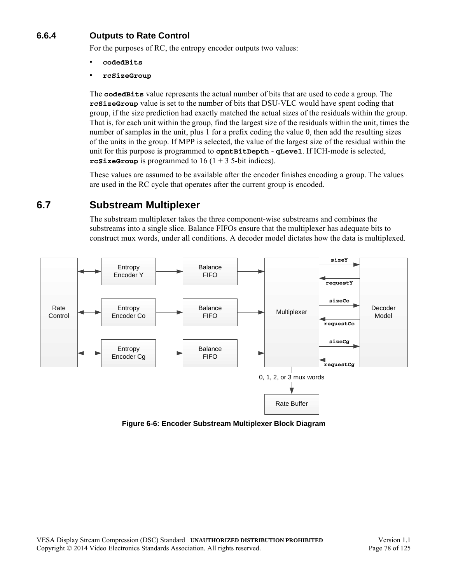## **6.6.4 Outputs to Rate Control**

For the purposes of RC, the entropy encoder outputs two values:

- **codedBits**
- **rcSizeGroup**

The **codedBits** value represents the actual number of bits that are used to code a group. The **rcSizeGroup** value is set to the number of bits that DSU-VLC would have spent coding that group, if the size prediction had exactly matched the actual sizes of the residuals within the group. That is, for each unit within the group, find the largest size of the residuals within the unit, times the number of samples in the unit, plus 1 for a prefix coding the value 0, then add the resulting sizes of the units in the group. If MPP is selected, the value of the largest size of the residual within the unit for this purpose is programmed to **cpntBitDepth** - **qLevel**. If ICH-mode is selected, **rcSizeGroup** is programmed to  $16(1 + 3)$  5-bit indices).

These values are assumed to be available after the encoder finishes encoding a group. The values are used in the RC cycle that operates after the current group is encoded.

## <span id="page-77-0"></span>**6.7 Substream Multiplexer**

The substream multiplexer takes the three component-wise substreams and combines the substreams into a single slice. Balance FIFOs ensure that the multiplexer has adequate bits to construct mux words, under all conditions. A decoder model dictates how the data is multiplexed.



**Figure 6-6: Encoder Substream Multiplexer Block Diagram**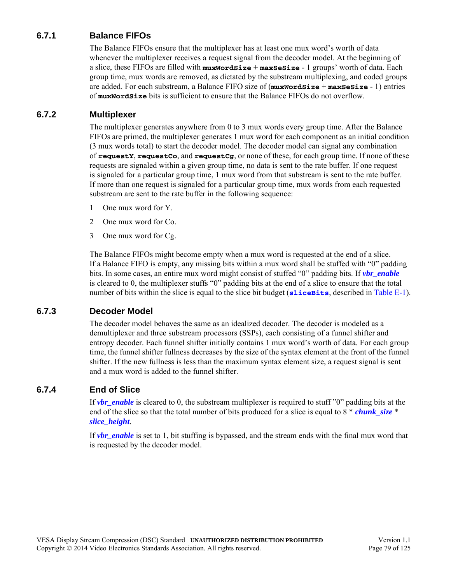## **6.7.1 Balance FIFOs**

The Balance FIFOs ensure that the multiplexer has at least one mux word's worth of data whenever the multiplexer receives a request signal from the decoder model. At the beginning of a slice, these FIFOs are filled with **muxWordSize** + **maxSeSize** - 1 groups' worth of data. Each group time, mux words are removed, as dictated by the substream multiplexing, and coded groups are added. For each substream, a Balance FIFO size of (**muxWordSize** + **maxSeSize** - 1) entries of **muxWordSize** bits is sufficient to ensure that the Balance FIFOs do not overflow.

### **6.7.2 Multiplexer**

The multiplexer generates anywhere from 0 to 3 mux words every group time. After the Balance FIFOs are primed, the multiplexer generates 1 mux word for each component as an initial condition (3 mux words total) to start the decoder model. The decoder model can signal any combination of **requestY**, **requestCo**, and **requestCg**, or none of these, for each group time. If none of these requests are signaled within a given group time, no data is sent to the rate buffer. If one request is signaled for a particular group time, 1 mux word from that substream is sent to the rate buffer. If more than one request is signaled for a particular group time, mux words from each requested substream are sent to the rate buffer in the following sequence:

- 1 One mux word for Y.
- 2 One mux word for Co.
- 3 One mux word for Cg.

The Balance FIFOs might become empty when a mux word is requested at the end of a slice. If a Balance FIFO is empty, any missing bits within a mux word shall be stuffed with "0" padding bits. In some cases, an entire mux word might consist of stuffed "0" padding bits. If *[vbr\\_enable](#page-43-0)* is cleared to 0, the multiplexer stuffs "0" padding bits at the end of a slice to ensure that the total number of bits within the slice is equal to the slice bit budget (**[sliceBits](#page-109-1)**, described in [Table E-1\)](#page-109-0).

### **6.7.3 Decoder Model**

The decoder model behaves the same as an idealized decoder. The decoder is modeled as a demultiplexer and three substream processors (SSPs), each consisting of a funnel shifter and entropy decoder. Each funnel shifter initially contains 1 mux word's worth of data. For each group time, the funnel shifter fullness decreases by the size of the syntax element at the front of the funnel shifter. If the new fullness is less than the maximum syntax element size, a request signal is sent and a mux word is added to the funnel shifter.

### **6.7.4 End of Slice**

If *[vbr\\_enable](#page-43-0)* is cleared to 0, the substream multiplexer is required to stuff "0" padding bits at the end of the slice so that the total number of bits produced for a slice is equal to 8 \* *[chunk\\_size](#page-44-1)* \* *[slice\\_height](#page-44-2)*.

If *[vbr\\_enable](#page-43-0)* is set to 1, bit stuffing is bypassed, and the stream ends with the final mux word that is requested by the decoder model.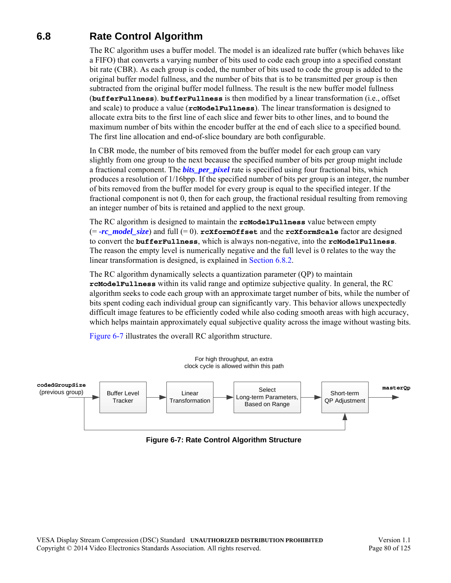## **6.8 Rate Control Algorithm**

<span id="page-79-1"></span>The RC algorithm uses a buffer model. The model is an idealized rate buffer (which behaves like a FIFO) that converts a varying number of bits used to code each group into a specified constant bit rate (CBR). As each group is coded, the number of bits used to code the group is added to the original buffer model fullness, and the number of bits that is to be transmitted per group is then subtracted from the original buffer model fullness. The result is the new buffer model fullness (**bufferFullness**). **bufferFullness** is then modified by a linear transformation (i.e., offset and scale) to produce a value (**rcModelFullness**). The linear transformation is designed to allocate extra bits to the first line of each slice and fewer bits to other lines, and to bound the maximum number of bits within the encoder buffer at the end of each slice to a specified bound. The first line allocation and end-of-slice boundary are both configurable.

In CBR mode, the number of bits removed from the buffer model for each group can vary slightly from one group to the next because the specified number of bits per group might include a fractional component. The *[bits\\_per\\_pixel](#page-43-1)* rate is specified using four fractional bits, which produces a resolution of 1/16bpp. If the specified number of bits per group is an integer, the number of bits removed from the buffer model for every group is equal to the specified integer. If the fractional component is not 0, then for each group, the fractional residual resulting from removing an integer number of bits is retained and applied to the next group.

The RC algorithm is designed to maintain the **rcModelFullness** value between empty  $(= -rc \text{ model size})$  and full  $(= 0)$ .  $rcx$  form Offset and the  $rcx$  form Scale factor are designed to convert the **bufferFullness**, which is always non-negative, into the **rcModelFullness**. The reason the empty level is numerically negative and the full level is 0 relates to the way the linear transformation is designed, is explained in [Section 6.8.2](#page-85-0).

The RC algorithm dynamically selects a quantization parameter (QP) to maintain **rcModelFullness** within its valid range and optimize subjective quality. In general, the RC algorithm seeks to code each group with an approximate target number of bits, while the number of bits spent coding each individual group can significantly vary. This behavior allows unexpectedly difficult image features to be efficiently coded while also coding smooth areas with high accuracy, which helps maintain approximately equal subjective quality across the image without wasting bits.

[Figure 6-7](#page-79-0) illustrates the overall RC algorithm structure.

<span id="page-79-0"></span>

**Figure 6-7: Rate Control Algorithm Structure**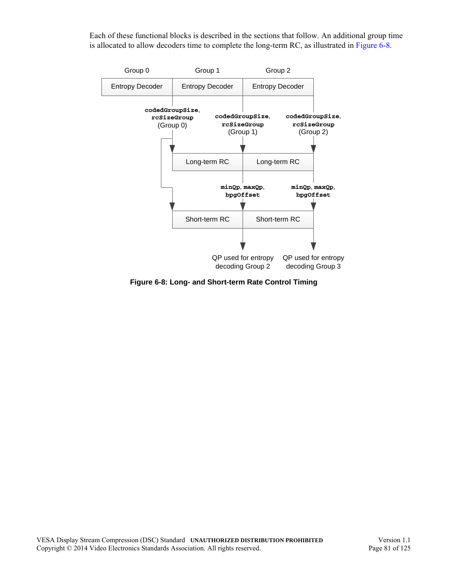Each of these functional blocks is described in the sections that follow. An additional group time is allocated to allow decoders time to complete the long-term RC, as illustrated in [Figure 6-8](#page-80-0).



<span id="page-80-0"></span>**Figure 6-8: Long- and Short-term Rate Control Timing**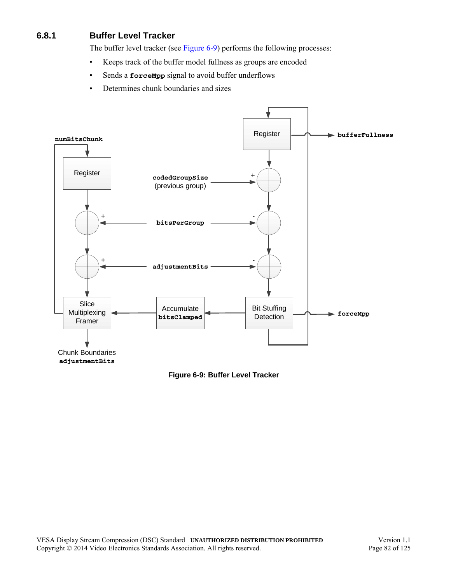## <span id="page-81-0"></span>**6.8.1 Buffer Level Tracker**

<span id="page-81-2"></span>The buffer level tracker (see [Figure 6-9\)](#page-81-1) performs the following processes:

- Keeps track of the buffer model fullness as groups are encoded
- Sends a **forceMpp** signal to avoid buffer underflows
- Determines chunk boundaries and sizes



<span id="page-81-1"></span>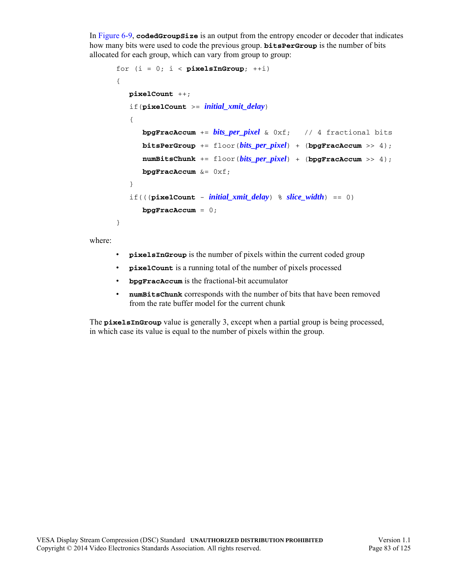In [Figure 6-9,](#page-81-1) **codedGroupSize** is an output from the entropy encoder or decoder that indicates how many bits were used to code the previous group. **bitsPerGroup** is the number of bits allocated for each group, which can vary from group to group:

```
for (i = 0; i < pixelsInGroup; ++i)
{
   pixelCount ++;
   if(pixelCount >= initial_xmit_delay)
   {
      bpgFracAccum += bits_per_pixel & 0xf; // 4 fractional bits
      bitsPerGroup += floor(bits_per_pixel) + (bpgFracAccum >> 4);
      numBitsChunk += floor(bits per pixel) + (bpgFracAccum >> 4);bpgFracAccum &= 0xf;
   }
   if(((pixelCount - initial_xmit_delay) % slice_width) == 0)
      bpgFracAccum = 0;
}
```
where:

- **pixelsInGroup** is the number of pixels within the current coded group
- **pixelCount** is a running total of the number of pixels processed
- **bpgFracAccum** is the fractional-bit accumulator
- **numBitsChunk** corresponds with the number of bits that have been removed from the rate buffer model for the current chunk

The **pixelsInGroup** value is generally 3, except when a partial group is being processed, in which case its value is equal to the number of pixels within the group.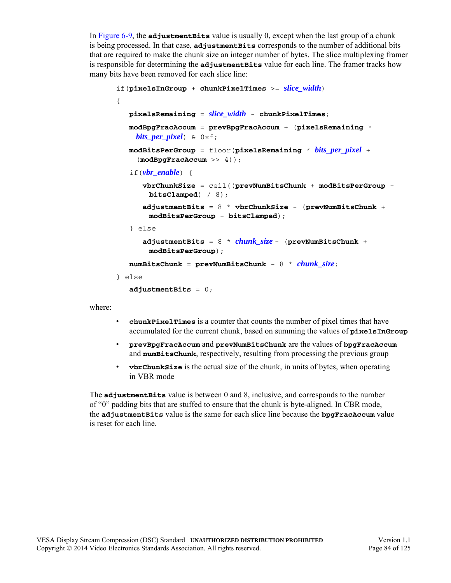In [Figure 6-9,](#page-81-1) the **adjustmentBits** value is usually 0, except when the last group of a chunk is being processed. In that case, **adjustmentBits** corresponds to the number of additional bits that are required to make the chunk size an integer number of bytes. The slice multiplexing framer is responsible for determining the **adjustmentBits** value for each line. The framer tracks how many bits have been removed for each slice line:

```
if(pixelsInGroup + chunkPixelTimes >= slice_width)
{
   pixelsRemaining = slice_width - chunkPixelTimes;
   modBpgFracAccum = prevBpgFracAccum + (pixelsRemaining *
    bits_per_pixel) & 0xf;
   modBitsPerGroup = floor(pixelsRemaining * bits_per_pixel +
     (modBpgFracAccum >> 4));
   if(vbr_enable) {
      vbrChunkSize = ceil((prevNumBitsChunk + modBitsPerGroup -
       bitsClamped) / 8);
      adjustmentBits = 8 * vbrChunkSize - (prevNumBitsChunk +
       modBitsPerGroup - bitsClamped);
   } else
      adjustmentBits = 8 * chunk_size - (prevNumBitsChunk +
       modBitsPerGroup);
   numBitsChunk = prevNumBitsChunk - 8 * chunk_size;
} else
   adjustmentBits = 0;
```
where:

- **chunkPixelTimes** is a counter that counts the number of pixel times that have accumulated for the current chunk, based on summing the values of **pixelsInGroup**
- **prevBpgFracAccum** and **prevNumBitsChunk** are the values of **bpgFracAccum** and **numBitsChunk**, respectively, resulting from processing the previous group
- **vbrChunkSize** is the actual size of the chunk, in units of bytes, when operating in VBR mode

The **adjustmentBits** value is between 0 and 8, inclusive, and corresponds to the number of "0" padding bits that are stuffed to ensure that the chunk is byte-aligned. In CBR mode, the **adjustmentBits** value is the same for each slice line because the **bpgFracAccum** value is reset for each line.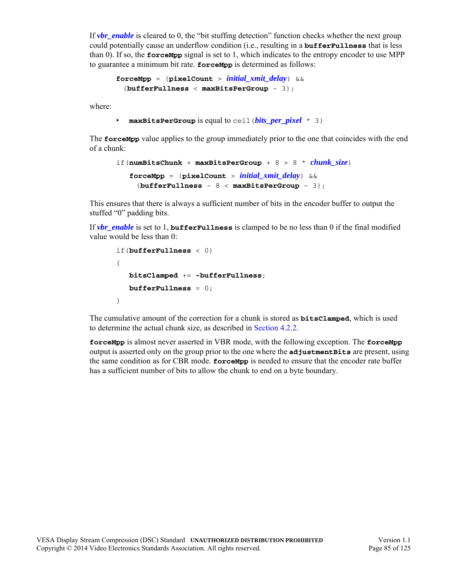If *[vbr\\_enable](#page-43-0)* is cleared to 0, the "bit stuffing detection" function checks whether the next group could potentially cause an underflow condition (i.e., resulting in a **bufferFullness** that is less than 0). If so, the **forceMpp** signal is set to 1, which indicates to the entropy encoder to use MPP to guarantee a minimum bit rate. **forceMpp** is determined as follows:

```
forceMpp = (pixelCount > initial_xmit_delay) && 
  (bufferFullness < maxBitsPerGroup - 3);
```
where:

```
• maxBitsPerGroup is equal to ceil(bits_per_pixel * 3)
```
The **forceMpp** value applies to the group immediately prior to the one that coincides with the end of a chunk:

```
if(numBitsChunk + maxBitsPerGroup + 8 > 8 * chunk_size)
   forceMpp = (pixelCount > initial_xmit_delay) &&
    (bufferFullness - 8 < maxBitsPerGroup - 3);
```
This ensures that there is always a sufficient number of bits in the encoder buffer to output the stuffed "0" padding bits.

If *[vbr\\_enable](#page-43-0)* is set to 1, **bufferFullness** is clamped to be no less than 0 if the final modified value would be less than 0:

```
if(bufferFullness < 0)
{
   bitsClamped += -bufferFullness;
   bufferFullness = 0;
}
```
The cumulative amount of the correction for a chunk is stored as **bitsClamped**, which is used to determine the actual chunk size, as described in [Section 4.2.2.](#page-49-0)

**forceMpp** is almost never asserted in VBR mode, with the following exception. The **forceMpp** output is asserted only on the group prior to the one where the **adjustmentBits** are present, using the same condition as for CBR mode. **forceMpp** is needed to ensure that the encoder rate buffer has a sufficient number of bits to allow the chunk to end on a byte boundary.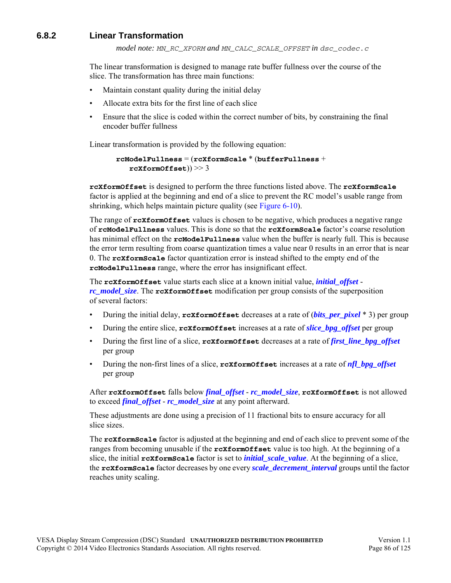### <span id="page-85-0"></span>**6.8.2 Linear Transformation**

*model note: MN\_RC\_XFORM and MN\_CALC\_SCALE\_OFFSET in dsc\_codec.c*

The linear transformation is designed to manage rate buffer fullness over the course of the slice. The transformation has three main functions:

- Maintain constant quality during the initial delay
- Allocate extra bits for the first line of each slice
- Ensure that the slice is coded within the correct number of bits, by constraining the final encoder buffer fullness

Linear transformation is provided by the following equation:

```
rcModelFullness = (rcXformScale * (bufferFullness + 
   rcXformOffset)) >> 3
```
**rcXformOffset** is designed to perform the three functions listed above. The **rcXformScale** factor is applied at the beginning and end of a slice to prevent the RC model's usable range from shrinking, which helps maintain picture quality (see [Figure 6-10\)](#page-86-0).

The range of **rcXformOffset** values is chosen to be negative, which produces a negative range of **rcModelFullness** values. This is done so that the **rcXformScale** factor's coarse resolution has minimal effect on the **rcModelFullness** value when the buffer is nearly full. This is because the error term resulting from coarse quantization times a value near 0 results in an error that is near 0. The **rcXformScale** factor quantization error is instead shifted to the empty end of the **rcModelFullness** range, where the error has insignificant effect.

The **rcXformOffset** value starts each slice at a known initial value, *[initial\\_offset](#page-45-3) [rc\\_model\\_size](#page-47-0)*. The **rcXformOffset** modification per group consists of the superposition of several factors:

- During the initial delay, **rcXformOffset** decreases at a rate of (*[bits\\_per\\_pixel](#page-43-1)* \* 3) per group
- During the entire slice, **rcXformOffset** increases at a rate of *[slice\\_bpg\\_offset](#page-45-0)* per group
- During the first line of a slice, **rcXformOffset** decreases at a rate of *[first\\_line\\_bpg\\_offset](#page-45-1)* per group
- During the non-first lines of a slice, **rcXformOffset** increases at a rate of *[nfl\\_bpg\\_offset](#page-45-2)* per group

After **rcXformOffset** falls below *[final\\_offset](#page-45-4)* - *[rc\\_model\\_size](#page-47-0)*, **rcXformOffset** is not allowed to exceed *[final\\_offset](#page-45-4)* - *[rc\\_model\\_size](#page-47-0)* at any point afterward.

These adjustments are done using a precision of 11 fractional bits to ensure accuracy for all slice sizes.

The **rcXformScale** factor is adjusted at the beginning and end of each slice to prevent some of the ranges from becoming unusable if the **rcXformOffset** value is too high. At the beginning of a slice, the initial **rcXformScale** factor is set to *[initial\\_scale\\_value](#page-44-4)*. At the beginning of a slice, the **rcXformScale** factor decreases by one every *[scale\\_decrement\\_interval](#page-44-5)* groups until the factor reaches unity scaling.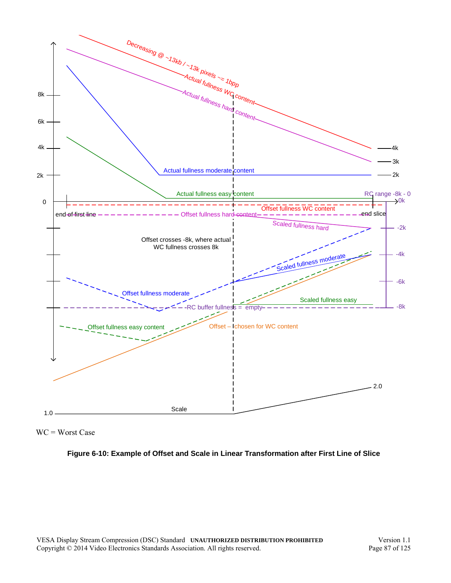

<span id="page-86-0"></span>WC = Worst Case

#### **Figure 6-10: Example of Offset and Scale in Linear Transformation after First Line of Slice**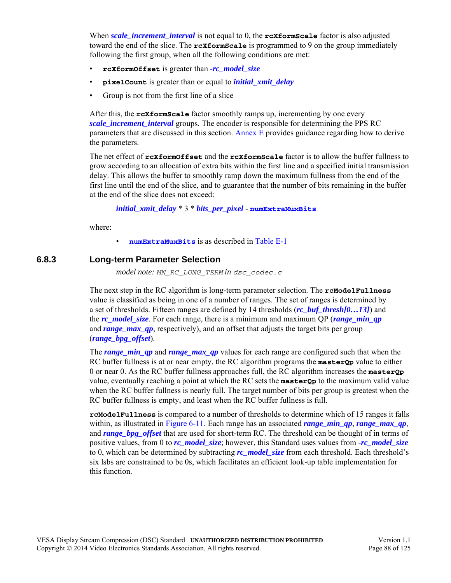When *[scale\\_increment\\_interval](#page-44-6)* is not equal to 0, the **rcXformScale** factor is also adjusted toward the end of the slice. The **rcXformScale** is programmed to 9 on the group immediately following the first group, when all the following conditions are met:

- **rcXformOffset** is greater than *-[rc\\_model\\_size](#page-47-0)*
- **pixelCount** is greater than or equal to *[initial\\_xmit\\_delay](#page-44-3)*
- Group is not from the first line of a slice

After this, the **rcXformScale** factor smoothly ramps up, incrementing by one every *scale increment interval* groups. The encoder is responsible for determining the PPS RC parameters that are discussed in this section. [Annex E](#page-109-3) provides guidance regarding how to derive the parameters.

The net effect of **rcXformOffset** and the **rcXformScale** factor is to allow the buffer fullness to grow according to an allocation of extra bits within the first line and a specified initial transmission delay. This allows the buffer to smoothly ramp down the maximum fullness from the end of the first line until the end of the slice, and to guarantee that the number of bits remaining in the buffer at the end of the slice does not exceed:

*[initial\\_xmit\\_delay](#page-44-3)* \* 3 \* *[bits\\_per\\_pixel](#page-43-1)* **- [numExtraMuxBits](#page-109-2)**

where:

• **[numExtraMuxBits](#page-109-2)** is as described in [Table E-1](#page-109-0)

#### **6.8.3 Long-term Parameter Selection**

*model note: MN\_RC\_LONG\_TERM in dsc\_codec.c*

The next step in the RC algorithm is long-term parameter selection. The **rcModelFullness** value is classified as being in one of a number of ranges. The set of ranges is determined by a set of thresholds. Fifteen ranges are defined by 14 thresholds (*[rc\\_buf\\_thresh\[0…13\]](#page-47-1)*) and the *[rc\\_model\\_size](#page-47-0)*. For each range, there is a minimum and maximum QP (*[range\\_min\\_qp](#page-48-0)* and *range* max qp, respectively), and an offset that adjusts the target bits per group (*[range\\_bpg\\_offset](#page-48-2)*).

The *[range\\_min\\_qp](#page-48-0)* and *[range\\_max\\_qp](#page-48-1)* values for each range are configured such that when the RC buffer fullness is at or near empty, the RC algorithm programs the **masterQp** value to either 0 or near 0. As the RC buffer fullness approaches full, the RC algorithm increases the **masterQp** value, eventually reaching a point at which the RC sets the **masterQp** to the maximum valid value when the RC buffer fullness is nearly full. The target number of bits per group is greatest when the RC buffer fullness is empty, and least when the RC buffer fullness is full.

**rcModelFullness** is compared to a number of thresholds to determine which of 15 ranges it falls within, as illustrated in [Figure 6-11.](#page-88-0) Each range has an associated *range min qp*, *range* max qp. and *[range\\_bpg\\_offset](#page-48-2)* that are used for short-term RC. The threshold can be thought of in terms of positive values, from 0 to *[rc\\_model\\_size](#page-47-0)*; however, this Standard uses values from *[-rc\\_model\\_size](#page-47-0)* to 0, which can be determined by subtracting *[rc\\_model\\_size](#page-47-0)* from each threshold. Each threshold's six lsbs are constrained to be 0s, which facilitates an efficient look-up table implementation for this function.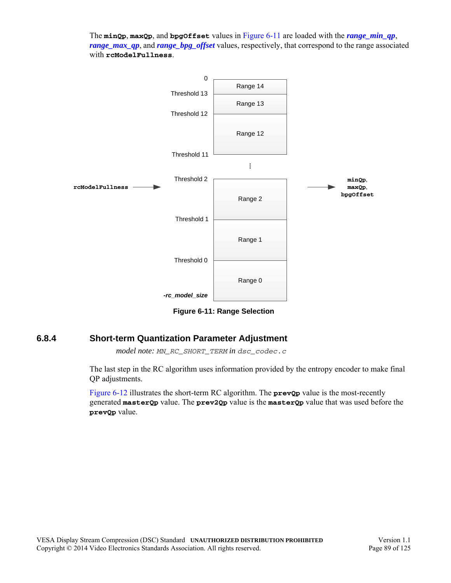The **minQp**, **maxQp**, and **bpgOffset** values in [Figure 6-11](#page-88-0) are loaded with the *[range\\_min\\_qp](#page-48-0)*, *[range\\_max\\_qp](#page-48-1)*, and *[range\\_bpg\\_offset](#page-48-2)* values, respectively, that correspond to the range associated with **rcModelFullness**.



**Figure 6-11: Range Selection**

### <span id="page-88-0"></span>**6.8.4 Short-term Quantization Parameter Adjustment**

*model note: MN\_RC\_SHORT\_TERM in dsc\_codec.c*

The last step in the RC algorithm uses information provided by the entropy encoder to make final QP adjustments.

[Figure 6-12](#page-89-0) illustrates the short-term RC algorithm. The **prevQp** value is the most-recently generated **masterQp** value. The **prev2Qp** value is the **masterQp** value that was used before the **prevQp** value.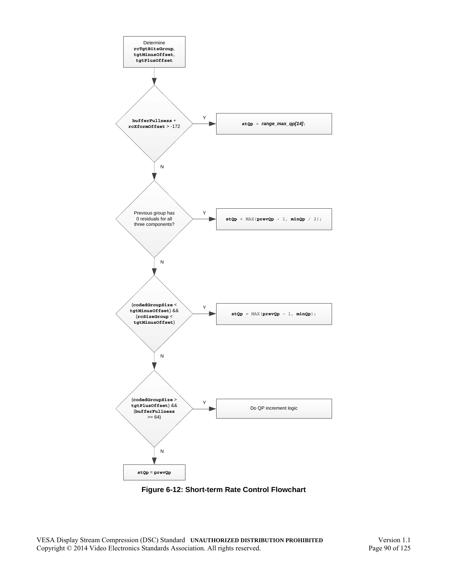

<span id="page-89-0"></span>**Figure 6-12: Short-term Rate Control Flowchart**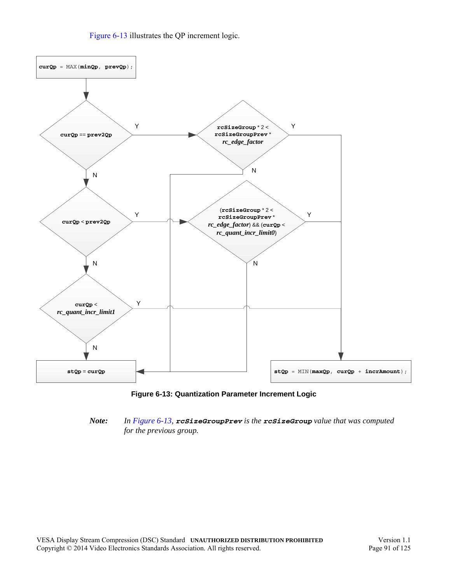[Figure 6-13](#page-90-0) illustrates the QP increment logic.





#### <span id="page-90-0"></span>*Note: In [Figure 6-13](#page-90-0), rcSizeGroupPrev is the rcSizeGroup value that was computed for the previous group.*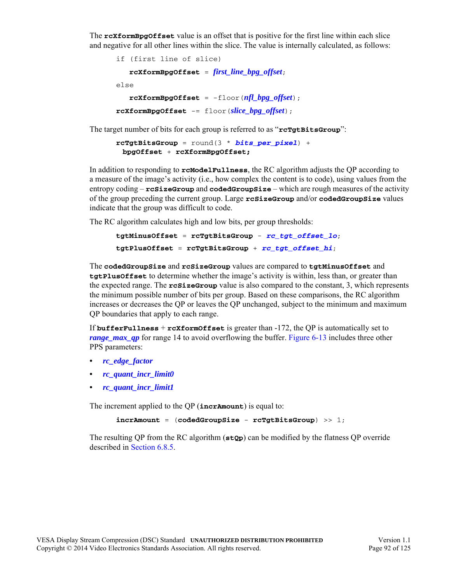The **rcXformBpgOffset** value is an offset that is positive for the first line within each slice and negative for all other lines within the slice. The value is internally calculated, as follows:

```
if (first line of slice)
   rcXformBpgOffset = first_line_bpg_offset;
else
   rcXformBpgOffset = -floor(nfl_bpg_offset);
rcXformBpgOffset -= floor(slice_bpg_offset);
```
The target number of bits for each group is referred to as "**rcTgtBitsGroup**":

```
rcTgtBitsGroup = round(3 * bits_per_pixel) + 
 bpgOffset + rcXformBpgOffset;
```
In addition to responding to **rcModelFullness**, the RC algorithm adjusts the QP according to a measure of the image's activity (i.e., how complex the content is to code), using values from the entropy coding – **rcSizeGroup** and **codedGroupSize** – which are rough measures of the activity of the group preceding the current group. Large **rcSizeGroup** and/or **codedGroupSize** values indicate that the group was difficult to code.

The RC algorithm calculates high and low bits, per group thresholds:

```
tgtMinusOffset = rcTgtBitsGroup - rc_tgt_offset_lo;
tgtPlusOffset = rcTgtBitsGroup + rc_tgt_offset_hi;
```
The **codedGroupSize** and **rcSizeGroup** values are compared to **tgtMinusOffset** and **tgtPlusOffset** to determine whether the image's activity is within, less than, or greater than the expected range. The **rcSizeGroup** value is also compared to the constant, 3, which represents the minimum possible number of bits per group. Based on these comparisons, the RC algorithm increases or decreases the QP or leaves the QP unchanged, subject to the minimum and maximum QP boundaries that apply to each range.

If **bufferFullness** + **rcXformOffset** is greater than -172, the QP is automatically set to *range max qp* for range 14 to avoid overflowing the buffer. [Figure 6-13](#page-90-0) includes three other PPS parameters:

- *• [rc\\_edge\\_factor](#page-47-6)*
- *• [rc\\_quant\\_incr\\_limit0](#page-47-2)*
- *• [rc\\_quant\\_incr\\_limit1](#page-47-3)*

The increment applied to the QP (**incrAmount**) is equal to:

```
incrAmount = (codedGroupSize - rcTgtBitsGroup) >> 1;
```
The resulting QP from the RC algorithm (**stQp**) can be modified by the flatness QP override described in [Section 6.8.5.](#page-92-0)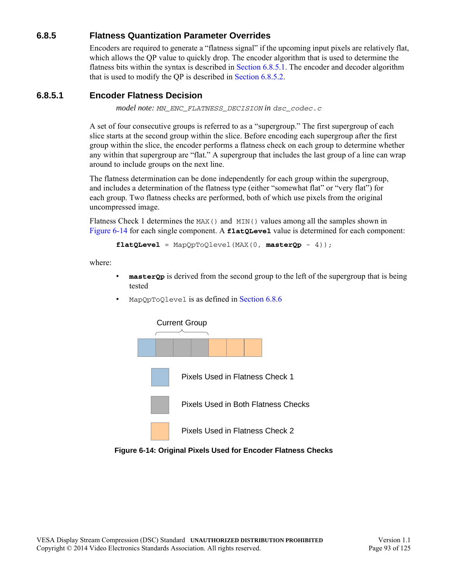### <span id="page-92-0"></span>**6.8.5 Flatness Quantization Parameter Overrides**

Encoders are required to generate a "flatness signal" if the upcoming input pixels are relatively flat, which allows the OP value to quickly drop. The encoder algorithm that is used to determine the flatness bits within the syntax is described in [Section 6.8.5.1](#page-92-1). The encoder and decoder algorithm that is used to modify the QP is described in [Section 6.8.5.2.](#page-94-0)

### <span id="page-92-1"></span>**6.8.5.1 Encoder Flatness Decision**

*model note: MN\_ENC\_FLATNESS\_DECISION in dsc\_codec.c*

A set of four consecutive groups is referred to as a "supergroup." The first supergroup of each slice starts at the second group within the slice. Before encoding each supergroup after the first group within the slice, the encoder performs a flatness check on each group to determine whether any within that supergroup are "flat." A supergroup that includes the last group of a line can wrap around to include groups on the next line.

The flatness determination can be done independently for each group within the supergroup, and includes a determination of the flatness type (either "somewhat flat" or "very flat") for each group. Two flatness checks are performed, both of which use pixels from the original uncompressed image.

Flatness Check 1 determines the MAX() and MIN() values among all the samples shown in [Figure 6-14](#page-92-2) for each single component. A **flatQLevel** value is determined for each component:

**flatQLevel** = MapQpToQlevel(MAX(0, **masterQp** - 4));

where:

- **master Op** is derived from the second group to the left of the supergroup that is being tested
- MapQpToQlevel is as defined in [Section 6.8.6](#page-95-0)



<span id="page-92-2"></span>**Figure 6-14: Original Pixels Used for Encoder Flatness Checks**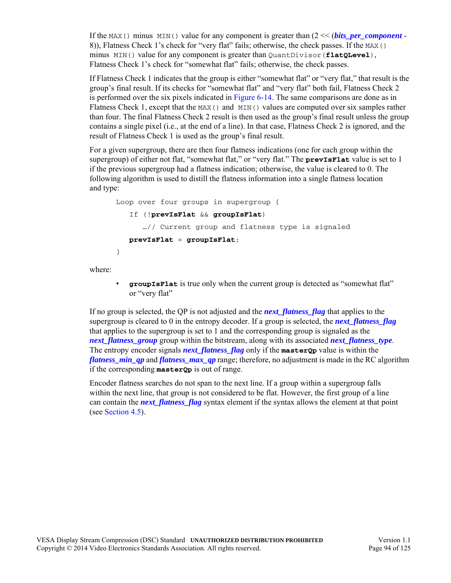If the MAX() minus MIN() value for any component is greater than  $(2 \ll$  (*[bits\\_per\\_component](#page-42-0)* -8)), Flatness Check 1's check for "very flat" fails; otherwise, the check passes. If the MAX() minus MIN() value for any component is greater than QuantDivisor(**flatQLevel**), Flatness Check 1's check for "somewhat flat" fails; otherwise, the check passes.

If Flatness Check 1 indicates that the group is either "somewhat flat" or "very flat," that result is the group's final result. If its checks for "somewhat flat" and "very flat" both fail, Flatness Check 2 is performed over the six pixels indicated in [Figure 6-14](#page-92-2). The same comparisons are done as in Flatness Check 1, except that the  $MAX()$  and  $MIN()$  values are computed over six samples rather than four. The final Flatness Check 2 result is then used as the group's final result unless the group contains a single pixel (i.e., at the end of a line). In that case, Flatness Check 2 is ignored, and the result of Flatness Check 1 is used as the group's final result.

For a given supergroup, there are then four flatness indications (one for each group within the supergroup) of either not flat, "somewhat flat," or "very flat." The **prevIsFlat** value is set to 1 if the previous supergroup had a flatness indication; otherwise, the value is cleared to 0. The following algorithm is used to distill the flatness information into a single flatness location and type:

```
Loop over four groups in supergroup {
   If (!prevIsFlat && groupIsFlat)
      …// Current group and flatness type is signaled
  prevIsFlat = groupIsFlat;
}
```
where:

• **groupIsFlat** is true only when the current group is detected as "somewhat flat" or "very flat"

If no group is selected, the QP is not adjusted and the *[next\\_flatness\\_flag](#page-54-1)* that applies to the supergroup is cleared to 0 in the entropy decoder. If a group is selected, the *[next\\_flatness\\_flag](#page-54-1)* that applies to the supergroup is set to 1 and the corresponding group is signaled as the *[next\\_flatness\\_group](#page-54-2)* group within the bitstream, along with its associated *[next\\_flatness\\_type](#page-54-3)*. The entropy encoder signals *[next\\_flatness\\_flag](#page-54-1)* only if the **masterQp** value is within the *flatness min\_qp* and *flatness max\_qp* range; therefore, no adjustment is made in the RC algorithm if the corresponding **masterQp** is out of range.

Encoder flatness searches do not span to the next line. If a group within a supergroup falls within the next line, that group is not considered to be flat. However, the first group of a line can contain the *next* flatness flag syntax element if the syntax allows the element at that point (see [Section 4.5\)](#page-53-0).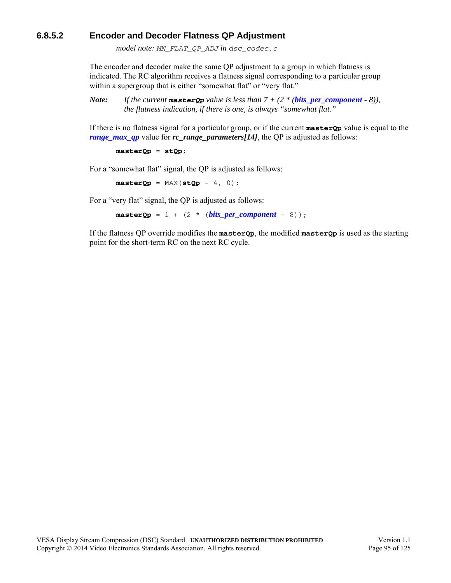### <span id="page-94-0"></span>**6.8.5.2 Encoder and Decoder Flatness QP Adjustment**

<span id="page-94-1"></span>*model note: MN\_FLAT\_QP\_ADJ in dsc\_codec.c*

The encoder and decoder make the same QP adjustment to a group in which flatness is indicated. The RC algorithm receives a flatness signal corresponding to a particular group within a supergroup that is either "somewhat flat" or "very flat."

*Note:* If the current **master Qp** value is less than  $7 + (2 * (bits\_per\_component - 8))$ , *the flatness indication, if there is one, is always "somewhat flat."*

If there is no flatness signal for a particular group, or if the current **masterQp** value is equal to the *[range\\_max\\_qp](#page-48-1)* value for *rc\_range\_parameters[14]*, the QP is adjusted as follows:

**masterQp** = **stQp**;

For a "somewhat flat" signal, the QP is adjusted as follows:

 $\texttt{masterQp} = \texttt{MAX}(\texttt{stQP} - 4, 0);$ 

For a "very flat" signal, the QP is adjusted as follows:

 $\texttt{masterQp} = 1 + (2 * \textit{(bits\_per\_component - 8)});$ 

If the flatness QP override modifies the **masterQp**, the modified **masterQp** is used as the starting point for the short-term RC on the next RC cycle.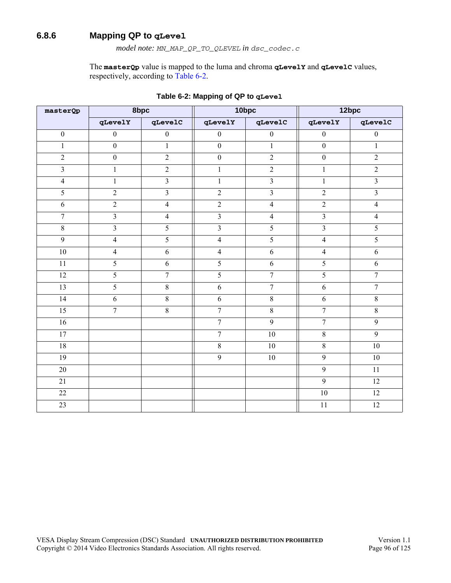### <span id="page-95-0"></span>**6.8.6 Mapping QP to qLevel**

*model note: MN\_MAP\_QP\_TO\_QLEVEL in dsc\_codec.c*

The **masterQp** value is mapped to the luma and chroma **qLevelY** and **qLevelC** values, respectively, according to [Table 6-2](#page-95-1).

<span id="page-95-1"></span>

| masterQp         | 8bpc                    |                         | 10bpc                   |                         | 12bpc            |                         |
|------------------|-------------------------|-------------------------|-------------------------|-------------------------|------------------|-------------------------|
|                  | qLevelY                 | qLevelC                 | qLevelY                 | qLevelC                 | qLevelY          | $q$ Leve $1C$           |
| $\boldsymbol{0}$ | $\boldsymbol{0}$        | $\boldsymbol{0}$        | $\boldsymbol{0}$        | $\boldsymbol{0}$        | $\boldsymbol{0}$ | $\boldsymbol{0}$        |
| $\mathbf{1}$     | $\mathbf{0}$            | $\mathbf{1}$            | $\mathbf{0}$            | $\mathbf{1}$            | $\mathbf{0}$     | $\mathbf{1}$            |
| $\overline{2}$   | $\boldsymbol{0}$        | $\overline{2}$          | $\boldsymbol{0}$        | $\overline{2}$          | $\boldsymbol{0}$ | $\overline{2}$          |
| $\overline{3}$   | $\mathbf{1}$            | $\overline{2}$          | $\mathbf{1}$            | $\overline{2}$          | $\mathbf{1}$     | $\overline{2}$          |
| $\overline{4}$   | $\mathbf{1}$            | $\overline{\mathbf{3}}$ | $\mathbf{1}$            | $\overline{\mathbf{3}}$ | $\mathbf{1}$     | $\overline{\mathbf{3}}$ |
| 5                | $\overline{2}$          | $\overline{3}$          | $\overline{2}$          | $\overline{3}$          | $\overline{2}$   | $\mathfrak{Z}$          |
| 6                | $\overline{2}$          | $\overline{4}$          | $\overline{2}$          | $\overline{4}$          | $\sqrt{2}$       | $\overline{4}$          |
| $\boldsymbol{7}$ | $\overline{3}$          | $\overline{4}$          | $\overline{3}$          | $\overline{4}$          | $\overline{3}$   | $\overline{4}$          |
| $8\,$            | $\overline{\mathbf{3}}$ | 5                       | $\overline{\mathbf{3}}$ | $\overline{5}$          | $\overline{3}$   | $\overline{5}$          |
| $\overline{9}$   | $\overline{4}$          | 5                       | $\overline{4}$          | 5                       | $\overline{4}$   | $\overline{5}$          |
| 10               | $\overline{4}$          | 6                       | $\overline{4}$          | 6                       | $\overline{4}$   | 6                       |
| 11               | 5                       | 6                       | $\overline{5}$          | 6                       | 5                | 6                       |
| 12               | $\overline{5}$          | $\overline{7}$          | $\overline{5}$          | $\overline{7}$          | $\overline{5}$   | $\overline{7}$          |
| 13               | 5                       | $8\,$                   | 6                       | $\overline{7}$          | 6                | $\overline{7}$          |
| 14               | 6                       | $8\,$                   | 6                       | $8\,$                   | 6                | $8\,$                   |
| 15               | $\overline{7}$          | $\overline{8}$          | $\overline{7}$          | $\overline{8}$          | $\overline{7}$   | $\overline{8}$          |
| 16               |                         |                         | $\overline{7}$          | 9                       | $\overline{7}$   | 9                       |
| 17               |                         |                         | $\overline{7}$          | 10                      | $8\,$            | $\overline{9}$          |
| 18               |                         |                         | $8\,$                   | 10                      | $\overline{8}$   | 10                      |
| 19               |                         |                         | 9                       | 10                      | 9                | 10                      |
| $20\,$           |                         |                         |                         |                         | 9                | 11                      |
| 21               |                         |                         |                         |                         | 9                | 12                      |
| 22               |                         |                         |                         |                         | 10               | 12                      |
| $\overline{23}$  |                         |                         |                         |                         | 11               | $\overline{12}$         |

**Table 6-2: Mapping of QP to qLevel**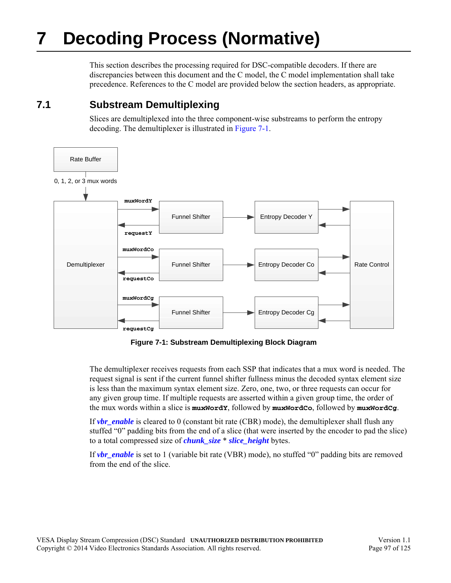# **7 Decoding Process (Normative)**

This section describes the processing required for DSC-compatible decoders. If there are discrepancies between this document and the C model, the C model implementation shall take precedence. References to the C model are provided below the section headers, as appropriate.

## **7.1 Substream Demultiplexing**

Slices are demultiplexed into the three component-wise substreams to perform the entropy decoding. The demultiplexer is illustrated in [Figure 7-1](#page-96-0).



**Figure 7-1: Substream Demultiplexing Block Diagram**

<span id="page-96-0"></span>The demultiplexer receives requests from each SSP that indicates that a mux word is needed. The request signal is sent if the current funnel shifter fullness minus the decoded syntax element size is less than the maximum syntax element size. Zero, one, two, or three requests can occur for any given group time. If multiple requests are asserted within a given group time, the order of the mux words within a slice is **muxWordY**, followed by **muxWordCo**, followed by **muxWordCg**.

If *[vbr\\_enable](#page-43-0)* is cleared to 0 (constant bit rate (CBR) mode), the demultiplexer shall flush any stuffed "0" padding bits from the end of a slice (that were inserted by the encoder to pad the slice) to a total compressed size of *[chunk\\_size](#page-44-1)* \* *[slice\\_height](#page-44-2)* bytes.

If *[vbr\\_enable](#page-43-0)* is set to 1 (variable bit rate (VBR) mode), no stuffed "0" padding bits are removed from the end of the slice.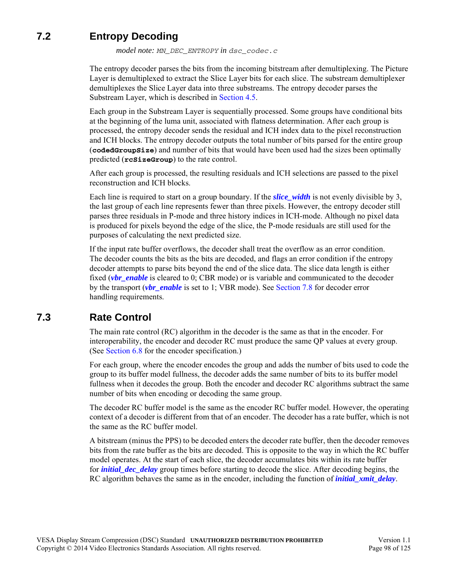# **7.2 Entropy Decoding**

*model note: MN\_DEC\_ENTROPY in dsc\_codec.c*

The entropy decoder parses the bits from the incoming bitstream after demultiplexing. The Picture Layer is demultiplexed to extract the Slice Layer bits for each slice. The substream demultiplexer demultiplexes the Slice Layer data into three substreams. The entropy decoder parses the Substream Layer, which is described in [Section 4.5](#page-53-0).

Each group in the Substream Layer is sequentially processed. Some groups have conditional bits at the beginning of the luma unit, associated with flatness determination. After each group is processed, the entropy decoder sends the residual and ICH index data to the pixel reconstruction and ICH blocks. The entropy decoder outputs the total number of bits parsed for the entire group (**codedGroupSize**) and number of bits that would have been used had the sizes been optimally predicted (**rcSizeGroup**) to the rate control.

After each group is processed, the resulting residuals and ICH selections are passed to the pixel reconstruction and ICH blocks.

Each line is required to start on a group boundary. If the *[slice\\_width](#page-44-0)* is not evenly divisible by 3, the last group of each line represents fewer than three pixels. However, the entropy decoder still parses three residuals in P-mode and three history indices in ICH-mode. Although no pixel data is produced for pixels beyond the edge of the slice, the P-mode residuals are still used for the purposes of calculating the next predicted size.

If the input rate buffer overflows, the decoder shall treat the overflow as an error condition. The decoder counts the bits as the bits are decoded, and flags an error condition if the entropy decoder attempts to parse bits beyond the end of the slice data. The slice data length is either fixed (*[vbr\\_enable](#page-43-0)* is cleared to 0; CBR mode) or is variable and communicated to the decoder by the transport (*[vbr\\_enable](#page-43-0)* is set to 1; VBR mode). See [Section 7.8](#page-101-0) for decoder error handling requirements.

## **7.3 Rate Control**

The main rate control (RC) algorithm in the decoder is the same as that in the encoder. For interoperability, the encoder and decoder RC must produce the same QP values at every group. (See [Section 6.8](#page-79-1) for the encoder specification.)

For each group, where the encoder encodes the group and adds the number of bits used to code the group to its buffer model fullness, the decoder adds the same number of bits to its buffer model fullness when it decodes the group. Both the encoder and decoder RC algorithms subtract the same number of bits when encoding or decoding the same group.

The decoder RC buffer model is the same as the encoder RC buffer model. However, the operating context of a decoder is different from that of an encoder. The decoder has a rate buffer, which is not the same as the RC buffer model.

A bitstream (minus the PPS) to be decoded enters the decoder rate buffer, then the decoder removes bits from the rate buffer as the bits are decoded. This is opposite to the way in which the RC buffer model operates. At the start of each slice, the decoder accumulates bits within its rate buffer for *[initial\\_dec\\_delay](#page-44-7)* group times before starting to decode the slice. After decoding begins, the RC algorithm behaves the same as in the encoder, including the function of *initial xmit delay*.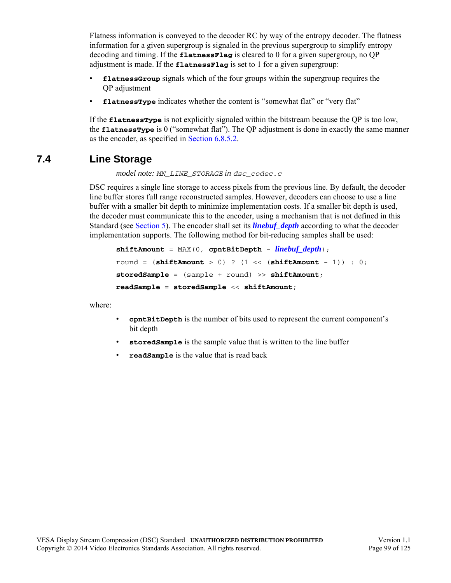Flatness information is conveyed to the decoder RC by way of the entropy decoder. The flatness information for a given supergroup is signaled in the previous supergroup to simplify entropy decoding and timing. If the **flatnessFlag** is cleared to 0 for a given supergroup, no QP adjustment is made. If the **flatnessFlag** is set to 1 for a given supergroup:

- **flatnessGroup** signals which of the four groups within the supergroup requires the QP adjustment
- **flatnessType** indicates whether the content is "somewhat flat" or "very flat"

If the **flatnessType** is not explicitly signaled within the bitstream because the QP is too low, the **flatnessType** is 0 ("somewhat flat"). The QP adjustment is done in exactly the same manner as the encoder, as specified in [Section 6.8.5.2.](#page-94-1)

## **7.4 Line Storage**

*model note: MN\_LINE\_STORAGE in dsc\_codec.c*

DSC requires a single line storage to access pixels from the previous line. By default, the decoder line buffer stores full range reconstructed samples. However, decoders can choose to use a line buffer with a smaller bit depth to minimize implementation costs. If a smaller bit depth is used, the decoder must communicate this to the encoder, using a mechanism that is not defined in this Standard (see [Section 5](#page-59-0)). The encoder shall set its *[linebuf\\_depth](#page-42-1)* according to what the decoder implementation supports. The following method for bit-reducing samples shall be used:

```
shiftAmount = MAX(0, cpntBitDepth - linebuf_depth);
round = (\text{shiftAmount} > 0) ? (1 \ll (\text{shiftAmount} - 1)) : 0;
storedSample = (sample + round) >> shiftAmount;
readSample = storedSample << shiftAmount;
```
where:

- **cpntBitDepth** is the number of bits used to represent the current component's bit depth
- **storedSample** is the sample value that is written to the line buffer
- **readSample** is the value that is read back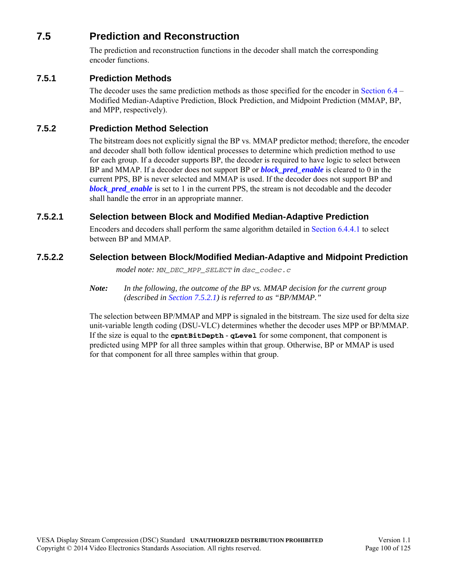## **7.5 Prediction and Reconstruction**

The prediction and reconstruction functions in the decoder shall match the corresponding encoder functions.

### **7.5.1 Prediction Methods**

The decoder uses the same prediction methods as those specified for the encoder in [Section 6.4](#page-62-0) – Modified Median-Adaptive Prediction, Block Prediction, and Midpoint Prediction (MMAP, BP, and MPP, respectively).

### **7.5.2 Prediction Method Selection**

The bitstream does not explicitly signal the BP vs. MMAP predictor method; therefore, the encoder and decoder shall both follow identical processes to determine which prediction method to use for each group. If a decoder supports BP, the decoder is required to have logic to select between BP and MMAP. If a decoder does not support BP or *[block\\_pred\\_enable](#page-43-2)* is cleared to 0 in the current PPS, BP is never selected and MMAP is used. If the decoder does not support BP and *[block\\_pred\\_enable](#page-43-2)* is set to 1 in the current PPS, the stream is not decodable and the decoder shall handle the error in an appropriate manner.

### <span id="page-99-0"></span>**7.5.2.1 Selection between Block and Modified Median-Adaptive Prediction**

Encoders and decoders shall perform the same algorithm detailed in [Section 6.4.4.1](#page-65-0) to select between BP and MMAP.

### **7.5.2.2 Selection between Block/Modified Median-Adaptive and Midpoint Prediction**

*model note: MN\_DEC\_MPP\_SELECT in dsc\_codec.c*

*Note: In the following, the outcome of the BP vs. MMAP decision for the current group (described in [Section 7.5.2.1](#page-99-0)) is referred to as "BP/MMAP."*

The selection between BP/MMAP and MPP is signaled in the bitstream. The size used for delta size unit-variable length coding (DSU-VLC) determines whether the decoder uses MPP or BP/MMAP. If the size is equal to the **cpntBitDepth** - **qLevel** for some component, that component is predicted using MPP for all three samples within that group. Otherwise, BP or MMAP is used for that component for all three samples within that group.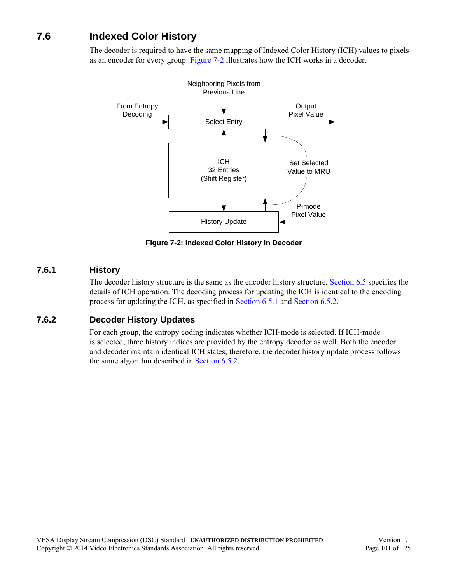# **7.6 Indexed Color History**

The decoder is required to have the same mapping of Indexed Color History (ICH) values to pixels as an encoder for every group. [Figure 7-2](#page-100-0) illustrates how the ICH works in a decoder.



**Figure 7-2: Indexed Color History in Decoder**

### <span id="page-100-0"></span>**7.6.1 History**

The decoder history structure is the same as the encoder history structure. [Section 6.5](#page-69-0) specifies the details of ICH operation. The decoding process for updating the ICH is identical to the encoding process for updating the ICH, as specified in [Section 6.5.1](#page-69-1) and [Section 6.5.2](#page-70-0).

### **7.6.2 Decoder History Updates**

For each group, the entropy coding indicates whether ICH-mode is selected. If ICH-mode is selected, three history indices are provided by the entropy decoder as well. Both the encoder and decoder maintain identical ICH states; therefore, the decoder history update process follows the same algorithm described in [Section 6.5.2](#page-70-0).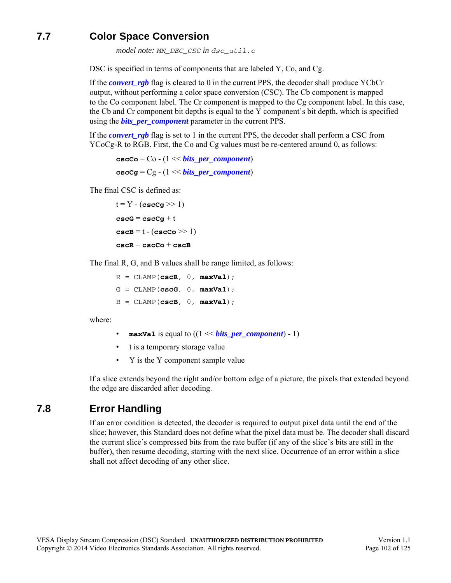# **7.7 Color Space Conversion**

*model note: MN\_DEC\_CSC in dsc\_util.c*

DSC is specified in terms of components that are labeled Y, Co, and Cg.

If the *[convert\\_rgb](#page-43-3)* flag is cleared to 0 in the current PPS, the decoder shall produce YCbCr output, without performing a color space conversion (CSC). The Cb component is mapped to the Co component label. The Cr component is mapped to the Cg component label. In this case, the Cb and Cr component bit depths is equal to the Y component's bit depth, which is specified using the *[bits\\_per\\_component](#page-42-0)* parameter in the current PPS.

If the *convert* rgb flag is set to 1 in the current PPS, the decoder shall perform a CSC from YCoCg-R to RGB. First, the Co and Cg values must be re-centered around 0, as follows:

```
\csc\csc = \csc(1 \ll bits \text{ per component})cscCg = Cg - (1 << bits_per_component)
```
The final CSC is defined as:

```
t = Y - (cscCg \gg 1)cscG = cscCg + t
cscB = t - (cscCo \gg 1)cscR = cscCo + cscB
```
The final R, G, and B values shall be range limited, as follows:

 $R = CLAMP(cscR, 0, maxVal);$ G = CLAMP(**cscG**, 0, **maxVal**);  $B = CLAMP(cscB, 0, maxVal);$ 

where:

- **maxVal** is equal to  $((1 \leq kits\ per\ component) 1)$
- t is a temporary storage value
- Y is the Y component sample value

If a slice extends beyond the right and/or bottom edge of a picture, the pixels that extended beyond the edge are discarded after decoding.

## <span id="page-101-0"></span>**7.8 Error Handling**

If an error condition is detected, the decoder is required to output pixel data until the end of the slice; however, this Standard does not define what the pixel data must be. The decoder shall discard the current slice's compressed bits from the rate buffer (if any of the slice's bits are still in the buffer), then resume decoding, starting with the next slice. Occurrence of an error within a slice shall not affect decoding of any other slice.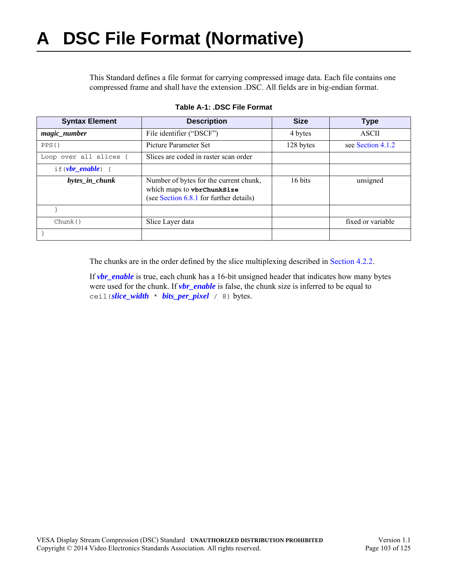This Standard defines a file format for carrying compressed image data. Each file contains one compressed frame and shall have the extension .DSC. All fields are in big-endian format.

| <b>Syntax Element</b>   | <b>Description</b>                                                                                              | <b>Size</b> | <b>Type</b>       |
|-------------------------|-----------------------------------------------------------------------------------------------------------------|-------------|-------------------|
| magic_number            | File identifier ("DSCF")                                                                                        | 4 bytes     | <b>ASCII</b>      |
| PPS()                   | Picture Parameter Set                                                                                           | 128 bytes   | see Section 4.1.2 |
| Loop over all slices {  | Slices are coded in raster scan order                                                                           |             |                   |
| if $(\nu br\_enable)$ { |                                                                                                                 |             |                   |
| bytes_in_chunk          | Number of bytes for the current chunk,<br>which maps to vbrChunkSize<br>(see Section 6.8.1 for further details) | 16 bits     | unsigned          |
|                         |                                                                                                                 |             |                   |
| Chunk()                 | Slice Layer data                                                                                                |             | fixed or variable |
|                         |                                                                                                                 |             |                   |

| Table A-1: .DSC File Format |  |  |  |  |  |  |
|-----------------------------|--|--|--|--|--|--|
|-----------------------------|--|--|--|--|--|--|

The chunks [are in the or](#page-19-0)der defined by the slice multiplexing described in [Section 4.2.2](#page-49-0).

If *[vbr\\_enable](#page-43-0)* is true, each chunk has a 16-bit unsigned header that indicates how many bytes were used for the chunk. If *[vbr\\_enable](#page-43-0)* is false, the chunk size is inferred to be equal to ceil(*[slice\\_width](#page-44-0)* \* *[bits\\_per\\_pixel](#page-43-1)* / 8) bytes.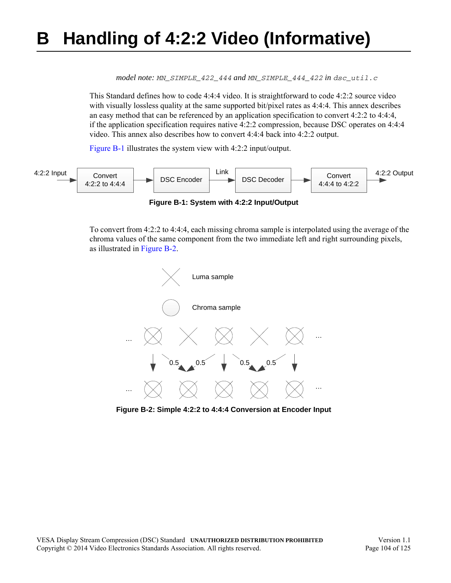# <span id="page-103-2"></span>**B Handling of 4:2:2 Video (Informative)**

*model note: MN\_SIMPLE\_422\_444 and MN\_SIMPLE\_444\_422 in dsc\_util.c*

This Standard defines how to code 4:4:4 video. It is straightforward to code 4:2:2 source video with visually lossless quality at the same supported bit/pixel rates as 4:4:4. This annex describes an easy method that can be referenced by an application specification to convert 4:2:2 to 4:4:4, if the application specification requires native 4:2:2 compression, because DSC operates on 4:4:4 video. This annex also describes how to convert 4:4:4 back into 4:2:2 output.

[Figure B-1](#page-103-1) illustrates the system view with 4:2:2 input/output.

<span id="page-103-1"></span>

To convert from 4:2:2 to 4:4:4, each missing chroma sample is interpolated using the average of the chroma values of the same component from the two immediate left and right surrounding pixels, as illustrated in [Figure B-2.](#page-103-0)



<span id="page-103-0"></span>**Figure B-2: Simple 4:2:2 to 4:4:4 Conversion at Encoder Input**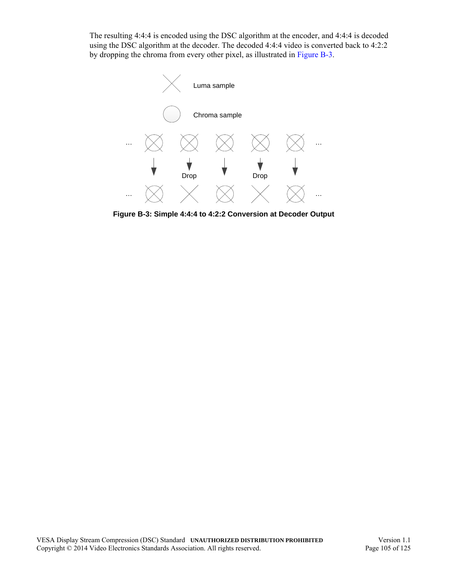The resulting 4:4:4 is encoded using the DSC algorithm at the encoder, and 4:4:4 is decoded using the DSC algorithm at the decoder. The decoded 4:4:4 video is converted back to 4:2:2 by dropping the chroma from every other pixel, as illustrated in [Figure B-3.](#page-104-0)



<span id="page-104-0"></span>**Figure B-3: Simple 4:4:4 to 4:2:2 Conversion at Decoder Output**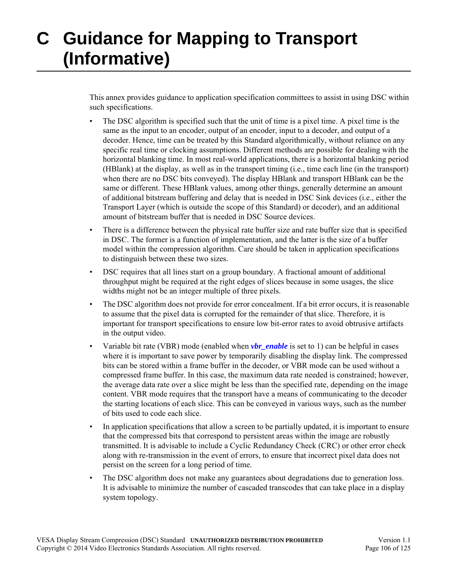# **C Guidance for Mapping to Transport (Informative)**

This annex provides guidance to application specification committees to assist in using DSC within such specifications.

- The DSC algorithm is specified such that the unit of time is a pixel time. A pixel time is the same as the input to an encoder, output of an encoder, input to a decoder, and output of a decoder. Hence, time can be treated by this Standard algorithmically, without reliance on any specific real time or clocking assumptions. Different methods are possible for dealing with the horizontal blanking time. In most real-world applications, there is a horizontal blanking period (HBlank) at the display, as well as in the transport timing (i.e., time each line (in the transport) when there are no DSC bits conveyed). The display HBlank and transport HBlank can be the same or different. These HBlank values, among other things, generally determine an amount of additional bitstream buffering and delay that is needed in DSC Sink devices (i.e., either the Transport Layer (which is outside the scope of this Standard) or decoder), and an additional amount of bitstream buffer that is needed in DSC Source devices.
- There is a difference between the physical rate buffer size and rate buffer size that is specified in DSC. The former is a function of implementation, and the latter is the size of a buffer model within the compression algorithm. Care should be taken in application specifications to distinguish between these two sizes.
- DSC requires that all lines start on a group boundary. A fractional amount of additional throughput might be required at the right edges of slices because in some usages, the slice widths might not be an integer multiple of three pixels.
- The DSC algorithm does not provide for error concealment. If a bit error occurs, it is reasonable to assume that the pixel data is corrupted for the remainder of that slice. Therefore, it is important for transport specifications to ensure low bit-error rates to avoid obtrusive artifacts in the output video.
- Variable bit rate (VBR) mode (enabled when *[vbr\\_enable](#page-43-0)* is set to 1) can be helpful in cases where it is important to save power by temporarily disabling the display link. The compressed bits can be stored within a frame buffer in the decoder, or VBR mode can be used without a compressed frame buffer. In this case, the maximum data rate needed is constrained; however, the average data rate over a slice might be less than the specified rate, depending on the image content. VBR mode requires that the transport have a means of communicating to the decoder the starting locations of each slice. This can be conveyed in various ways, such as the number of bits used to code each slice.
- In application specifications that allow a screen to be partially updated, it is important to ensure that the compressed bits that correspond to persistent areas within the image are robustly transmitted. It is advisable to include a Cyclic Redundancy Check (CRC) or other error check along with re-transmission in the event of errors, to ensure that incorrect pixel data does not persist on the screen for a long period of time.
- The DSC algorithm does not make any guarantees about degradations due to generation loss. It is advisable to minimize the number of cascaded transcodes that can take place in a display system topology.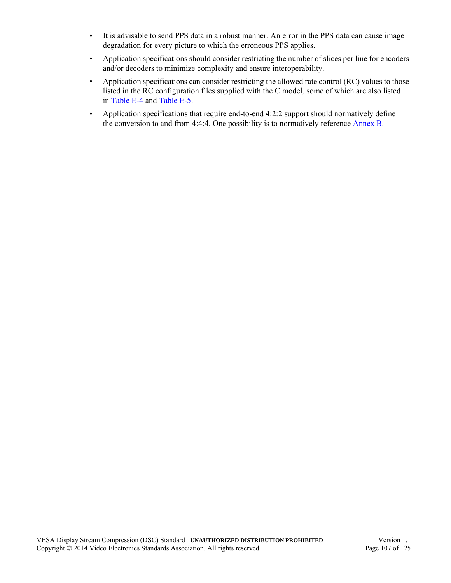- It is advisable to send PPS data in a robust manner. An error in the PPS data can cause image degradation for every picture to which the erroneous PPS applies.
- Application specifications should consider restricting the number of slices per line for encoders and/or decoders to minimize complexity and ensure interoperability.
- Application specifications can consider restricting the allowed rate control (RC) values to those listed in the RC configuration files supplied with the C model, some of which are also listed in [Table E-4](#page-111-0) and [Table E-5.](#page-112-0)
- Application specifications that require end-to-end 4:2:2 support should normatively define the conversion to and from 4:4:4. One possibility is to normatively reference [Annex B.](#page-103-2)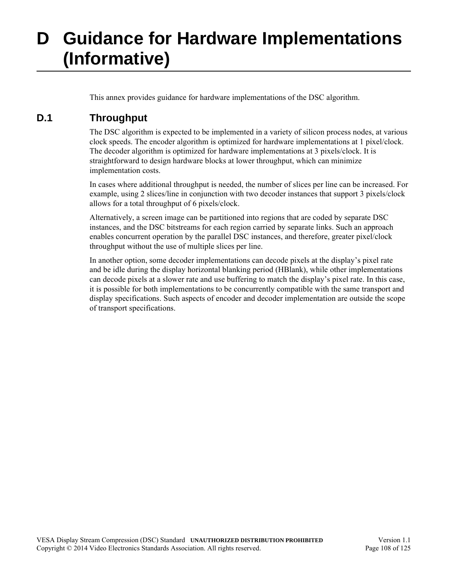# **D Guidance for Hardware Implementations (Informative)**

This annex provides guidance for hardware implementations of the DSC algorithm.

# **D.1 Throughput**

The DSC algorithm is expected to be implemented in a variety of silicon process nodes, at various clock speeds. The encoder algorithm is optimized for hardware implementations at 1 pixel/clock. The decoder algorithm is optimized for hardware implementations at 3 pixels/clock. It is straightforward to design hardware blocks at lower throughput, which can minimize implementation costs.

In cases where additional throughput is needed, the number of slices per line can be increased. For example, using 2 slices/line in conjunction with two decoder instances that support 3 pixels/clock allows for a total throughput of 6 pixels/clock.

Alternatively, a screen image can be partitioned into regions that are coded by separate DSC instances, and the DSC bitstreams for each region carried by separate links. Such an approach enables concurrent operation by the parallel DSC instances, and therefore, greater pixel/clock throughput without the use of multiple slices per line.

In another option, some decoder implementations can decode pixels at the display's pixel rate and be idle during the display horizontal blanking period (HBlank), while other implementations can decode pixels at a slower rate and use buffering to match the display's pixel rate. In this case, it is possible for both implementations to be concurrently compatible with the same transport and display specifications. Such aspects of encoder and decoder implementation are outside the scope of transport specifications.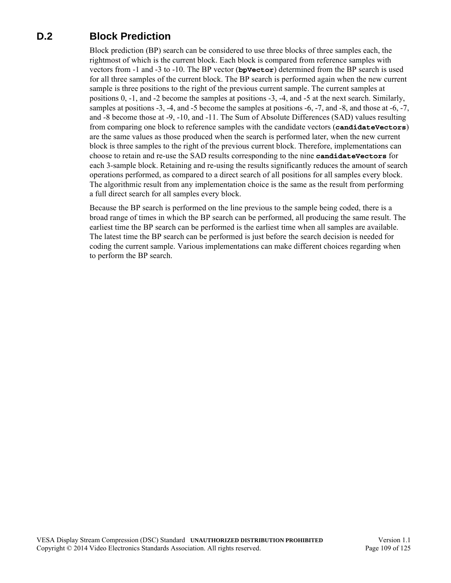# **D.2 Block Prediction**

Block prediction (BP) search can be considered to use three blocks of three samples each, the rightmost of which is the current block. Each block is compared from reference samples with vectors from -1 and -3 to -10. The BP vector (**bpVector**) determined from the BP search is used for all three samples of the current block. The BP search is performed again when the new current sample is three positions to the right of the previous current sample. The current samples at positions 0, -1, and -2 become the samples at positions -3, -4, and -5 at the next search. Similarly, samples at positions -3, -4, and -5 become the samples at positions -6, -7, and -8, and those at -6, -7, and -8 become those at -9, -10, and -11. The Sum of Absolute Differences (SAD) values resulting from comparing one block to reference samples with the candidate vectors (**candidateVectors**) are the same values as those produced when the search is performed later, when the new current block is three samples to the right of the previous current block. Therefore, implementations can choose to retain and re-use the SAD results corresponding to the nine **candidateVectors** for each 3-sample block. Retaining and re-using the results significantly reduces the amount of search operations performed, as compared to a direct search of all positions for all samples every block. The algorithmic result from any implementation choice is the same as the result from performing a full direct search for all samples every block.

Because the BP search is performed on the line previous to the sample being coded, there is a broad range of times in which the BP search can be performed, all producing the same result. The earliest time the BP search can be performed is the earliest time when all samples are available. The latest time the BP search can be performed is just before the search decision is needed for coding the current sample. Various implementations can make different choices regarding when to perform the BP search.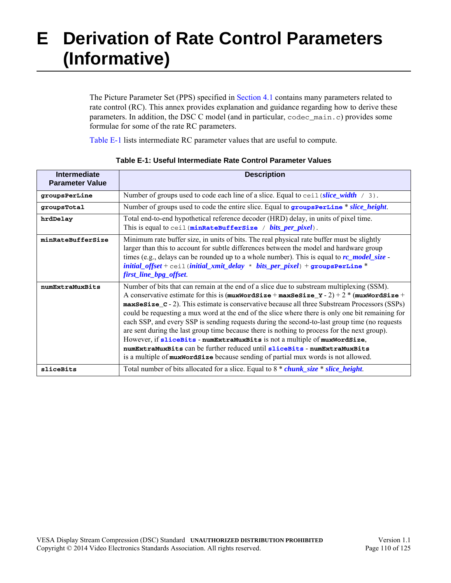# **E Derivation of Rate Control Parameters (Informative)**

The Picture Parameter Set (PPS) specified in [Section 4.1](#page-42-0) contains many parameters related to rate control (RC). This annex provides explanation and guidance regarding how to derive these parameters. In addition, the DSC C model (and in particular, codec\_main.c) provides some formulae for some of the rate RC parameters.

[Table E-1](#page-109-0) lists intermediate RC parameter values that are useful to compute.

<span id="page-109-4"></span><span id="page-109-3"></span><span id="page-109-2"></span><span id="page-109-1"></span><span id="page-109-0"></span>

| Intermediate<br><b>Parameter Value</b> | <b>Description</b>                                                                                                                                                                                                                                                                                                                                                                                                                                                                                                                                                                                                                                                                                                                                                                                                                                                      |
|----------------------------------------|-------------------------------------------------------------------------------------------------------------------------------------------------------------------------------------------------------------------------------------------------------------------------------------------------------------------------------------------------------------------------------------------------------------------------------------------------------------------------------------------------------------------------------------------------------------------------------------------------------------------------------------------------------------------------------------------------------------------------------------------------------------------------------------------------------------------------------------------------------------------------|
| groupsPerLine                          | Number of groups used to code each line of a slice. Equal to $\text{ceil}(slice\_width \ / 3)$ .                                                                                                                                                                                                                                                                                                                                                                                                                                                                                                                                                                                                                                                                                                                                                                        |
| groupsTotal                            | Number of groups used to code the entire slice. Equal to <b>groupsPerLine</b> * slice height.                                                                                                                                                                                                                                                                                                                                                                                                                                                                                                                                                                                                                                                                                                                                                                           |
| hrdDelay                               | Total end-to-end hypothetical reference decoder (HRD) delay, in units of pixel time.<br>This is equal to ceil (minRateBufferSize / bits_per_pixel).                                                                                                                                                                                                                                                                                                                                                                                                                                                                                                                                                                                                                                                                                                                     |
| minRateBufferSize                      | Minimum rate buffer size, in units of bits. The real physical rate buffer must be slightly<br>larger than this to account for subtle differences between the model and hardware group<br>times (e.g., delays can be rounded up to a whole number). This is equal to $rc\_model\_size$<br>$initial\_offset + \text{ceil}$ (initial_xmit_delay * bits_per_pixel) + groupsPerLine *<br>first_line_bpg_offset.                                                                                                                                                                                                                                                                                                                                                                                                                                                              |
| numExtraMuxBits                        | Number of bits that can remain at the end of a slice due to substream multiplexing (SSM).<br>A conservative estimate for this is $(\text{maxWordSize} + \text{maxSesize}_Y - 2) + 2 * (\text{maxWordSize} +$<br>maxSesize_c - 2). This estimate is conservative because all three Substream Processors (SSPs)<br>could be requesting a mux word at the end of the slice where there is only one bit remaining for<br>each SSP, and every SSP is sending requests during the second-to-last group time (no requests<br>are sent during the last group time because there is nothing to process for the next group).<br>However, if sliceBits - numExtraMuxBits is not a multiple of muxWordSize,<br>numExtraMuxBits can be further reduced until sliceBits - numExtraMuxBits<br>is a multiple of <b>muxWordSize</b> because sending of partial mux words is not allowed. |
| sliceBits                              | Total number of bits allocated for a slice. Equal to 8 * <i>chunk_size</i> * <i>slice_height</i> .                                                                                                                                                                                                                                                                                                                                                                                                                                                                                                                                                                                                                                                                                                                                                                      |

#### **Table E-1: Useful Intermediate Rate Control Parameter Values**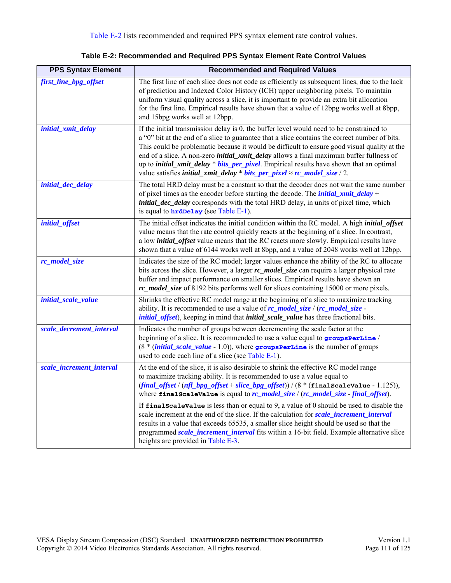<span id="page-110-0"></span>

| <b>PPS Syntax Element</b> | <b>Recommended and Required Values</b>                                                                                                                                                                                                                                                                                                                                                                                                                                                                                                                                                                   |  |  |  |  |
|---------------------------|----------------------------------------------------------------------------------------------------------------------------------------------------------------------------------------------------------------------------------------------------------------------------------------------------------------------------------------------------------------------------------------------------------------------------------------------------------------------------------------------------------------------------------------------------------------------------------------------------------|--|--|--|--|
| first_line_bpg_offset     | The first line of each slice does not code as efficiently as subsequent lines, due to the lack<br>of prediction and Indexed Color History (ICH) upper neighboring pixels. To maintain<br>uniform visual quality across a slice, it is important to provide an extra bit allocation<br>for the first line. Empirical results have shown that a value of 12bpg works well at 8bpp,<br>and 15bpg works well at 12bpp.                                                                                                                                                                                       |  |  |  |  |
| initial_xmit_delay        | If the initial transmission delay is 0, the buffer level would need to be constrained to<br>a "0" bit at the end of a slice to guarantee that a slice contains the correct number of bits.<br>This could be problematic because it would be difficult to ensure good visual quality at the<br>end of a slice. A non-zero <i>initial_xmit_delay</i> allows a final maximum buffer fullness of<br>up to <i>initial_xmit_delay</i> * <i>bits_per_pixel</i> . Empirical results have shown that an optimal<br>value satisfies <i>initial_xmit_delay * bits_per_pixel</i> $\approx$ <i>rc_model_size</i> / 2. |  |  |  |  |
| initial_dec_delay         | The total HRD delay must be a constant so that the decoder does not wait the same number<br>of pixel times as the encoder before starting the decode. The <i>initial_xmit_delay</i> +<br><i>initial_dec_delay</i> corresponds with the total HRD delay, in units of pixel time, which<br>is equal to <b>hrdDelay</b> (see Table E-1).                                                                                                                                                                                                                                                                    |  |  |  |  |
| initial_offset            | The initial offset indicates the initial condition within the RC model. A high <i>initial_offset</i><br>value means that the rate control quickly reacts at the beginning of a slice. In contrast,<br>a low <i>initial_offset</i> value means that the RC reacts more slowly. Empirical results have<br>shown that a value of 6144 works well at 8bpp, and a value of 2048 works well at 12bpp.                                                                                                                                                                                                          |  |  |  |  |
| rc_model_size             | Indicates the size of the RC model; larger values enhance the ability of the RC to allocate<br>bits across the slice. However, a larger rc_model_size can require a larger physical rate<br>buffer and impact performance on smaller slices. Empirical results have shown an<br>rc_model_size of 8192 bits performs well for slices containing 15000 or more pixels.                                                                                                                                                                                                                                     |  |  |  |  |
| initial_scale_value       | Shrinks the effective RC model range at the beginning of a slice to maximize tracking<br>ability. It is recommended to use a value of $rc$ model size / $(rc$ model size<br><i>initial_offset</i> ), keeping in mind that <i>initial_scale_value</i> has three fractional bits.                                                                                                                                                                                                                                                                                                                          |  |  |  |  |
| scale_decrement_interval  | Indicates the number of groups between decrementing the scale factor at the<br>beginning of a slice. It is recommended to use a value equal to groupsPerLine /<br>$(8 * (initial\_scale\_value - 1.0))$ , where groups PerLine is the number of groups<br>used to code each line of a slice (see Table E-1).                                                                                                                                                                                                                                                                                             |  |  |  |  |
| scale_increment_interval  | At the end of the slice, it is also desirable to shrink the effective RC model range<br>to maximize tracking ability. It is recommended to use a value equal to<br>$(\text{final\_offset} / (\textit{nfl\_bps\_offset} + \textit{slice\_bps\_offset})) / (8 * (\text{finalScaleValue} - 1.125)),$<br>where $\texttt{finalScaleValue}$ is equal to $\textit{rc\_model\_size}$ / $(\textit{rc\_model\_size\_final\_offset})$ .                                                                                                                                                                             |  |  |  |  |
|                           | If $\text{final}$ scale value is less than or equal to 9, a value of 0 should be used to disable the<br>scale increment at the end of the slice. If the calculation for scale increment interval<br>results in a value that exceeds 65535, a smaller slice height should be used so that the<br>programmed scale_increment_interval fits within a 16-bit field. Example alternative slice<br>heights are provided in Table E-3.                                                                                                                                                                          |  |  |  |  |

**Table E-2: Recommended and Required PPS Syntax Element Rate Control Values**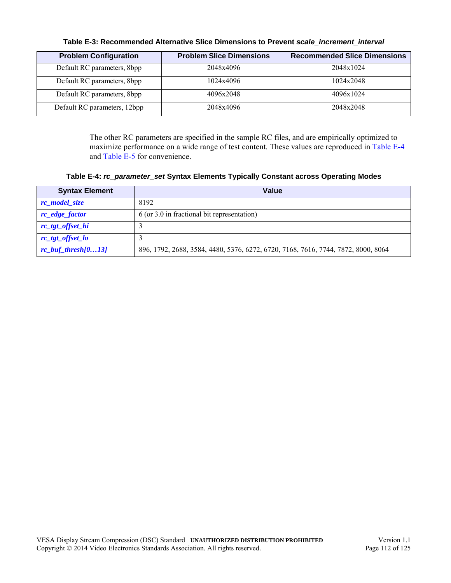<span id="page-111-0"></span>

| <b>Problem Configuration</b> | <b>Problem Slice Dimensions</b> | <b>Recommended Slice Dimensions</b> |
|------------------------------|---------------------------------|-------------------------------------|
| Default RC parameters, 8bpp  | 2048x4096                       | 2048x1024                           |
| Default RC parameters, 8bpp  | 1024x4096                       | 1024x2048                           |
| Default RC parameters, 8bpp  | 4096x2048                       | 4096x1024                           |
| Default RC parameters, 12bpp | 2048x4096                       | 2048x2048                           |

#### **Table E-3: Recommended Alternative Slice Dimensions to Prevent** *[scale\\_increment\\_interval](#page-44-7)*

The other RC parameters are specified in the sample RC files, and are empirically optimized to maximize performance on a wide range of test content. These values are reproduced in [Table E-4](#page-111-1) and [Table E-5](#page-112-0) for convenience.

**Table E-4:** *[rc\\_parameter\\_set](#page-46-0)* **Syntax Elements Typically Constant across Operating Modes**

<span id="page-111-1"></span>

| <b>Syntax Element</b>  | Value                                                                             |
|------------------------|-----------------------------------------------------------------------------------|
| rc_model_size          | 8192                                                                              |
| rc_edge_factor         | $6$ (or 3.0 in fractional bit representation)                                     |
| rc_tgt_offset_hi       |                                                                                   |
| rc_tgt_offset_lo       |                                                                                   |
| $rc\_buf\_thresh[013]$ | 896, 1792, 2688, 3584, 4480, 5376, 6272, 6720, 7168, 7616, 7744, 7872, 8000, 8064 |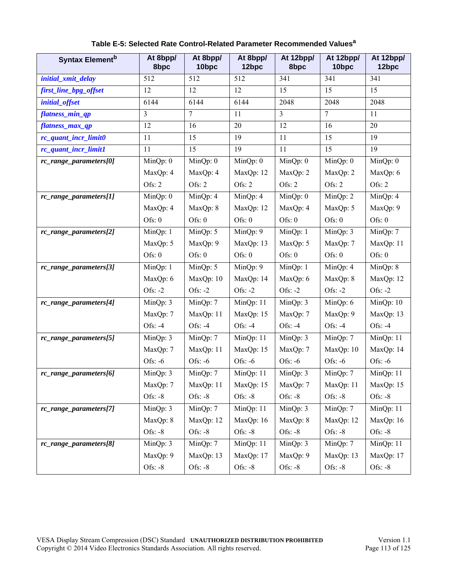<span id="page-112-0"></span>

| <b>Syntax Element</b> <sup>b</sup> | At 8bpp/<br>8bpc | At 8bpp/<br>10bpc | At 8bpp/<br>12bpc | At 12bpp/<br>8bpc             | At 12bpp/<br>10bpc | At 12bpp/<br>12bpc |
|------------------------------------|------------------|-------------------|-------------------|-------------------------------|--------------------|--------------------|
| initial_xmit_delay                 | 512              | 512               | 512               | 341                           | 341                | 341                |
| first_line_bpg_offset              | 12               | 12                | 12                | 15                            | 15                 | 15                 |
| initial_offset                     | 6144             | 6144              | 6144              | 2048                          | 2048               | 2048               |
| flatness_min_qp                    | 3                | 7                 | 11                | $\mathfrak{Z}$                | $\overline{7}$     | 11                 |
| flatness_max_qp                    | 12               | 16                | 20                | 12                            | 16                 | 20                 |
| rc_quant_incr_limit0               | 11               | 15                | 19                | 11                            | 15                 | 19                 |
| rc_quant_incr_limit1               | 11               | 15                | 19                | 11                            | 15                 | 19                 |
| rc_range_parameters[0]             | MinQp: 0         | MinQp: 0          | MinQp: 0          | MinQp: 0                      | MinQp: 0           | MinQp: 0           |
|                                    | MaxQp: 4         | MaxQp: 4          | MaxQp: 12         | MaxQp: 2                      | MaxQp: 2           | MaxQp: 6           |
|                                    | Ofs: 2           | Ofs: 2            | Ofs: 2            | Ofs: 2                        | Ofs: 2             | Ofs: 2             |
| rc_range_parameters[1]             | MinQp: 0         | MinQp: 4          | MinQp: 4          | $\overline{\text{MinQp}}$ : 0 | MinQp: 2           | MinQp: 4           |
|                                    | MaxQp: 4         | MaxQp: 8          | MaxQp: 12         | MaxQp: 4                      | MaxQp: 5           | MaxQp: 9           |
|                                    | Ofs: $0$         | Ofs: $0$          | Ofs: $0$          | Ofs: $0$                      | Ofs: 0             | Ofs: 0             |
| rc_range_parameters[2]             | MinQp: 1         | MinQp: 5          | MinQp: 9          | MinQp: 1                      | MinQp: 3           | MinQp: 7           |
|                                    | MaxQp: 5         | MaxQp: 9          | MaxQp: 13         | MaxQp: 5                      | MaxQp: 7           | MaxQp: 11          |
|                                    | Ofs: $0$         | Ofs: $0$          | Ofs: $0$          | Ofs: $0$                      | Ofs: 0             | Ofs: 0             |
| rc_range_parameters[3]             | MinQp: 1         | MinQp: 5          | MinQp: 9          | MinQp: 1                      | MinQp: 4           | MinQp: 8           |
|                                    | MaxQp: 6         | MaxQp: 10         | MaxQp: 14         | MaxQp: 6                      | MaxQp: 8           | MaxQp: 12          |
|                                    | Ofs: $-2$        | Ofs: $-2$         | Ofs: $-2$         | Ofs: $-2$                     | Ofs: $-2$          | Ofs: $-2$          |
| rc_range_parameters[4]             | MinQp: 3         | MinQp: 7          | MinQp: 11         | MinQp: 3                      | MinQp: 6           | MinQp: 10          |
|                                    | MaxQp: 7         | MaxQp: 11         | MaxQp: 15         | MaxQp: 7                      | MaxQp: 9           | MaxQp: 13          |
|                                    | Ofs: $-4$        | Ofs: $-4$         | Ofs: $-4$         | Ofs: $-4$                     | Ofs: $-4$          | Ofs: $-4$          |
| rc_range_parameters[5]             | MinQp: 3         | MinQp: 7          | MinQp: 11         | MinQp: 3                      | MinQp: 7           | MinQp: 11          |
|                                    | MaxQp: 7         | MaxQp: 11         | MaxQp: 15         | MaxQp: 7                      | MaxQp: 10          | MaxQp: 14          |
|                                    | Ofs: $-6$        | Ofs: $-6$         | Ofs: $-6$         | Ofs: $-6$                     | Ofs: $-6$          | Ofs: $-6$          |
| rc_range_parameters[6]             | MinQp: 3         | MinQp: 7          | MinQp: 11         | MinQp: 3                      | MinQp: 7           | MinQp: 11          |
|                                    | MaxQp: 7         | MaxQp: 11         | MaxQp: 15         | MaxQp: 7                      | MaxQp: 11          | MaxQp: 15          |
|                                    | Ofs: -8          | Ofs: $-8$         | Ofs: $-8$         | Ofs: $-8$                     | Ofs: $-8$          | Ofs: $-8$          |
| rc_range_parameters[7]             | MinQp: 3         | MinQp: 7          | MinQp: 11         | MinQp: 3                      | MinQp: 7           | MinQp: 11          |
|                                    | MaxQp: 8         | MaxQp: 12         | MaxQp: 16         | MaxQp: 8                      | MaxQp: 12          | MaxQp: 16          |
|                                    | Ofs: $-8$        | Ofs: $-8$         | Ofs: $-8$         | Ofs: $-8$                     | Ofs: $-8$          | Ofs: $-8$          |
| rc_range_parameters[8]             | MinQp: 3         | MinQp: 7          | MinQp: 11         | MinQp: 3                      | MinQp: 7           | MinQp: 11          |
|                                    | MaxQp: 9         | MaxQp: 13         | MaxQp: 17         | MaxQp: 9                      | MaxQp: 13          | MaxQp: 17          |
|                                    | Ofs: $-8$        | Ofs: $-8$         | Ofs: $-8$         | Ofs: -8                       | Ofs: -8            | Ofs: -8            |

### **Table E-5: Selected Rate Control-Related Parameter Recommended Valuesa**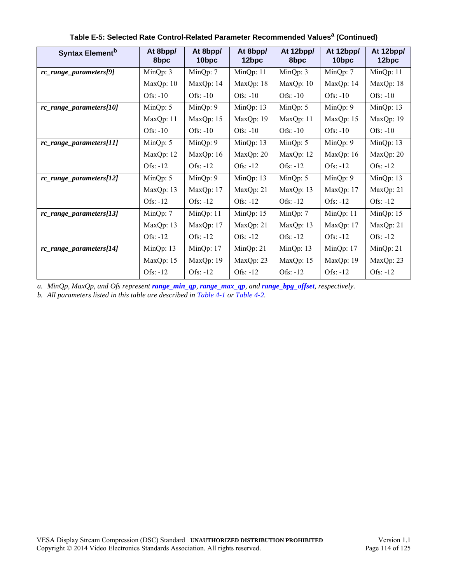| <b>Syntax Element</b> b | At 8bpp/<br>8bpc | At 8bpp/<br>10bpc | At 8bpp/<br>12bpc | At 12bpp/<br>8bpc | At 12bpp/<br>10 <sub>bpc</sub> | At 12bpp/<br>12bpc |
|-------------------------|------------------|-------------------|-------------------|-------------------|--------------------------------|--------------------|
| rc_range_parameters[9]  | MinQp: 3         | Min $Qp: 7$       | Min $Qp: 11$      | Min $Qp: 3$       | Min $Qp: 7$                    | MinQp: 11          |
|                         | MaxQp: 10        | MaxQp: 14         | MaxQp: 18         | MaxQp: 10         | MaxQp: 14                      | MaxQp: 18          |
|                         | Ofs: $-10$       | Ofs: $-10$        | Ofs: $-10$        | Ofs: $-10$        | Ofs: $-10$                     | Ofs: $-10$         |
| rc_range_parameters[10] | MinQp: 5         | MinQp: 9          | Min $Qp: 13$      | MinQp: $5$        | MinQp: 9                       | MinQp: 13          |
|                         | MaxQp: 11        | MaxQp: 15         | MaxQp: 19         | MaxQp: 11         | MaxQp: 15                      | MaxQp: 19          |
|                         | Ofs: $-10$       | Ofs: $-10$        | Ofs: $-10$        | Ofs: $-10$        | Ofs: $-10$                     | Ofs: $-10$         |
| rc_range_parameters[11] | MinQp: 5         | MinQp: 9          | MinQp: 13         | MinQp: $5$        | Min $Qp: 9$                    | MinQp: 13          |
|                         | MaxQp: 12        | MaxQp: 16         | MaxQp: 20         | MaxQp: 12         | MaxQp: 16                      | MaxQp: 20          |
|                         | Ofs: $-12$       | Ofs: $-12$        | Ofs: $-12$        | Ofs: $-12$        | Ofs: $-12$                     | Ofs: $-12$         |
| rc_range_parameters[12] | Min $Qp: 5$      | MinQp: 9          | MinQp: 13         | MinQp: $5$        | MinQp: 9                       | MinQp: 13          |
|                         | MaxQp: 13        | MaxQp: 17         | MaxQp: 21         | MaxQp: 13         | MaxQp: 17                      | MaxQp: 21          |
|                         | Ofs: -12         | $Ofs: -12$        | Ofs: $-12$        | $Ofs: -12$        | $Ofs: -12$                     | Ofs: $-12$         |
| rc_range_parameters[13] | MinQp: 7         | MinQp: 11         | MinQp: 15         | MinQp: 7          | MinQp: 11                      | MinQp: 15          |
|                         | MaxQp: 13        | MaxQp: 17         | MaxQp: 21         | MaxQp: 13         | MaxQp: 17                      | MaxQp: 21          |
|                         | Ofs: $-12$       | Ofs: $-12$        | Ofs: $-12$        | Ofs: $-12$        | Ofs: -12                       | Ofs: $-12$         |
| rc_range_parameters[14] | MinQp: 13        | MinQp: 17         | MinQp: 21         | Min $Qp: 13$      | MinQp: 17                      | MinQp: 21          |
|                         | MaxQp: 15        | MaxQp: 19         | MaxQp: 23         | MaxQp: 15         | MaxQp: 19                      | MaxQp: 23          |
|                         | Ofs: -12         | Ofs: -12          | Ofs: $-12$        | Ofs: $-12$        | Ofs: -12                       | $Ofs: -12$         |

### **Table E-5: Selected Rate Control-Related Parameter Recommended Valuesa (Continued)**

*a. MinQp, MaxQp, and Ofs represent [range\\_min\\_qp](#page-48-0), [range\\_max\\_qp](#page-48-1), and [range\\_bpg\\_offset](#page-48-2), respectively.*

*b. All parameters listed in this table are described in [Table 4-1](#page-42-1) or [Table 4-2.](#page-47-7)*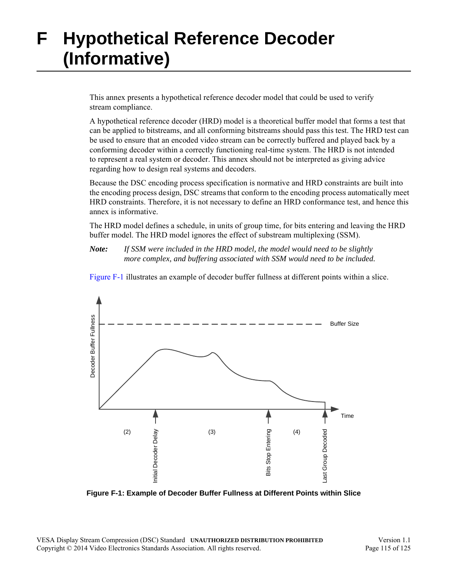# **F Hypothetical Reference Decoder (Informative)**

This annex presents a hypothetical reference decoder model that could be used to verify stream compliance.

A hypothetical reference decoder (HRD) model is a theoretical buffer model that forms a test that can be applied to bitstreams, and all conforming bitstreams should pass this test. The HRD test can be used to ensure that an encoded video stream can be correctly buffered and played back by a conforming decoder within a correctly functioning real-time system. The HRD is not intended to represent a real system or decoder. This annex should not be interpreted as giving advice regarding how to design real systems and decoders.

Because the DSC encoding process specification is normative and HRD constraints are built into the encoding process design, DSC streams that conform to the encoding process automatically meet HRD constraints. Therefore, it is not necessary to define an HRD conformance test, and hence this annex is informative.

The HRD model defines a schedule, in units of group time, for bits entering and leaving the HRD buffer model. The HRD model ignores the effect of substream multiplexing (SSM).

*Note: If SSM were included in the HRD model, the model would need to be slightly more complex, and buffering associated with SSM would need to be included.* 

[Figure F-1](#page-114-0) illustrates an example of decoder buffer fullness at different points within a slice.



<span id="page-114-0"></span>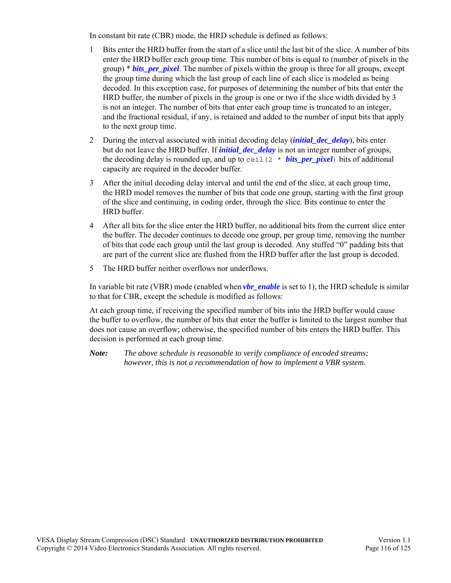In constant bit rate (CBR) mode, the HRD schedule is defined as follows:

- 1 Bits enter the HRD buffer from the start of a slice until the last bit of the slice. A number of bits enter the HRD buffer each group time. This number of bits is equal to (number of pixels in the group) \* *[bits\\_per\\_pixel](#page-43-0)*. The number of pixels within the group is three for all groups, except the group time during which the last group of each line of each slice is modeled as being decoded. In this exception case, for purposes of determining the number of bits that enter the HRD buffer, the number of pixels in the group is one or two if the slice width divided by 3 is not an integer. The number of bits that enter each group time is truncated to an integer, and the fractional residual, if any, is retained and added to the number of input bits that apply to the next group time.
- 2 During the interval associated with initial decoding delay (*[initial\\_dec\\_delay](#page-44-4)*), bits enter but do not leave the HRD buffer. If *[initial\\_dec\\_delay](#page-44-4)* is not an integer number of groups, the decoding delay is rounded up, and up to  $ceil(2 * bits\_per\_pixel)$  bits of additional capacity are required in the decoder buffer.
- 3 After the initial decoding delay interval and until the end of the slice, at each group time, the HRD model removes the number of bits that code one group, starting with the first group of the slice and continuing, in coding order, through the slice. Bits continue to enter the HRD buffer.
- 4 After all bits for the slice enter the HRD buffer, no additional bits from the current slice enter the buffer. The decoder continues to decode one group, per group time, removing the number of bits that code each group until the last group is decoded. Any stuffed "0" padding bits that are part of the current slice are flushed from the HRD buffer after the last group is decoded.
- 5 The HRD buffer neither overflows nor underflows.

In variable bit rate (VBR) mode (enabled when *[vbr\\_enable](#page-43-1)* is set to 1), the HRD schedule is similar to that for CBR, except the schedule is modified as follows:

At each group time, if receiving the specified number of bits into the HRD buffer would cause the buffer to overflow, the number of bits that enter the buffer is limited to the largest number that does not cause an overflow; otherwise, the specified number of bits enters the HRD buffer. This decision is performed at each group time.

*Note: The above schedule is reasonable to verify compliance of encoded streams; however, this is not a recommendation of how to implement a VBR system.*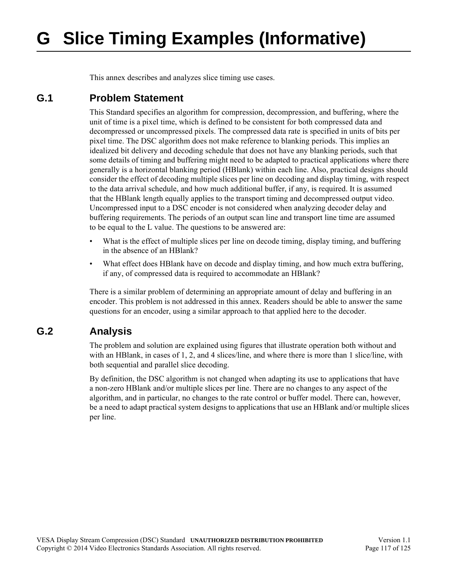# **G Slice Timing Examples (Informative)**

This annex describes and analyzes slice timing use cases.

### **G.1 Problem Statement**

This Standard specifies an algorithm for compression, decompression, and buffering, where the unit of time is a pixel time, which is defined to be consistent for both compressed data and decompressed or uncompressed pixels. The compressed data rate is specified in units of bits per pixel time. The DSC algorithm does not make reference to blanking periods. This implies an idealized bit delivery and decoding schedule that does not have any blanking periods, such that some details of timing and buffering might need to be adapted to practical applications where there generally is a horizontal blanking period (HBlank) within each line. Also, practical designs should consider the effect of decoding multiple slices per line on decoding and display timing, with respect to the data arrival schedule, and how much additional buffer, if any, is required. It is assumed that the HBlank length equally applies to the transport timing and decompressed output video. Uncompressed input to a DSC encoder is not considered when analyzing decoder delay and buffering requirements. The periods of an output scan line and transport line time are assumed to be equal to the L value. The questions to be answered are:

- What is the effect of multiple slices per line on decode timing, display timing, and buffering in the absence of an HBlank?
- What effect does HBlank have on decode and display timing, and how much extra buffering, if any, of compressed data is required to accommodate an HBlank?

There is a similar problem of determining an appropriate amount of delay and buffering in an encoder. This problem is not addressed in this annex. Readers should be able to answer the same questions for an encoder, using a similar approach to that applied here to the decoder.

## **G.2 Analysis**

The problem and solution are explained using figures that illustrate operation both without and with an HBlank, in cases of 1, 2, and 4 slices/line, and where there is more than 1 slice/line, with both sequential and parallel slice decoding.

By definition, the DSC algorithm is not changed when adapting its use to applications that have a non-zero HBlank and/or multiple slices per line. There are no changes to any aspect of the algorithm, and in particular, no changes to the rate control or buffer model. There can, however, be a need to adapt practical system designs to applications that use an HBlank and/or multiple slices per line.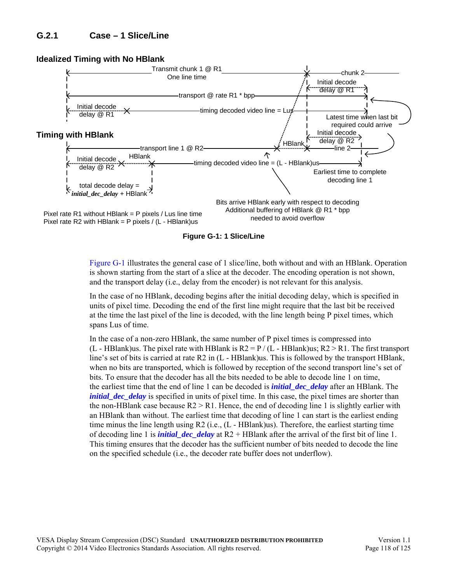

**Figure G-1: 1 Slice/Line**

<span id="page-117-0"></span>[Figure G-1](#page-117-0) illustrates the general case of 1 slice/line, both without and with an HBlank. Operation is shown starting from the start of a slice at the decoder. The encoding operation is not shown, and the transport delay (i.e., delay from the encoder) is not relevant for this analysis.

In the case of no HBlank, decoding begins after the initial decoding delay, which is specified in units of pixel time. Decoding the end of the first line might require that the last bit be received at the time the last pixel of the line is decoded, with the line length being P pixel times, which spans Lus of time.

In the case of a non-zero HBlank, the same number of P pixel times is compressed into (L - HBlank)us. The pixel rate with HBlank is  $R2 = P / (L - HBlank)$ us;  $R2 > R1$ . The first transport line's set of bits is carried at rate R2 in (L - HBlank)us. This is followed by the transport HBlank, when no bits are transported, which is followed by reception of the second transport line's set of bits. To ensure that the decoder has all the bits needed to be able to decode line 1 on time, the earliest time that the end of line 1 can be decoded is *[initial\\_dec\\_delay](#page-44-4)* after an HBlank. The *[initial\\_dec\\_delay](#page-44-4)* is specified in units of pixel time. In this case, the pixel times are shorter than the non-HB lank case because  $R2 > R1$ . Hence, the end of decoding line 1 is slightly earlier with an HBlank than without. The earliest time that decoding of line 1 can start is the earliest ending time minus the line length using  $R2$  (i.e.,  $(L - HB$ lank)us). Therefore, the earliest starting time of decoding line 1 is *[initial\\_dec\\_delay](#page-44-4)* at R2 + HBlank after the arrival of the first bit of line 1. This timing ensures that the decoder has the sufficient number of bits needed to decode the line on the specified schedule (i.e., the decoder rate buffer does not underflow).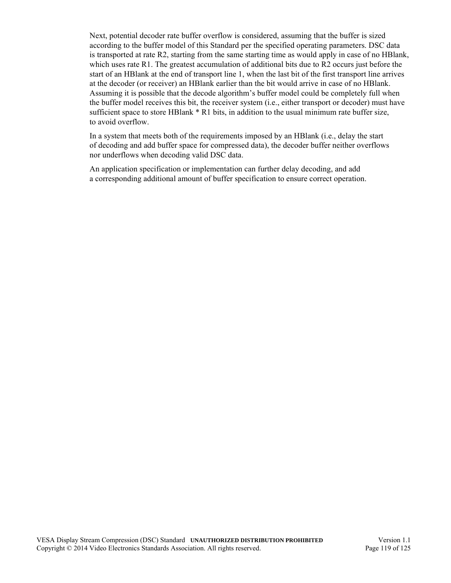Next, potential decoder rate buffer overflow is considered, assuming that the buffer is sized according to the buffer model of this Standard per the specified operating parameters. DSC data is transported at rate R2, starting from the same starting time as would apply in case of no HBlank, which uses rate R1. The greatest accumulation of additional bits due to R2 occurs just before the start of an HBlank at the end of transport line 1, when the last bit of the first transport line arrives at the decoder (or receiver) an HBlank earlier than the bit would arrive in case of no HBlank. Assuming it is possible that the decode algorithm's buffer model could be completely full when the buffer model receives this bit, the receiver system (i.e., either transport or decoder) must have sufficient space to store HBlank \* R1 bits, in addition to the usual minimum rate buffer size, to avoid overflow.

In a system that meets both of the requirements imposed by an HBlank (i.e., delay the start of decoding and add buffer space for compressed data), the decoder buffer neither overflows nor underflows when decoding valid DSC data.

An application specification or implementation can further delay decoding, and add a corresponding additional amount of buffer specification to ensure correct operation.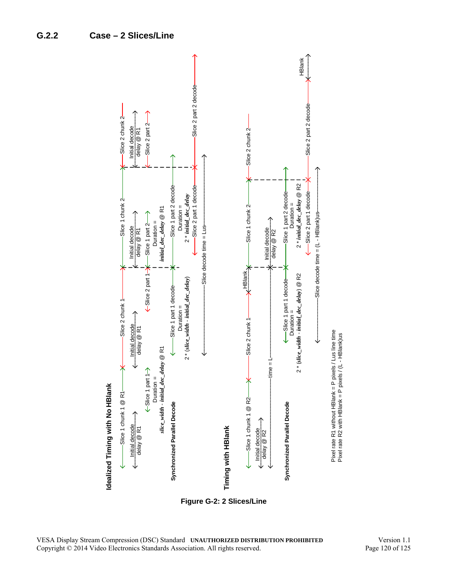

<span id="page-119-0"></span>**Figure G-2: 2 Slices/Line**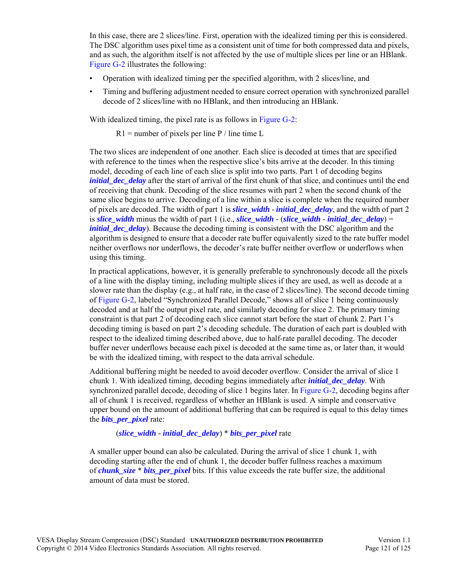In this case, there are 2 slices/line. First, operation with the idealized timing per this is considered. The DSC algorithm uses pixel time as a consistent unit of time for both compressed data and pixels, and as such, the algorithm itself is not affected by the use of multiple slices per line or an HBlank. [Figure G-2](#page-119-0) illustrates the following:

- Operation with idealized timing per the specified algorithm, with 2 slices/line, and
- Timing and buffering adjustment needed to ensure correct operation with synchronized parallel decode of 2 slices/line with no HBlank, and then introducing an HBlank.

With idealized timing, the pixel rate is as follows in [Figure G-2:](#page-119-0)

 $R1$  = number of pixels per line P / line time L

The two slices are independent of one another. Each slice is decoded at times that are specified with reference to the times when the respective slice's bits arrive at the decoder. In this timing model, decoding of each line of each slice is split into two parts. Part 1 of decoding begins *initial dec delay* after the start of arrival of the first chunk of that slice, and continues until the end of receiving that chunk. Decoding of the slice resumes with part 2 when the second chunk of the same slice begins to arrive. Decoding of a line within a slice is complete when the required number of pixels are decoded. The width of part 1 is *[slice\\_width](#page-44-0)* - *[initial\\_dec\\_delay](#page-44-4)*, and the width of part 2 is *[slice\\_width](#page-44-0)* minus the width of part 1 (i.e., *[slice\\_width](#page-44-0)* - (*[slice\\_width](#page-44-0)* - *[initial\\_dec\\_delay](#page-44-4)*) = *[initial\\_dec\\_delay](#page-44-4)*). Because the decoding timing is consistent with the DSC algorithm and the algorithm is designed to ensure that a decoder rate buffer equivalently sized to the rate buffer model neither overflows nor underflows, the decoder's rate buffer neither overflow or underflows when using this timing.

In practical applications, however, it is generally preferable to synchronously decode all the pixels of a line with the display timing, including multiple slices if they are used, as well as decode at a slower rate than the display (e.g., at half rate, in the case of 2 slices/line). The second decode timing of [Figure G-2](#page-119-0), labeled "Synchronized Parallel Decode," shows all of slice 1 being continuously decoded and at half the output pixel rate, and similarly decoding for slice 2. The primary timing constraint is that part 2 of decoding each slice cannot start before the start of chunk 2. Part 1's decoding timing is based on part 2's decoding schedule. The duration of each part is doubled with respect to the idealized timing described above, due to half-rate parallel decoding. The decoder buffer never underflows because each pixel is decoded at the same time as, or later than, it would be with the idealized timing, with respect to the data arrival schedule.

Additional buffering might be needed to avoid decoder overflow. Consider the arrival of slice 1 chunk 1. With idealized timing, decoding begins immediately after *[initial\\_dec\\_delay](#page-44-4)*. With synchronized parallel decode, decoding of slice 1 begins later. In [Figure G-2](#page-119-0), decoding begins after all of chunk 1 is received, regardless of whether an HBlank is used. A simple and conservative upper bound on the amount of additional buffering that can be required is equal to this delay times the *[bits\\_per\\_pixel](#page-43-0)* rate:

(*[slice\\_width](#page-44-0)* - *[initial\\_dec\\_delay](#page-44-4)*) \* *[bits\\_per\\_pixel](#page-43-0)* rate

A smaller upper bound can also be calculated. During the arrival of slice 1 chunk 1, with decoding starting after the end of chunk 1, the decoder buffer fullness reaches a maximum of *[chunk\\_size](#page-44-3)* \* *[bits\\_per\\_pixel](#page-43-0)* bits. If this value exceeds the rate buffer size, the additional amount of data must be stored.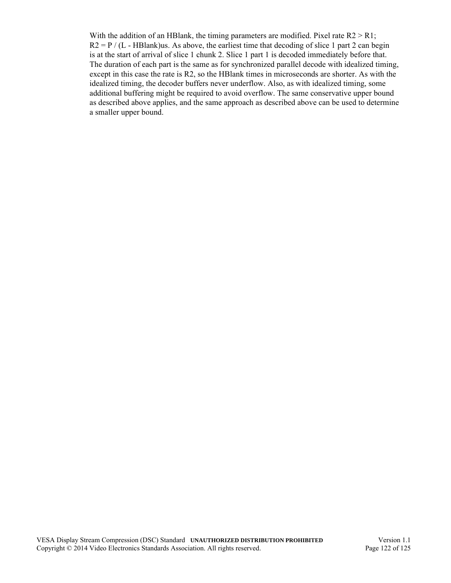With the addition of an HBlank, the timing parameters are modified. Pixel rate  $R2 > R1$ ;  $R2 = P / (L - HBlank)$ us. As above, the earliest time that decoding of slice 1 part 2 can begin is at the start of arrival of slice 1 chunk 2. Slice 1 part 1 is decoded immediately before that. The duration of each part is the same as for synchronized parallel decode with idealized timing, except in this case the rate is R2, so the HBlank times in microseconds are shorter. As with the idealized timing, the decoder buffers never underflow. Also, as with idealized timing, some additional buffering might be required to avoid overflow. The same conservative upper bound as described above applies, and the same approach as described above can be used to determine a smaller upper bound.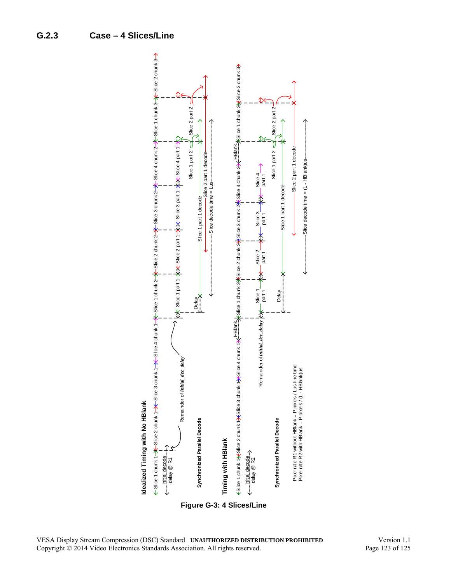

<span id="page-122-0"></span>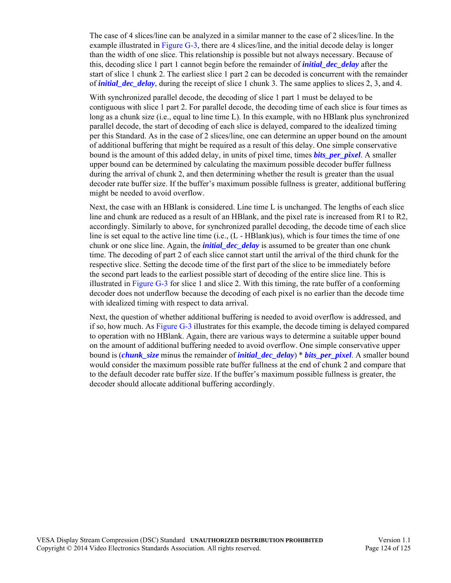The case of 4 slices/line can be analyzed in a similar manner to the case of 2 slices/line. In the example illustrated in [Figure G-3](#page-122-0), there are 4 slices/line, and the initial decode delay is longer than the width of one slice. This relationship is possible but not always necessary. Because of this, decoding slice 1 part 1 cannot begin before the remainder of *[initial\\_dec\\_delay](#page-44-4)* after the start of slice 1 chunk 2. The earliest slice 1 part 2 can be decoded is concurrent with the remainder of *[initial\\_dec\\_delay](#page-44-4)*, during the receipt of slice 1 chunk 3. The same applies to slices 2, 3, and 4.

With synchronized parallel decode, the decoding of slice 1 part 1 must be delayed to be contiguous with slice 1 part 2. For parallel decode, the decoding time of each slice is four times as long as a chunk size (i.e., equal to line time L). In this example, with no HBlank plus synchronized parallel decode, the start of decoding of each slice is delayed, compared to the idealized timing per this Standard. As in the case of 2 slices/line, one can determine an upper bound on the amount of additional buffering that might be required as a result of this delay. One simple conservative bound is the amount of this added delay, in units of pixel time, times *[bits\\_per\\_pixel](#page-43-0)*. A smaller upper bound can be determined by calculating the maximum possible decoder buffer fullness during the arrival of chunk 2, and then determining whether the result is greater than the usual decoder rate buffer size. If the buffer's maximum possible fullness is greater, additional buffering might be needed to avoid overflow.

Next, the case with an HBlank is considered. Line time L is unchanged. The lengths of each slice line and chunk are reduced as a result of an HBlank, and the pixel rate is increased from R1 to R2, accordingly. Similarly to above, for synchronized parallel decoding, the decode time of each slice line is set equal to the active line time (i.e., (L - HBlank)us), which is four times the time of one chunk or one slice line. Again, the *[initial\\_dec\\_delay](#page-44-4)* is assumed to be greater than one chunk time. The decoding of part 2 of each slice cannot start until the arrival of the third chunk for the respective slice. Setting the decode time of the first part of the slice to be immediately before the second part leads to the earliest possible start of decoding of the entire slice line. This is illustrated in [Figure G-3](#page-122-0) for slice 1 and slice 2. With this timing, the rate buffer of a conforming decoder does not underflow because the decoding of each pixel is no earlier than the decode time with idealized timing with respect to data arrival.

Next, the question of whether additional buffering is needed to avoid overflow is addressed, and if so, how much. As [Figure G-3](#page-122-0) illustrates for this example, the decode timing is delayed compared to operation with no HBlank. Again, there are various ways to determine a suitable upper bound on the amount of additional buffering needed to avoid overflow. One simple conservative upper bound is (*[chunk\\_size](#page-44-3)* minus the remainder of *[initial\\_dec\\_delay](#page-44-4)*) \* *[bits\\_per\\_pixel](#page-43-0)*. A smaller bound would consider the maximum possible rate buffer fullness at the end of chunk 2 and compare that to the default decoder rate buffer size. If the buffer's maximum possible fullness is greater, the decoder should allocate additional buffering accordingly.